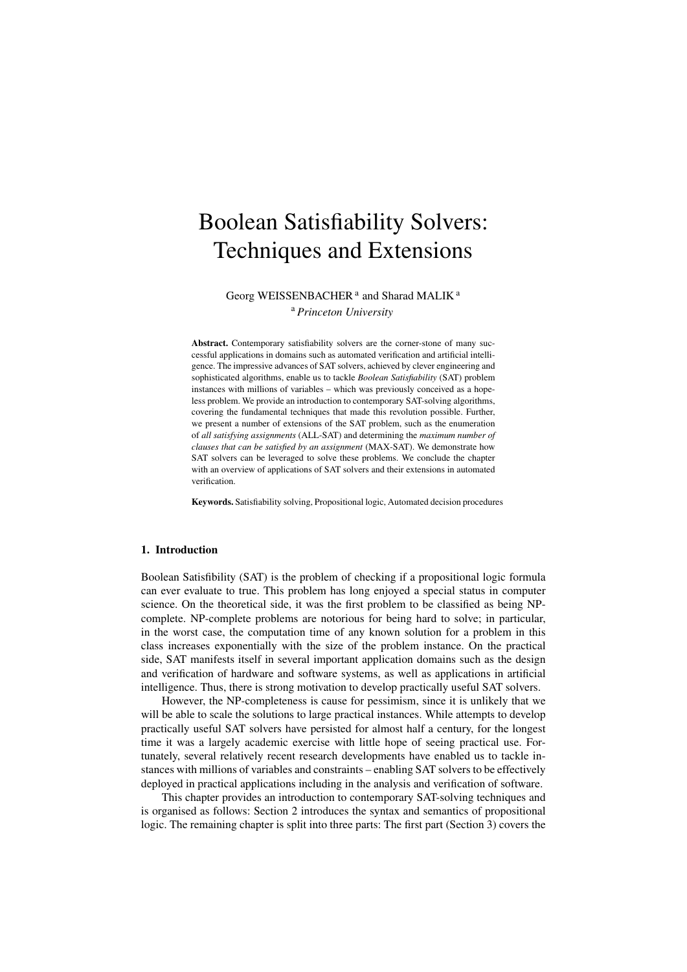# Boolean Satisfiability Solvers: Techniques and Extensions

Georg WEISSENBACHER<sup>a</sup> and Sharad MALIK<sup>a</sup> <sup>a</sup> *Princeton University*

Abstract. Contemporary satisfiability solvers are the corner-stone of many successful applications in domains such as automated verification and artificial intelligence. The impressive advances of SAT solvers, achieved by clever engineering and sophisticated algorithms, enable us to tackle *Boolean Satisfiability* (SAT) problem instances with millions of variables – which was previously conceived as a hopeless problem. We provide an introduction to contemporary SAT-solving algorithms, covering the fundamental techniques that made this revolution possible. Further, we present a number of extensions of the SAT problem, such as the enumeration of *all satisfying assignments* (ALL-SAT) and determining the *maximum number of clauses that can be satisfied by an assignment* (MAX-SAT). We demonstrate how SAT solvers can be leveraged to solve these problems. We conclude the chapter with an overview of applications of SAT solvers and their extensions in automated verification.

Keywords. Satisfiability solving, Propositional logic, Automated decision procedures

#### 1. Introduction

Boolean Satisfibility (SAT) is the problem of checking if a propositional logic formula can ever evaluate to true. This problem has long enjoyed a special status in computer science. On the theoretical side, it was the first problem to be classified as being NPcomplete. NP-complete problems are notorious for being hard to solve; in particular, in the worst case, the computation time of any known solution for a problem in this class increases exponentially with the size of the problem instance. On the practical side, SAT manifests itself in several important application domains such as the design and verification of hardware and software systems, as well as applications in artificial intelligence. Thus, there is strong motivation to develop practically useful SAT solvers.

However, the NP-completeness is cause for pessimism, since it is unlikely that we will be able to scale the solutions to large practical instances. While attempts to develop practically useful SAT solvers have persisted for almost half a century, for the longest time it was a largely academic exercise with little hope of seeing practical use. Fortunately, several relatively recent research developments have enabled us to tackle instances with millions of variables and constraints – enabling SAT solvers to be effectively deployed in practical applications including in the analysis and verification of software.

This chapter provides an introduction to contemporary SAT-solving techniques and is organised as follows: Section 2 introduces the syntax and semantics of propositional logic. The remaining chapter is split into three parts: The first part (Section 3) covers the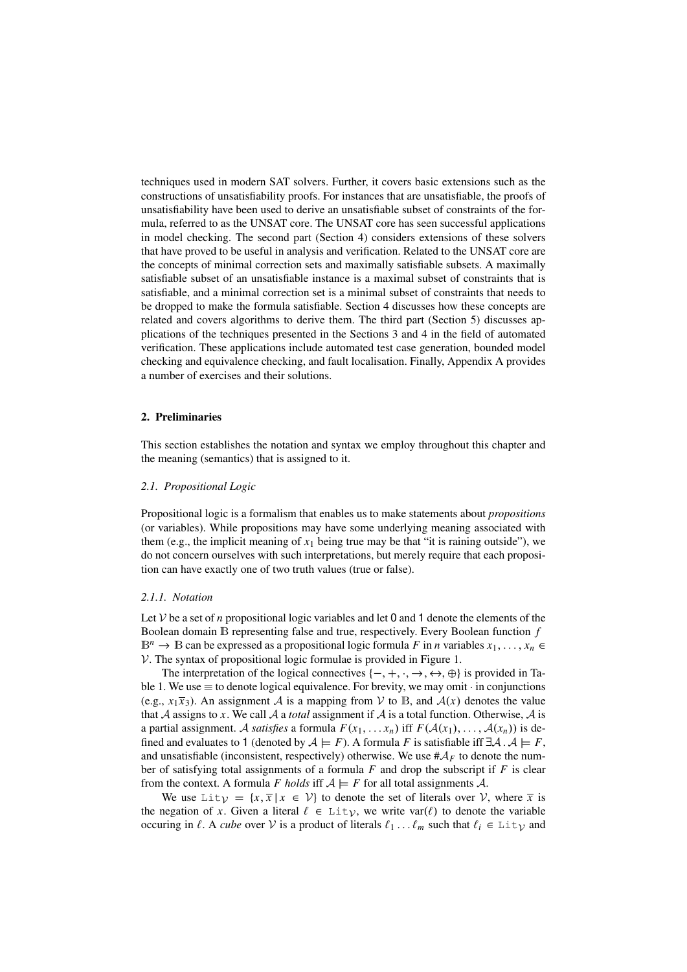techniques used in modern SAT solvers. Further, it covers basic extensions such as the constructions of unsatisfiability proofs. For instances that are unsatisfiable, the proofs of unsatisfiability have been used to derive an unsatisfiable subset of constraints of the formula, referred to as the UNSAT core. The UNSAT core has seen successful applications in model checking. The second part (Section 4) considers extensions of these solvers that have proved to be useful in analysis and verification. Related to the UNSAT core are the concepts of minimal correction sets and maximally satisfiable subsets. A maximally satisfiable subset of an unsatisfiable instance is a maximal subset of constraints that is satisfiable, and a minimal correction set is a minimal subset of constraints that needs to be dropped to make the formula satisfiable. Section 4 discusses how these concepts are related and covers algorithms to derive them. The third part (Section 5) discusses applications of the techniques presented in the Sections 3 and 4 in the field of automated verification. These applications include automated test case generation, bounded model checking and equivalence checking, and fault localisation. Finally, Appendix A provides a number of exercises and their solutions.

#### 2. Preliminaries

This section establishes the notation and syntax we employ throughout this chapter and the meaning (semantics) that is assigned to it.

#### *2.1. Propositional Logic*

Propositional logic is a formalism that enables us to make statements about *propositions* (or variables). While propositions may have some underlying meaning associated with them (e.g., the implicit meaning of  $x_1$  being true may be that "it is raining outside"), we do not concern ourselves with such interpretations, but merely require that each proposition can have exactly one of two truth values (true or false).

#### *2.1.1. Notation*

Let  $V$  be a set of *n* propositional logic variables and let 0 and 1 denote the elements of the Boolean domain B representing false and true, respectively. Every Boolean function *f*  $\mathbb{B}^n \to \mathbb{B}$  can be expressed as a propositional logic formula *F* in *n* variables  $x_1, \ldots, x_n \in$ V. The syntax of propositional logic formulae is provided in Figure 1.

The interpretation of the logical connectives  $\{-, +, \cdot, \rightarrow, \leftrightarrow, \oplus\}$  is provided in Table 1. We use  $\equiv$  to denote logical equivalence. For brevity, we may omit  $\cdot$  in conjunctions (e.g.,  $x_1\overline{x}_3$ ). An assignment A is a mapping from V to B, and  $A(x)$  denotes the value that A assigns to x. We call A a *total* assignment if  $A$  is a total function. Otherwise,  $A$  is a partial assignment. A *satisfies* a formula  $F(x_1, \ldots, x_n)$  iff  $F(A(x_1), \ldots, A(x_n))$  is defined and evaluates to 1 (denoted by  $A \models F$ ). A formula *F* is satisfiable iff  $\exists A \cdot A \models F$ , and unsatisfiable (inconsistent, respectively) otherwise. We use  $\#A_F$  to denote the number of satisfying total assignments of a formula *F* and drop the subscript if *F* is clear from the context. A formula *F holds* iff  $A \models F$  for all total assignments A.

We use Lit  $y = \{x, \overline{x} | x \in V\}$  to denote the set of literals over V, where  $\overline{x}$  is the negation of *x*. Given a literal  $\ell \in \text{Lity}$ , we write var $(\ell)$  to denote the variable occuring in  $\ell$ . A *cube* over V is a product of literals  $\ell_1 \ldots \ell_m$  such that  $\ell_i \in \text{Lit}_\mathcal{V}$  and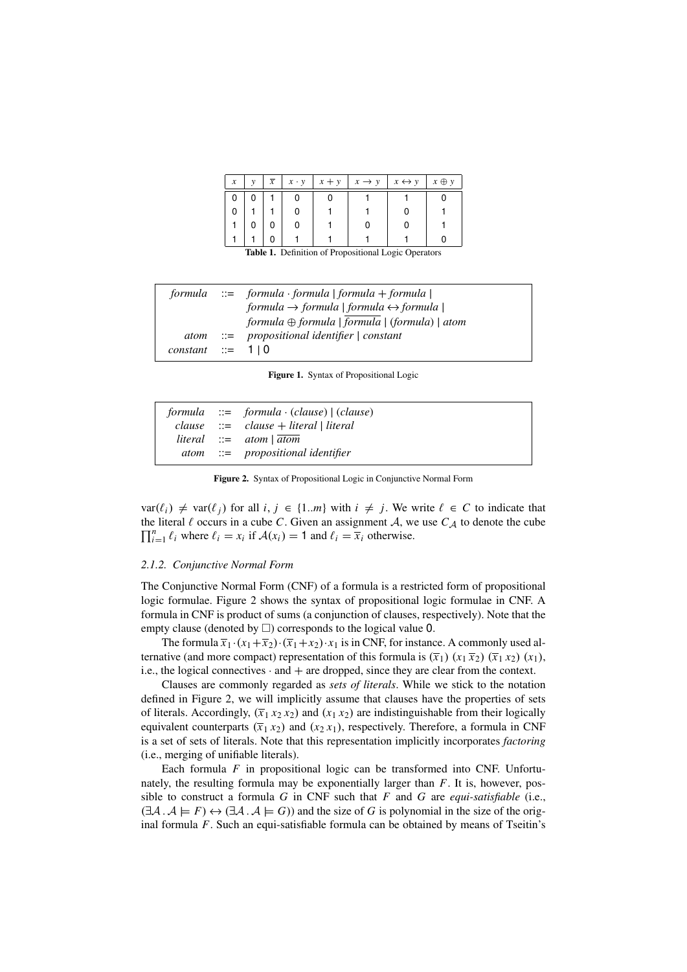| $\boldsymbol{x}$ |  |  | $\overline{x}$   $x \cdot y$   $x + y$   $x \rightarrow y$   $x \leftrightarrow y$   $x \oplus y$ |  |
|------------------|--|--|---------------------------------------------------------------------------------------------------|--|
|                  |  |  |                                                                                                   |  |
|                  |  |  |                                                                                                   |  |
|                  |  |  |                                                                                                   |  |
|                  |  |  |                                                                                                   |  |

Table 1. Definition of Propositional Logic Operators

|                    | $formula ::= formula \cdot formula   formula + formula $          |
|--------------------|-------------------------------------------------------------------|
|                    | $formula \rightarrow formula$   formula $\leftrightarrow$ formula |
|                    | formula $\oplus$ formula   formula   (formula)   atom             |
|                    | $atom ::= propositional identifier   constant$                    |
| $constant ::= 1 0$ |                                                                   |

Figure 1. Syntax of Propositional Logic

| $clause$ ::= $clause + literal \mid literal$      |  | $formula ::= formula \cdot (clause)   (clause)$ |
|---------------------------------------------------|--|-------------------------------------------------|
|                                                   |  |                                                 |
| <i>literal</i> $ ::=$ <i>atom</i> $ $ <i>atom</i> |  |                                                 |
| $atom ::= propositional identifier$               |  |                                                 |

Figure 2. Syntax of Propositional Logic in Conjunctive Normal Form

 $var(\ell_i) ≠ var(\ell_j)$  for all *i*, *j* ∈ {1.*m*} with *i* ≠ *j*. We write  $\ell ∈ C$  to indicate that  $\prod_{i=1}^{n} \ell_i$  where  $\ell_i = x_i$  if  $\mathcal{A}(x_i) = 1$  and  $\ell_i = \overline{x}_i$  otherwise. the literal  $\ell$  occurs in a cube *C*. Given an assignment  $\mathcal{A}$ , we use  $C_{\mathcal{A}}$  to denote the cube

# *2.1.2. Conjunctive Normal Form*

The Conjunctive Normal Form (CNF) of a formula is a restricted form of propositional logic formulae. Figure 2 shows the syntax of propositional logic formulae in CNF. A formula in CNF is product of sums (a conjunction of clauses, respectively). Note that the empty clause (denoted by  $\square$ ) corresponds to the logical value 0.

The formula  $\overline{x}_1 \cdot (x_1 + \overline{x}_2) \cdot (\overline{x}_1 + x_2) \cdot x_1$  is in CNF, for instance. A commonly used alternative (and more compact) representation of this formula is  $(\overline{x}_1)(x_1\overline{x}_2)(\overline{x}_1x_2)(x_1)$ , i.e., the logical connectives  $\cdot$  and  $+$  are dropped, since they are clear from the context.

Clauses are commonly regarded as *sets of literals*. While we stick to the notation defined in Figure 2, we will implicitly assume that clauses have the properties of sets of literals. Accordingly,  $(\overline{x}_1 x_2 x_2)$  and  $(x_1 x_2)$  are indistinguishable from their logically equivalent counterparts  $(\bar{x}_1 x_2)$  and  $(x_2 x_1)$ , respectively. Therefore, a formula in CNF is a set of sets of literals. Note that this representation implicitly incorporates *factoring* (i.e., merging of unifiable literals).

Each formula *F* in propositional logic can be transformed into CNF. Unfortunately, the resulting formula may be exponentially larger than *F*. It is, however, possible to construct a formula *G* in CNF such that *F* and *G* are *equi-satisfiable* (i.e.,  $(\exists A \cdot A \models F) \leftrightarrow (\exists A \cdot A \models G)$  and the size of *G* is polynomial in the size of the original formula *F*. Such an equi-satisfiable formula can be obtained by means of Tseitin's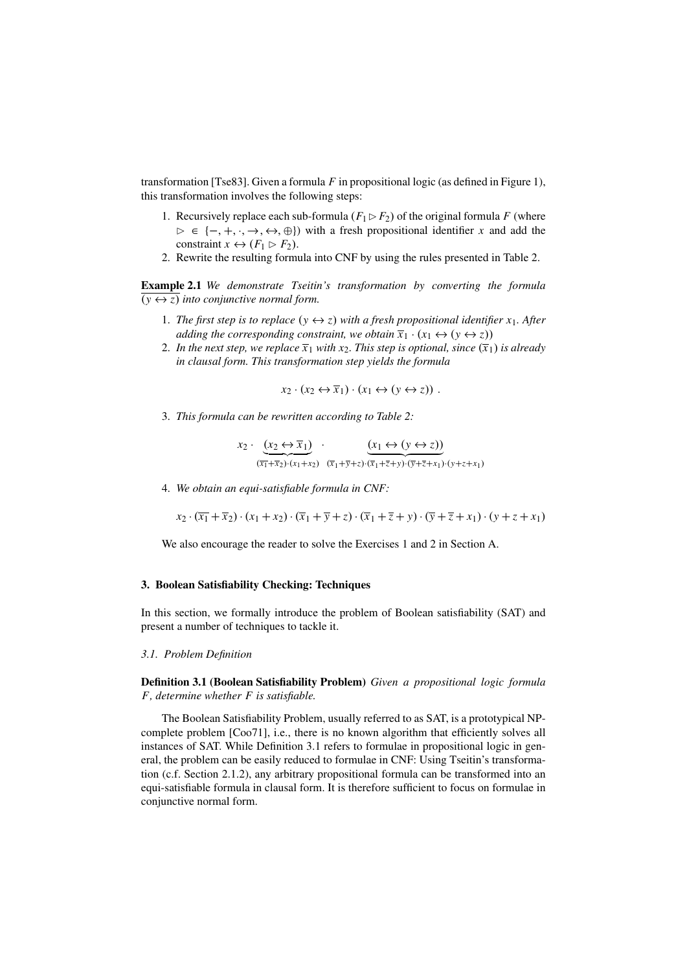transformation [Tse83]. Given a formula *F* in propositional logic (as defined in Figure 1), this transformation involves the following steps:

- 1. Recursively replace each sub-formula  $(F_1 \triangleright F_2)$  of the original formula *F* (where  $\triangleright \in \{-, +, \cdot, \rightarrow, \leftrightarrow, \oplus\}$  with a fresh propositional identifier *x* and add the constraint  $x \leftrightarrow (F_1 \triangleright F_2)$ .
- 2. Rewrite the resulting formula into CNF by using the rules presented in Table 2.

Example 2.1 *We demonstrate Tseitin's transformation by converting the formula*  $\overline{(y \leftrightarrow z)}$  *into conjunctive normal form.* 

- 1. *The first step is to replace*  $(y \leftrightarrow z)$  *with a fresh propositional identifier*  $x_1$ *. After adding the corresponding constraint, we obtain*  $\overline{x}_1 \cdot (x_1 \leftrightarrow (y \leftrightarrow z))$
- 2. In the next step, we replace  $\overline{x}_1$  with  $x_2$ . This step is optional, since  $(\overline{x}_1)$  is already *in clausal form. This transformation step yields the formula*

 $x_2 \cdot (x_2 \leftrightarrow \overline{x}_1) \cdot (x_1 \leftrightarrow (y \leftrightarrow z))$ .

3. *This formula can be rewritten according to Table 2:*

$$
x_2 \cdot \underbrace{(x_2 \leftrightarrow \overline{x}_1)}_{(\overline{x}_1 + \overline{x}_2) \cdot (x_1 + x_2)} \cdot \underbrace{(x_1 \leftrightarrow (y \leftrightarrow z))}_{(\overline{x}_1 + \overline{y} + z) \cdot (\overline{x}_1 + \overline{z} + y) \cdot (\overline{y} + \overline{z} + x_1) \cdot (y + z + x_1)}
$$

4. *We obtain an equi-satisfiable formula in CNF:*

 $x_2 \cdot (\overline{x_1} + \overline{x_2}) \cdot (x_1 + x_2) \cdot (\overline{x_1} + \overline{y} + z) \cdot (\overline{x_1} + \overline{z} + y) \cdot (\overline{y} + \overline{z} + x_1) \cdot (y + z + x_1)$ 

We also encourage the reader to solve the Exercises 1 and 2 in Section A.

# 3. Boolean Satisfiability Checking: Techniques

In this section, we formally introduce the problem of Boolean satisfiability (SAT) and present a number of techniques to tackle it.

#### *3.1. Problem Definition*

Definition 3.1 (Boolean Satisfiability Problem) *Given a propositional logic formula F, determine whether F is satisfiable.*

The Boolean Satisfiability Problem, usually referred to as SAT, is a prototypical NPcomplete problem [Coo71], i.e., there is no known algorithm that efficiently solves all instances of SAT. While Definition 3.1 refers to formulae in propositional logic in general, the problem can be easily reduced to formulae in CNF: Using Tseitin's transformation (c.f. Section 2.1.2), any arbitrary propositional formula can be transformed into an equi-satisfiable formula in clausal form. It is therefore sufficient to focus on formulae in conjunctive normal form.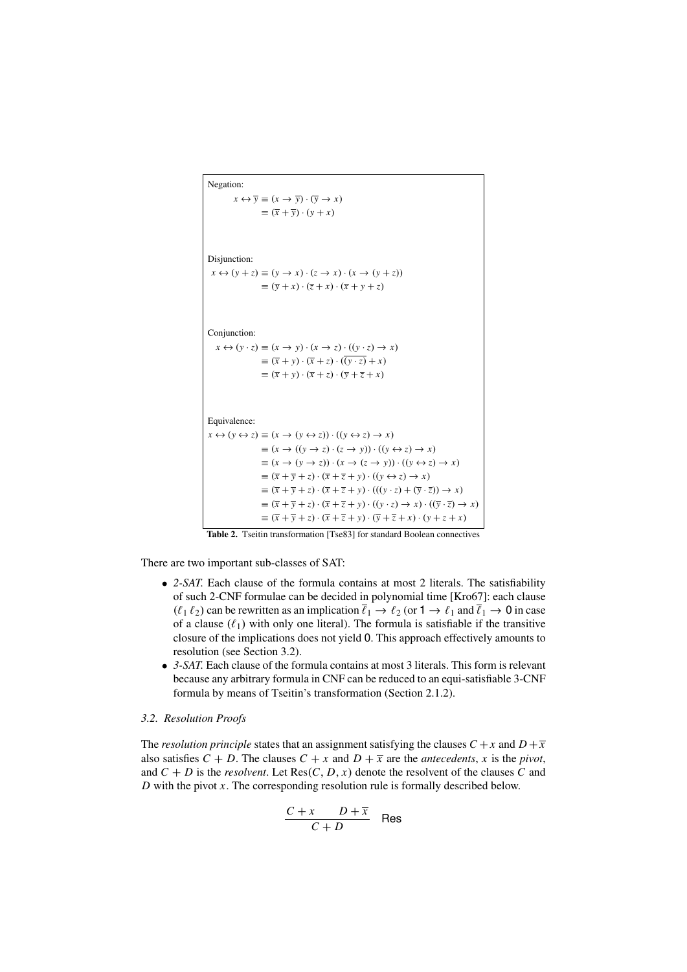Negation:  $x \leftrightarrow \overline{y} \equiv (x \rightarrow \overline{y}) \cdot (\overline{y} \rightarrow x)$  $\equiv (\overline{x} + \overline{y}) \cdot (y + x)$ Disjunction:  $x \leftrightarrow (y + z) \equiv (y \rightarrow x) \cdot (z \rightarrow x) \cdot (x \rightarrow (y + z))$  $\equiv (\overline{y} + x) \cdot (\overline{z} + x) \cdot (\overline{x} + y + z)$ Conjunction:  $x \leftrightarrow (y \cdot z) \equiv (x \rightarrow y) \cdot (x \rightarrow z) \cdot ((y \cdot z) \rightarrow x)$  $\equiv (\overline{x} + y) \cdot (\overline{x} + z) \cdot ((\overline{y \cdot z)} + x)$  $\equiv (\bar{x} + y) \cdot (\bar{x} + z) \cdot (\bar{y} + \bar{z} + x)$ Equivalence:  $x \leftrightarrow (y \leftrightarrow z) \equiv (x \rightarrow (y \leftrightarrow z)) \cdot ((y \leftrightarrow z) \rightarrow x)$  $\equiv (x \rightarrow ((y \rightarrow z) \cdot (z \rightarrow y)) \cdot ((y \leftrightarrow z) \rightarrow x)$  $\equiv (x \rightarrow (y \rightarrow z)) \cdot (x \rightarrow (z \rightarrow y)) \cdot ((y \leftrightarrow z) \rightarrow x)$  $\equiv (\overline{x} + \overline{y} + z) \cdot (\overline{x} + \overline{z} + y) \cdot ((y \leftrightarrow z) \rightarrow x)$  $\equiv (\overline{x} + \overline{y} + z) \cdot (\overline{x} + \overline{z} + y) \cdot (((y \cdot z) + (\overline{y} \cdot \overline{z})) \rightarrow x)$  $\equiv (\overline{x} + \overline{y} + z) \cdot (\overline{x} + \overline{z} + y) \cdot ((y \cdot z) \rightarrow x) \cdot ((\overline{y} \cdot \overline{z}) \rightarrow x)$  $\equiv (\overline{x} + \overline{y} + z) \cdot (\overline{x} + \overline{z} + y) \cdot (\overline{y} + \overline{z} + x) \cdot (y + z + x)$ 

Table 2. Tseitin transformation [Tse83] for standard Boolean connectives

There are two important sub-classes of SAT:

- *2-SAT.* Each clause of the formula contains at most 2 literals. The satisfiability of such 2-CNF formulae can be decided in polynomial time [Kro67]: each clause  $(\ell_1 \ell_2)$  can be rewritten as an implication  $\bar{\ell}_1 \to \ell_2$  (or  $1 \to \ell_1$  and  $\bar{\ell}_1 \to 0$  in case of a clause  $(\ell_1)$  with only one literal). The formula is satisfiable if the transitive closure of the implications does not yield 0. This approach effectively amounts to resolution (see Section 3.2).
- *3-SAT.* Each clause of the formula contains at most 3 literals. This form is relevant because any arbitrary formula in CNF can be reduced to an equi-satisfiable 3-CNF formula by means of Tseitin's transformation (Section 2.1.2).

#### *3.2. Resolution Proofs*

The *resolution principle* states that an assignment satisfying the clauses  $C + x$  and  $D + \overline{x}$ also satisfies  $C + D$ . The clauses  $C + x$  and  $D + \overline{x}$  are the *antecedents*, *x* is the *pivot*, and  $C + D$  is the *resolvent*. Let  $Res(C, D, x)$  denote the resolvent of the clauses C and *D* with the pivot *x*. The corresponding resolution rule is formally described below.

$$
\frac{C+x}{C+D} + \overline{x}
$$
 Res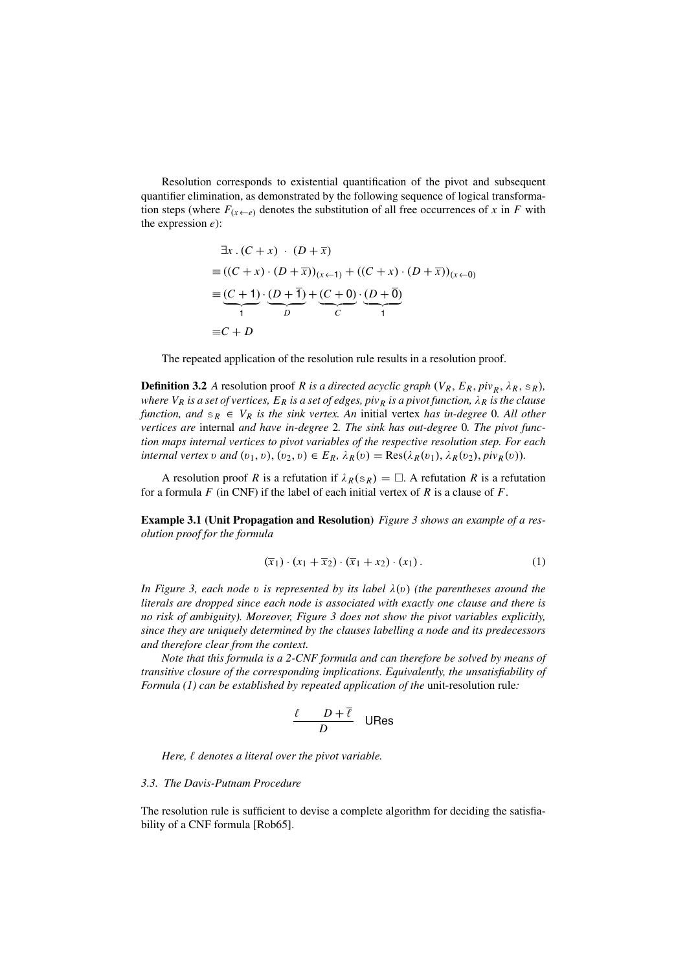Resolution corresponds to existential quantification of the pivot and subsequent quantifier elimination, as demonstrated by the following sequence of logical transformation steps (where  $F(x \leftarrow e)$ ) denotes the substitution of all free occurrences of *x* in *F* with the expression *e*):

$$
\exists x \cdot (C + x) \cdot (D + \overline{x})
$$
\n
$$
\equiv ((C + x) \cdot (D + \overline{x}))_{(x \leftarrow 1)} + ((C + x) \cdot (D + \overline{x}))_{(x \leftarrow 0)}
$$
\n
$$
\equiv \underbrace{(C + 1)}_{1} \cdot \underbrace{(D + \overline{1})}_{D} + \underbrace{(C + 0)}_{C} \cdot \underbrace{(D + \overline{0})}_{1}
$$
\n
$$
\equiv C + D
$$

The repeated application of the resolution rule results in a resolution proof.

**Definition 3.2** *A* resolution proof *R is a directed acyclic graph* ( $V_R$ ,  $E_R$ ,  $piv_R$ ,  $\lambda_R$ ,  $s_R$ ), *where V<sup>R</sup> is a set of vertices, E<sup>R</sup> is a set of edges, piv<sup>R</sup> is a pivot function,* λ*<sup>R</sup> is the clause function, and*  $s_R \in V_R$  *is the sink vertex. An initial vertex has in-degree* 0*. All other vertices are* internal *and have in-degree* 2*. The sink has out-degree* 0*. The pivot function maps internal vertices to pivot variables of the respective resolution step. For each internal vertex* v *and*  $(v_1, v), (v_2, v) \in E_R$ ,  $\lambda_R(v) = \text{Res}(\lambda_R(v_1), \lambda_R(v_2), \text{piv}_R(v))$ *.* 

A resolution proof *R* is a refutation if  $\lambda_R(s_R) = \square$ . A refutation *R* is a refutation for a formula *F* (in CNF) if the label of each initial vertex of *R* is a clause of *F*.

Example 3.1 (Unit Propagation and Resolution) *Figure 3 shows an example of a resolution proof for the formula*

$$
(\overline{x}_1)\cdot(x_1+\overline{x}_2)\cdot(\overline{x}_1+x_2)\cdot(x_1).
$$
 (1)

*In Figure 3, each node v is represented by its label*  $\lambda(v)$  *(the parentheses around the literals are dropped since each node is associated with exactly one clause and there is no risk of ambiguity). Moreover, Figure 3 does not show the pivot variables explicitly, since they are uniquely determined by the clauses labelling a node and its predecessors and therefore clear from the context.*

*Note that this formula is a 2-CNF formula and can therefore be solved by means of transitive closure of the corresponding implications. Equivalently, the unsatisfiability of Formula (1) can be established by repeated application of the* unit-resolution rule*:*

$$
\frac{\ell \quad D+\overline{\ell}}{D} \quad \text{URes}
$$

*Here,*  $\ell$  *denotes a literal over the pivot variable.* 

#### *3.3. The Davis-Putnam Procedure*

The resolution rule is sufficient to devise a complete algorithm for deciding the satisfiability of a CNF formula [Rob65].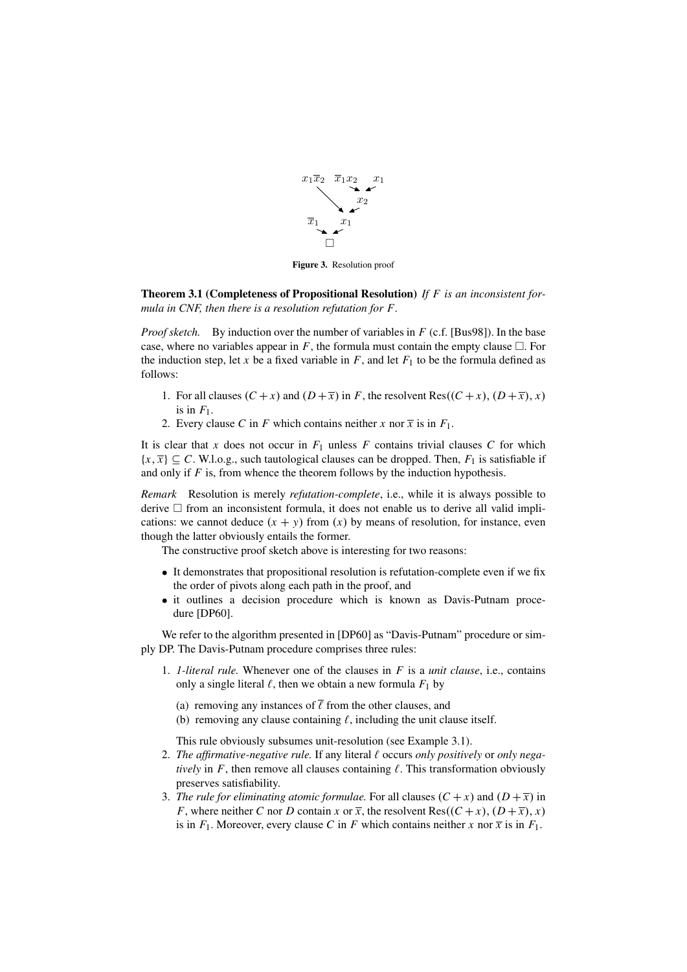

Figure 3. Resolution proof

Theorem 3.1 (Completeness of Propositional Resolution) *If F is an inconsistent formula in CNF, then there is a resolution refutation for F.*

*Proof sketch.* By induction over the number of variables in *F* (c.f. [Bus98]). In the base case, where no variables appear in  $F$ , the formula must contain the empty clause  $\Box$ . For the induction step, let x be a fixed variable in  $F$ , and let  $F_1$  to be the formula defined as follows:

- 1. For all clauses  $(C + x)$  and  $(D + \overline{x})$  in *F*, the resolvent Res $((C + x), (D + \overline{x}), x)$ is in  $F_1$ .
- 2. Every clause *C* in *F* which contains neither *x* nor  $\overline{x}$  is in  $F_1$ .

It is clear that *x* does not occur in  $F_1$  unless  $F$  contains trivial clauses  $C$  for which  $\{x, \overline{x}\} \subseteq C$ . W.l.o.g., such tautological clauses can be dropped. Then,  $F_1$  is satisfiable if and only if  $F$  is, from whence the theorem follows by the induction hypothesis.

*Remark* Resolution is merely *refutation-complete*, i.e., while it is always possible to derive  $\Box$  from an inconsistent formula, it does not enable us to derive all valid implications: we cannot deduce  $(x + y)$  from  $(x)$  by means of resolution, for instance, even though the latter obviously entails the former.

The constructive proof sketch above is interesting for two reasons:

- It demonstrates that propositional resolution is refutation-complete even if we fix the order of pivots along each path in the proof, and
- it outlines a decision procedure which is known as Davis-Putnam procedure [DP60].

We refer to the algorithm presented in [DP60] as "Davis-Putnam" procedure or simply DP. The Davis-Putnam procedure comprises three rules:

- 1. *1-literal rule.* Whenever one of the clauses in *F* is a *unit clause*, i.e., contains only a single literal  $\ell$ , then we obtain a new formula  $F_1$  by
	- (a) removing any instances of  $\bar{\ell}$  from the other clauses, and
	- (b) removing any clause containing  $\ell$ , including the unit clause itself.

This rule obviously subsumes unit-resolution (see Example 3.1).

- 2. *The affirmative-negative rule.* If any literal  $\ell$  occurs *only positively* or *only negatively* in  $F$ , then remove all clauses containing  $\ell$ . This transformation obviously preserves satisfiability.
- 3. *The rule for eliminating atomic formulae.* For all clauses  $(C + x)$  and  $(D + \overline{x})$  in *F*, where neither *C* nor *D* contain *x* or  $\overline{x}$ , the resolvent Res(( $C + x$ ),  $(D + \overline{x})$ , *x*) is in  $F_1$ . Moreover, every clause C in F which contains neither x nor  $\overline{x}$  is in  $F_1$ .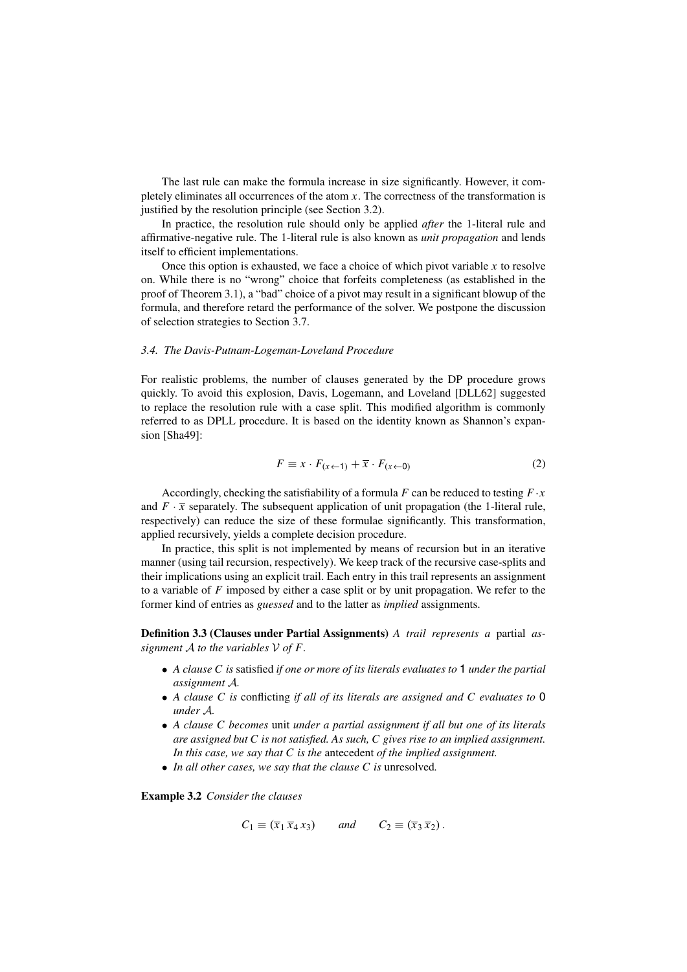The last rule can make the formula increase in size significantly. However, it completely eliminates all occurrences of the atom *x*. The correctness of the transformation is justified by the resolution principle (see Section 3.2).

In practice, the resolution rule should only be applied *after* the 1-literal rule and affirmative-negative rule. The 1-literal rule is also known as *unit propagation* and lends itself to efficient implementations.

Once this option is exhausted, we face a choice of which pivot variable *x* to resolve on. While there is no "wrong" choice that forfeits completeness (as established in the proof of Theorem 3.1), a "bad" choice of a pivot may result in a significant blowup of the formula, and therefore retard the performance of the solver. We postpone the discussion of selection strategies to Section 3.7.

#### *3.4. The Davis-Putnam-Logeman-Loveland Procedure*

For realistic problems, the number of clauses generated by the DP procedure grows quickly. To avoid this explosion, Davis, Logemann, and Loveland [DLL62] suggested to replace the resolution rule with a case split. This modified algorithm is commonly referred to as DPLL procedure. It is based on the identity known as Shannon's expansion [Sha49]:

$$
F \equiv x \cdot F_{(x \leftarrow 1)} + \overline{x} \cdot F_{(x \leftarrow 0)} \tag{2}
$$

Accordingly, checking the satisfiability of a formula *F* can be reduced to testing *F*·*x* and  $F \cdot \overline{x}$  separately. The subsequent application of unit propagation (the 1-literal rule, respectively) can reduce the size of these formulae significantly. This transformation, applied recursively, yields a complete decision procedure.

In practice, this split is not implemented by means of recursion but in an iterative manner (using tail recursion, respectively). We keep track of the recursive case-splits and their implications using an explicit trail. Each entry in this trail represents an assignment to a variable of *F* imposed by either a case split or by unit propagation. We refer to the former kind of entries as *guessed* and to the latter as *implied* assignments.

Definition 3.3 (Clauses under Partial Assignments) *A trail represents a* partial *assignment* A *to the variables* V *of F.*

- *A clause C is* satisfied *if one or more of its literals evaluates to* 1 *under the partial assignment* A*.*
- *A clause C is* conflicting *if all of its literals are assigned and C evaluates to* 0 *under* A*.*
- *A clause C becomes* unit *under a partial assignment if all but one of its literals are assigned but C is not satisfied. As such, C gives rise to an implied assignment. In this case, we say that C is the* antecedent *of the implied assignment.*
- *In all other cases, we say that the clause C is* unresolved*.*

Example 3.2 *Consider the clauses*

$$
C_1 \equiv (\overline{x}_1 \overline{x}_4 x_3) \quad \text{and} \quad C_2 \equiv (\overline{x}_3 \overline{x}_2).
$$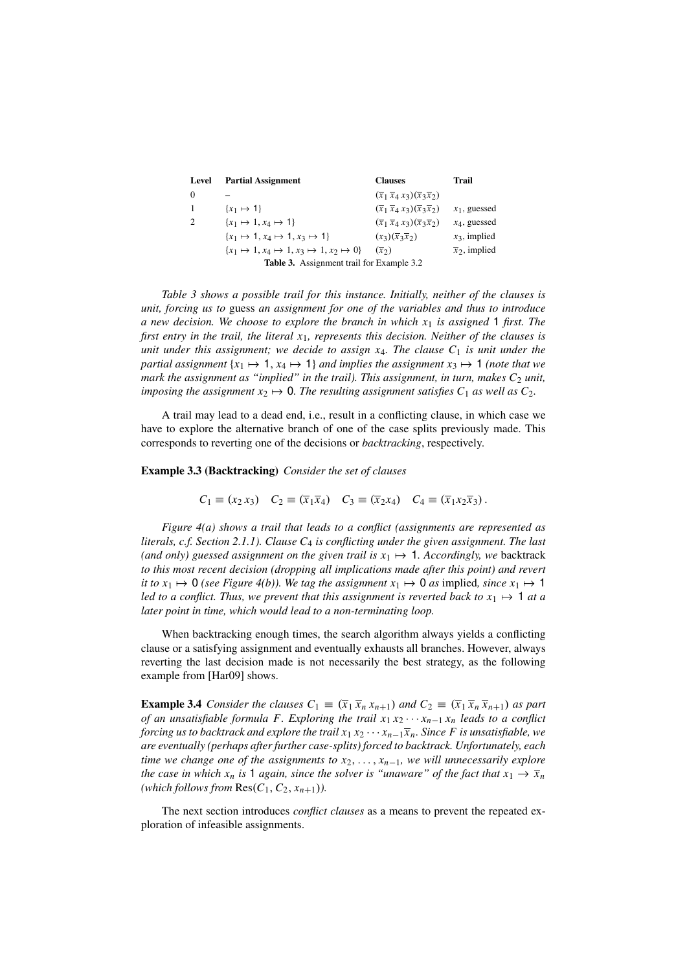| Level    | <b>Partial Assignment</b>                                        | <b>Clauses</b>                                                       | Trail                      |
|----------|------------------------------------------------------------------|----------------------------------------------------------------------|----------------------------|
| $\Omega$ |                                                                  | $(\overline{x}_1 \overline{x}_4 x_3)(\overline{x}_3 \overline{x}_2)$ |                            |
| -1       | $\{x_1 \mapsto 1\}$                                              | $(\overline{x}_1 \overline{x}_4 x_3)(\overline{x}_3 \overline{x}_2)$ | $x_1$ , guessed            |
| 2        | $\{x_1 \mapsto 1, x_4 \mapsto 1\}$                               | $(\overline{x}_1 \overline{x}_4 x_3)(\overline{x}_3 \overline{x}_2)$ | $x_4$ , guessed            |
|          | $\{x_1 \mapsto 1, x_4 \mapsto 1, x_3 \mapsto 1\}$                | $(x_3)(\overline{x}_3\overline{x}_2)$                                | $x_3$ , implied            |
|          | $\{x_1 \mapsto 1, x_4 \mapsto 1, x_3 \mapsto 1, x_2 \mapsto 0\}$ | $(\overline{x}_2)$                                                   | $\overline{x}_2$ , implied |
|          | <b>Table 3.</b> Assignment trail for Example 3.2                 |                                                                      |                            |

*Table 3 shows a possible trail for this instance. Initially, neither of the clauses is unit, forcing us to* guess *an assignment for one of the variables and thus to introduce a new decision. We choose to explore the branch in which x*<sup>1</sup> *is assigned* 1 *first. The first entry in the trail, the literal x*1*, represents this decision. Neither of the clauses is unit under this assignment; we decide to assign x*4*. The clause C*<sup>1</sup> *is unit under the partial assignment*  $\{x_1 \mapsto 1, x_4 \mapsto 1\}$  *and implies the assignment*  $x_3 \mapsto 1$  *(note that we mark the assignment as "implied" in the trail). This assignment, in turn, makes*  $C_2$  *unit, imposing the assignment*  $x_2 \mapsto 0$ *. The resulting assignment satisfies*  $C_1$  *as well as*  $C_2$ *.* 

A trail may lead to a dead end, i.e., result in a conflicting clause, in which case we have to explore the alternative branch of one of the case splits previously made. This corresponds to reverting one of the decisions or *backtracking*, respectively.

Example 3.3 (Backtracking) *Consider the set of clauses*

$$
C_1 \equiv (x_2 x_3) \quad C_2 \equiv (\overline{x}_1 \overline{x}_4) \quad C_3 \equiv (\overline{x}_2 x_4) \quad C_4 \equiv (\overline{x}_1 x_2 \overline{x}_3).
$$

*Figure 4(a) shows a trail that leads to a conflict (assignments are represented as literals, c.f. Section 2.1.1). Clause C*<sup>4</sup> *is conflicting under the given assignment. The last (and only) guessed assignment on the given trail is*  $x_1 \mapsto 1$ *. Accordingly, we backtrack to this most recent decision (dropping all implications made after this point) and revert it to x*<sub>1</sub>  $\rightarrow$  0 *(see Figure 4(b)). We tag the assignment*  $x_1 \rightarrow 0$  *<i>as* implied, *since*  $x_1 \rightarrow 1$ *led to a conflict. Thus, we prevent that this assignment is reverted back to*  $x_1 \mapsto 1$  *at a later point in time, which would lead to a non-terminating loop.*

When backtracking enough times, the search algorithm always yields a conflicting clause or a satisfying assignment and eventually exhausts all branches. However, always reverting the last decision made is not necessarily the best strategy, as the following example from [Har09] shows.

**Example 3.4** *Consider the clauses*  $C_1 \equiv (\overline{x}_1 \overline{x}_n x_{n+1})$  *and*  $C_2 \equiv (\overline{x}_1 \overline{x}_n \overline{x}_{n+1})$  *as part of an unsatisfiable formula F. Exploring the trail x*<sup>1</sup> *x*<sup>2</sup> · · · *xn*−<sup>1</sup> *x<sup>n</sup> leads to a conflict forcing us to backtrack and explore the trail*  $x_1 x_2 \cdots x_{n-1} \overline{x}_n$ *. Since F is unsatisfiable, we are eventually (perhaps after further case-splits) forced to backtrack. Unfortunately, each time we change one of the assignments to x*2, . . . , *xn*−1*, we will unnecessarily explore the case in which*  $x_n$  *is* 1 *again, since the solver is "unaware" of the fact that*  $x_1 \rightarrow \overline{x}_n$ (which follows from  $\text{Res}(C_1, C_2, x_{n+1})$ ).

The next section introduces *conflict clauses* as a means to prevent the repeated exploration of infeasible assignments.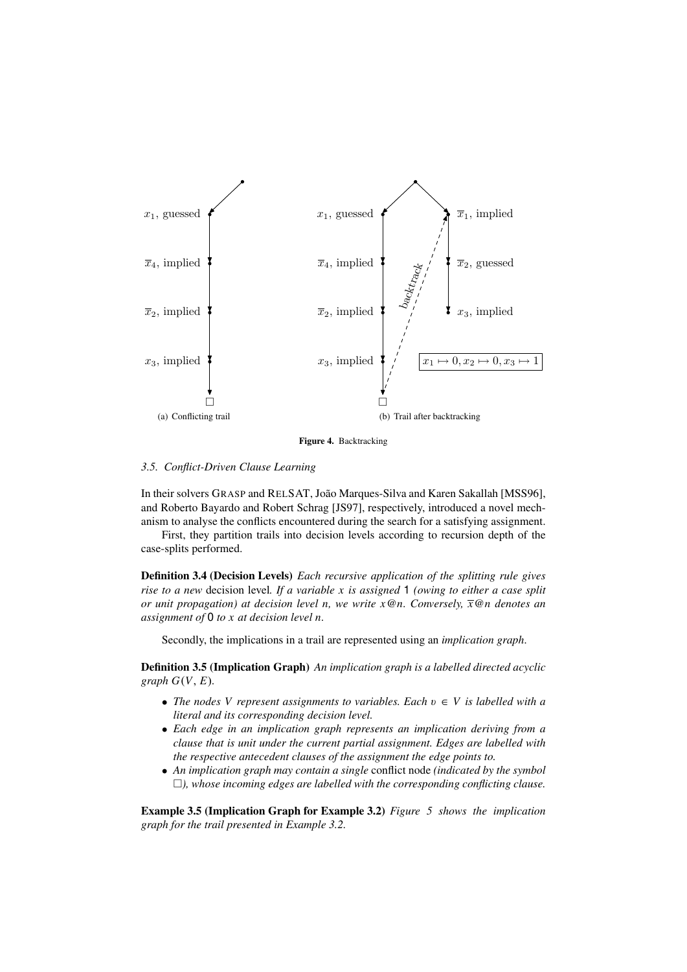

Figure 4. Backtracking

*3.5. Conflict-Driven Clause Learning*

In their solvers GRASP and RELSAT, João Marques-Silva and Karen Sakallah [MSS96], and Roberto Bayardo and Robert Schrag [JS97], respectively, introduced a novel mechanism to analyse the conflicts encountered during the search for a satisfying assignment.

First, they partition trails into decision levels according to recursion depth of the case-splits performed.

Definition 3.4 (Decision Levels) *Each recursive application of the splitting rule gives rise to a new* decision level*. If a variable x is assigned* 1 *(owing to either a case split or unit propagation) at decision level n, we write x*@*n. Conversely, x*@*n denotes an assignment of* 0 *to x at decision level n.*

Secondly, the implications in a trail are represented using an *implication graph*.

Definition 3.5 (Implication Graph) *An implication graph is a labelled directed acyclic graph*  $G(V, E)$ *.* 

- *The nodes V represent assignments to variables. Each*  $v \in V$  *is labelled with a literal and its corresponding decision level.*
- *Each edge in an implication graph represents an implication deriving from a clause that is unit under the current partial assignment. Edges are labelled with the respective antecedent clauses of the assignment the edge points to.*
- *An implication graph may contain a single* conflict node *(indicated by the symbol ), whose incoming edges are labelled with the corresponding conflicting clause.*

Example 3.5 (Implication Graph for Example 3.2) *Figure 5 shows the implication graph for the trail presented in Example 3.2.*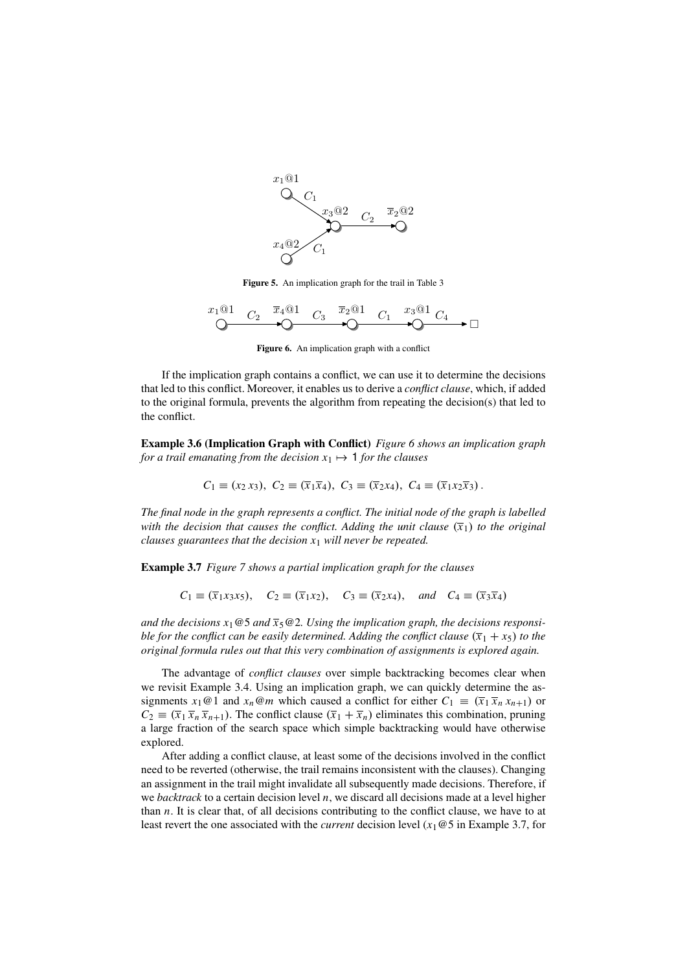

Figure 5. An implication graph for the trail in Table 3



Figure 6. An implication graph with a conflict

If the implication graph contains a conflict, we can use it to determine the decisions that led to this conflict. Moreover, it enables us to derive a *conflict clause*, which, if added to the original formula, prevents the algorithm from repeating the decision(s) that led to the conflict.

Example 3.6 (Implication Graph with Conflict) *Figure 6 shows an implication graph for a trail emanating from the decision*  $x_1 \mapsto 1$  *for the clauses* 

$$
C_1 \equiv (x_2 x_3), C_2 \equiv (\overline{x}_1 \overline{x}_4), C_3 \equiv (\overline{x}_2 x_4), C_4 \equiv (\overline{x}_1 x_2 \overline{x}_3).
$$

*The final node in the graph represents a conflict. The initial node of the graph is labelled with the decision that causes the conflict. Adding the unit clause*  $(\overline{x}_1)$  *to the original clauses guarantees that the decision x*<sup>1</sup> *will never be repeated.*

Example 3.7 *Figure 7 shows a partial implication graph for the clauses*

$$
C_1 \equiv (\overline{x}_1 x_3 x_5), \quad C_2 \equiv (\overline{x}_1 x_2), \quad C_3 \equiv (\overline{x}_2 x_4), \quad and \quad C_4 \equiv (\overline{x}_3 \overline{x}_4)
$$

and the decisions  $x_1 \text{ @} 5$  *and*  $\overline{x_5} \text{ @} 2$ . Using the implication graph, the decisions responsi*ble for the conflict can be easily determined. Adding the conflict clause*  $(\bar{x}_1 + x_5)$  *to the original formula rules out that this very combination of assignments is explored again.*

The advantage of *conflict clauses* over simple backtracking becomes clear when we revisit Example 3.4. Using an implication graph, we can quickly determine the assignments *x*<sub>1</sub> @ 1 and *x<sub>n</sub>* @ *m* which caused a conflict for either  $C_1 \equiv (\overline{x}_1 \overline{x}_n x_{n+1})$  or  $C_2 \equiv (\overline{x}_1 \overline{x}_n \overline{x}_{n+1})$ . The conflict clause  $(\overline{x}_1 + \overline{x}_n)$  eliminates this combination, pruning a large fraction of the search space which simple backtracking would have otherwise explored.

After adding a conflict clause, at least some of the decisions involved in the conflict need to be reverted (otherwise, the trail remains inconsistent with the clauses). Changing an assignment in the trail might invalidate all subsequently made decisions. Therefore, if we *backtrack* to a certain decision level *n*, we discard all decisions made at a level higher than *n*. It is clear that, of all decisions contributing to the conflict clause, we have to at least revert the one associated with the *current* decision level  $(x_1 \otimes 5$  in Example 3.7, for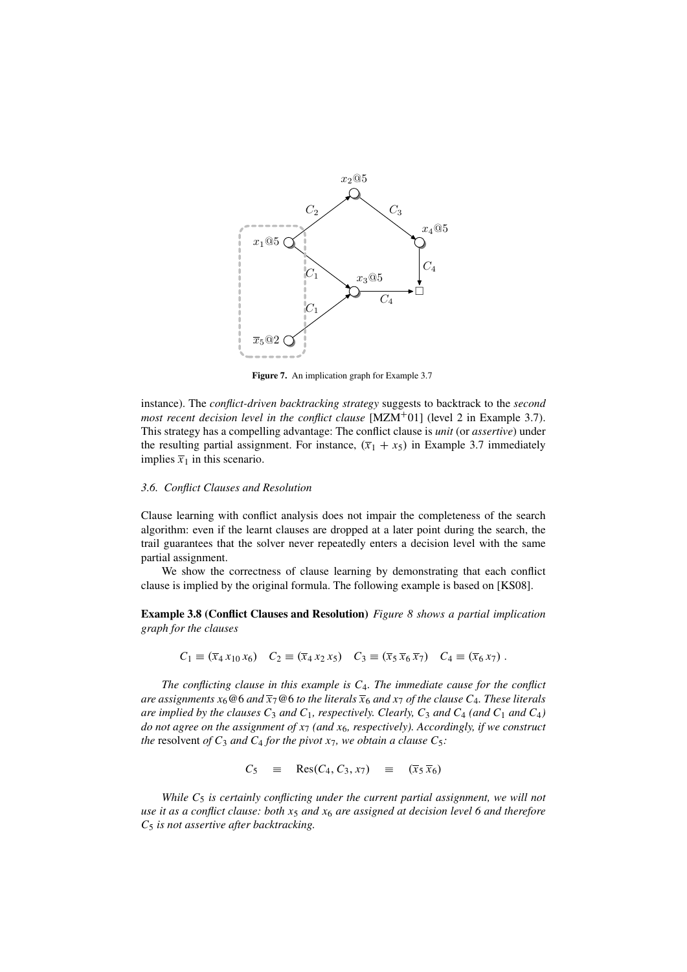

Figure 7. An implication graph for Example 3.7

instance). The *conflict-driven backtracking strategy* suggests to backtrack to the *second most recent decision level in the conflict clause* [MZM<sup>+</sup>01] (level 2 in Example 3.7). This strategy has a compelling advantage: The conflict clause is *unit* (or *assertive*) under the resulting partial assignment. For instance,  $(\bar{x}_1 + x_5)$  in Example 3.7 immediately implies  $\overline{x}_1$  in this scenario.

#### *3.6. Conflict Clauses and Resolution*

Clause learning with conflict analysis does not impair the completeness of the search algorithm: even if the learnt clauses are dropped at a later point during the search, the trail guarantees that the solver never repeatedly enters a decision level with the same partial assignment.

We show the correctness of clause learning by demonstrating that each conflict clause is implied by the original formula. The following example is based on [KS08].

Example 3.8 (Conflict Clauses and Resolution) *Figure 8 shows a partial implication graph for the clauses*

$$
C_1 \equiv (\overline{x}_4 x_{10} x_6) \quad C_2 \equiv (\overline{x}_4 x_2 x_5) \quad C_3 \equiv (\overline{x}_5 \overline{x}_6 \overline{x}_7) \quad C_4 \equiv (\overline{x}_6 x_7).
$$

*The conflicting clause in this example is C*4*. The immediate cause for the conflict are assignments*  $x_6@6$  *and*  $\overline{x}_7@6$  *to the literals*  $\overline{x}_6$  *and*  $x_7$  *of the clause*  $C_4$ *. These literals are implied by the clauses C*<sup>3</sup> *and C*1*, respectively. Clearly, C*<sup>3</sup> *and C*<sup>4</sup> *(and C*<sup>1</sup> *and C*4*) do not agree on the assignment of x*<sup>7</sup> *(and x*6*, respectively). Accordingly, if we construct the* resolvent *of*  $C_3$  *and*  $C_4$  *for the pivot*  $x_7$ *, we obtain a clause*  $C_5$ *:* 

$$
C_5 \equiv \text{Res}(C_4, C_3, x_7) \equiv (\overline{x}_5 \overline{x}_6)
$$

*While C*<sup>5</sup> *is certainly conflicting under the current partial assignment, we will not use it as a conflict clause: both x*<sup>5</sup> *and x*<sup>6</sup> *are assigned at decision level 6 and therefore C*<sup>5</sup> *is not assertive after backtracking.*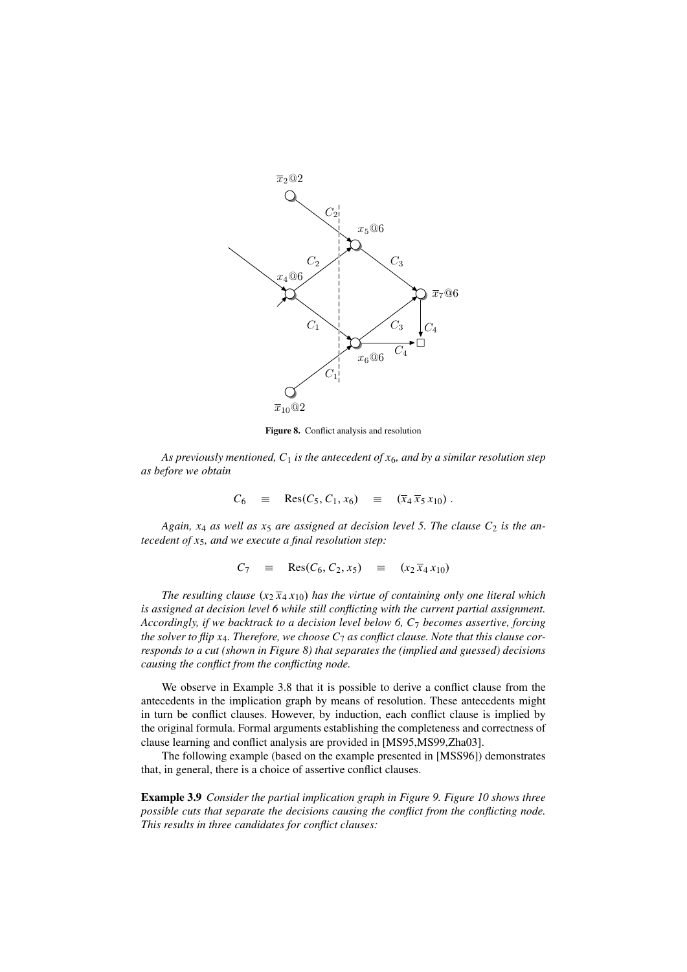

Figure 8. Conflict analysis and resolution

*As previously mentioned, C*<sup>1</sup> *is the antecedent of x*6*, and by a similar resolution step as before we obtain*

$$
C_6 \equiv \text{Res}(C_5, C_1, x_6) \equiv (\overline{x}_4 \overline{x}_5 x_{10}).
$$

Again,  $x_4$  as well as  $x_5$  are assigned at decision level 5. The clause  $C_2$  is the an*tecedent of x*5*, and we execute a final resolution step:*

$$
C_7 \equiv \text{Res}(C_6, C_2, x_5) \equiv (x_2 \overline{x}_4 x_{10})
$$

*The resulting clause*  $(x_2 \overline{x}_4 x_{10})$  *has the virtue of containing only one literal which is assigned at decision level 6 while still conflicting with the current partial assignment. Accordingly, if we backtrack to a decision level below 6, C*<sup>7</sup> *becomes assertive, forcing the solver to flip x*4*. Therefore, we choose C*<sup>7</sup> *as conflict clause. Note that this clause corresponds to a cut (shown in Figure 8) that separates the (implied and guessed) decisions causing the conflict from the conflicting node.*

We observe in Example 3.8 that it is possible to derive a conflict clause from the antecedents in the implication graph by means of resolution. These antecedents might in turn be conflict clauses. However, by induction, each conflict clause is implied by the original formula. Formal arguments establishing the completeness and correctness of clause learning and conflict analysis are provided in [MS95,MS99,Zha03].

The following example (based on the example presented in [MSS96]) demonstrates that, in general, there is a choice of assertive conflict clauses.

Example 3.9 *Consider the partial implication graph in Figure 9. Figure 10 shows three possible cuts that separate the decisions causing the conflict from the conflicting node. This results in three candidates for conflict clauses:*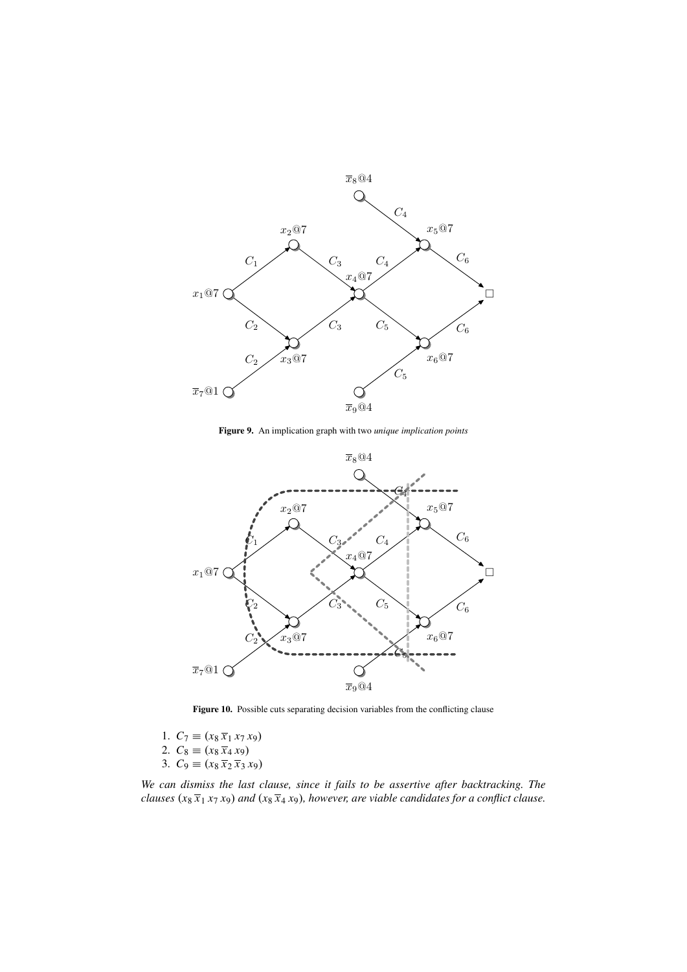

Figure 9. An implication graph with two *unique implication points*



Figure 10. Possible cuts separating decision variables from the conflicting clause

1.  $C_7 \equiv (x_8 \overline{x}_1 x_7 x_9)$ 2.  $C_8 \equiv (x_8 \overline{x}_4 x_9)$ 3.  $C_9 \equiv (x_8 \overline{x}_2 \overline{x}_3 \overline{x}_9)$ 

*We can dismiss the last clause, since it fails to be assertive after backtracking. The clauses* ( $x_8 \overline{x}_1 x_7 x_9$ ) *and* ( $x_8 \overline{x}_4 x_9$ )*, however, are viable candidates for a conflict clause.*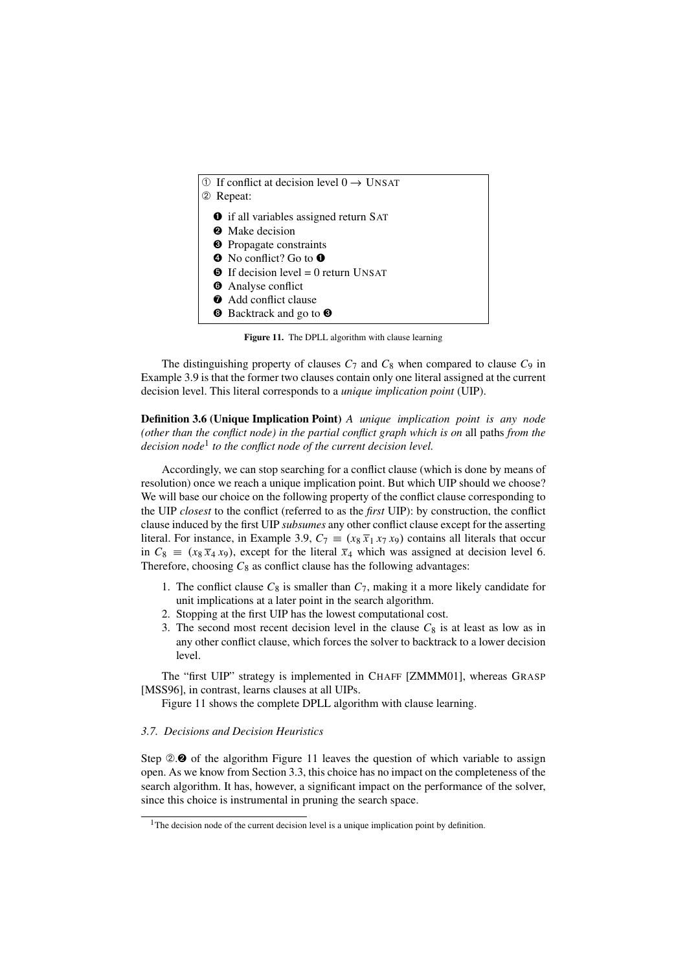

Figure 11. The DPLL algorithm with clause learning

The distinguishing property of clauses  $C_7$  and  $C_8$  when compared to clause  $C_9$  in Example 3.9 is that the former two clauses contain only one literal assigned at the current decision level. This literal corresponds to a *unique implication point* (UIP).

Definition 3.6 (Unique Implication Point) *A unique implication point is any node (other than the conflict node) in the partial conflict graph which is on* all paths *from the decision node*<sup>1</sup> *to the conflict node of the current decision level.*

Accordingly, we can stop searching for a conflict clause (which is done by means of resolution) once we reach a unique implication point. But which UIP should we choose? We will base our choice on the following property of the conflict clause corresponding to the UIP *closest* to the conflict (referred to as the *first* UIP): by construction, the conflict clause induced by the first UIP *subsumes* any other conflict clause except for the asserting literal. For instance, in Example 3.9,  $C_7 \equiv (x_8 \overline{x}_1 x_7 x_9)$  contains all literals that occur in  $C_8 \equiv (x_8 \overline{x}_4 x_9)$ , except for the literal  $\overline{x}_4$  which was assigned at decision level 6. Therefore, choosing  $C_8$  as conflict clause has the following advantages:

- 1. The conflict clause  $C_8$  is smaller than  $C_7$ , making it a more likely candidate for unit implications at a later point in the search algorithm.
- 2. Stopping at the first UIP has the lowest computational cost.
- 3. The second most recent decision level in the clause  $C_8$  is at least as low as in any other conflict clause, which forces the solver to backtrack to a lower decision level.

The "first UIP" strategy is implemented in CHAFF [ZMMM01], whereas GRASP [MSS96], in contrast, learns clauses at all UIPs.

Figure 11 shows the complete DPLL algorithm with clause learning.

#### *3.7. Decisions and Decision Heuristics*

Step  $\mathcal{Q}.\mathbf{\Theta}$  of the algorithm Figure 11 leaves the question of which variable to assign open. As we know from Section 3.3, this choice has no impact on the completeness of the search algorithm. It has, however, a significant impact on the performance of the solver, since this choice is instrumental in pruning the search space.

<sup>&</sup>lt;sup>1</sup>The decision node of the current decision level is a unique implication point by definition.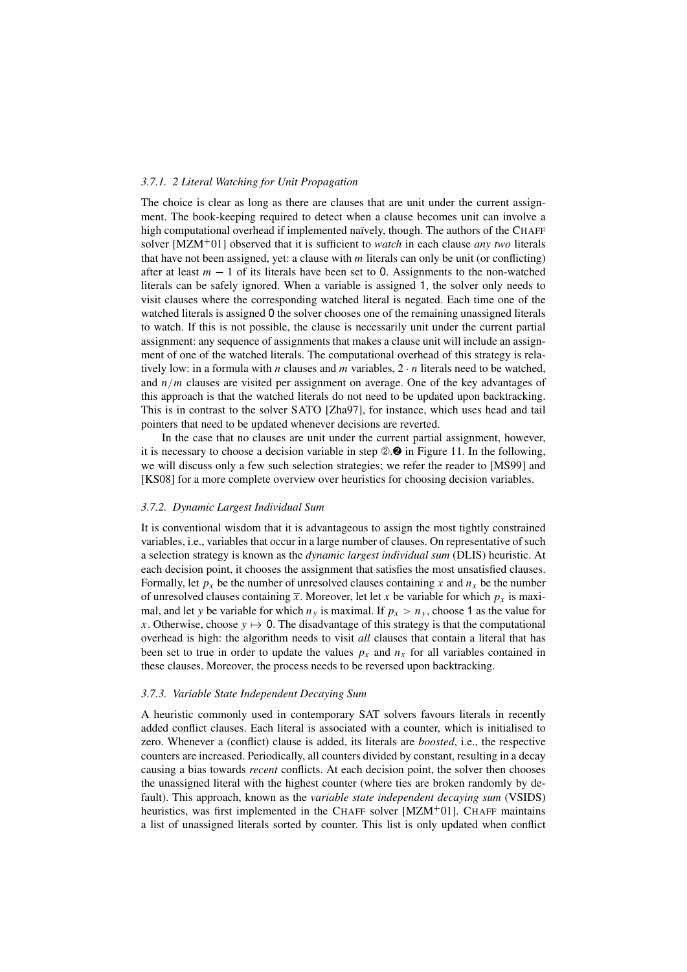# *3.7.1. 2 Literal Watching for Unit Propagation*

The choice is clear as long as there are clauses that are unit under the current assignment. The book-keeping required to detect when a clause becomes unit can involve a high computational overhead if implemented naïvely, though. The authors of the CHAFF solver [MZM+01] observed that it is sufficient to *watch* in each clause *any two* literals that have not been assigned, yet: a clause with *m* literals can only be unit (or conflicting) after at least  $m - 1$  of its literals have been set to 0. Assignments to the non-watched literals can be safely ignored. When a variable is assigned 1, the solver only needs to visit clauses where the corresponding watched literal is negated. Each time one of the watched literals is assigned 0 the solver chooses one of the remaining unassigned literals to watch. If this is not possible, the clause is necessarily unit under the current partial assignment: any sequence of assignments that makes a clause unit will include an assignment of one of the watched literals. The computational overhead of this strategy is relatively low: in a formula with *n* clauses and *m* variables,  $2 \cdot n$  literals need to be watched, and  $n/m$  clauses are visited per assignment on average. One of the key advantages of this approach is that the watched literals do not need to be updated upon backtracking. This is in contrast to the solver SATO [Zha97], for instance, which uses head and tail pointers that need to be updated whenever decisions are reverted.

In the case that no clauses are unit under the current partial assignment, however, it is necessary to choose a decision variable in step  $\mathcal{Q}.\mathbf{\Theta}$  in Figure 11. In the following, we will discuss only a few such selection strategies; we refer the reader to [MS99] and [KS08] for a more complete overview over heuristics for choosing decision variables.

#### *3.7.2. Dynamic Largest Individual Sum*

It is conventional wisdom that it is advantageous to assign the most tightly constrained variables, i.e., variables that occur in a large number of clauses. On representative of such a selection strategy is known as the *dynamic largest individual sum* (DLIS) heuristic. At each decision point, it chooses the assignment that satisfies the most unsatisfied clauses. Formally, let  $p_x$  be the number of unresolved clauses containing x and  $n_x$  be the number of unresolved clauses containing  $\overline{x}$ . Moreover, let let *x* be variable for which  $p_x$  is maximal, and let *y* be variable for which  $n_y$  is maximal. If  $p_x > n_y$ , choose 1 as the value for *x*. Otherwise, choose  $y \mapsto 0$ . The disadvantage of this strategy is that the computational overhead is high: the algorithm needs to visit *all* clauses that contain a literal that has been set to true in order to update the values  $p_x$  and  $n_x$  for all variables contained in these clauses. Moreover, the process needs to be reversed upon backtracking.

#### *3.7.3. Variable State Independent Decaying Sum*

A heuristic commonly used in contemporary SAT solvers favours literals in recently added conflict clauses. Each literal is associated with a counter, which is initialised to zero. Whenever a (conflict) clause is added, its literals are *boosted*, i.e., the respective counters are increased. Periodically, all counters divided by constant, resulting in a decay causing a bias towards *recent* conflicts. At each decision point, the solver then chooses the unassigned literal with the highest counter (where ties are broken randomly by default). This approach, known as the *variable state independent decaying sum* (VSIDS) heuristics, was first implemented in the CHAFF solver [MZM+01]. CHAFF maintains a list of unassigned literals sorted by counter. This list is only updated when conflict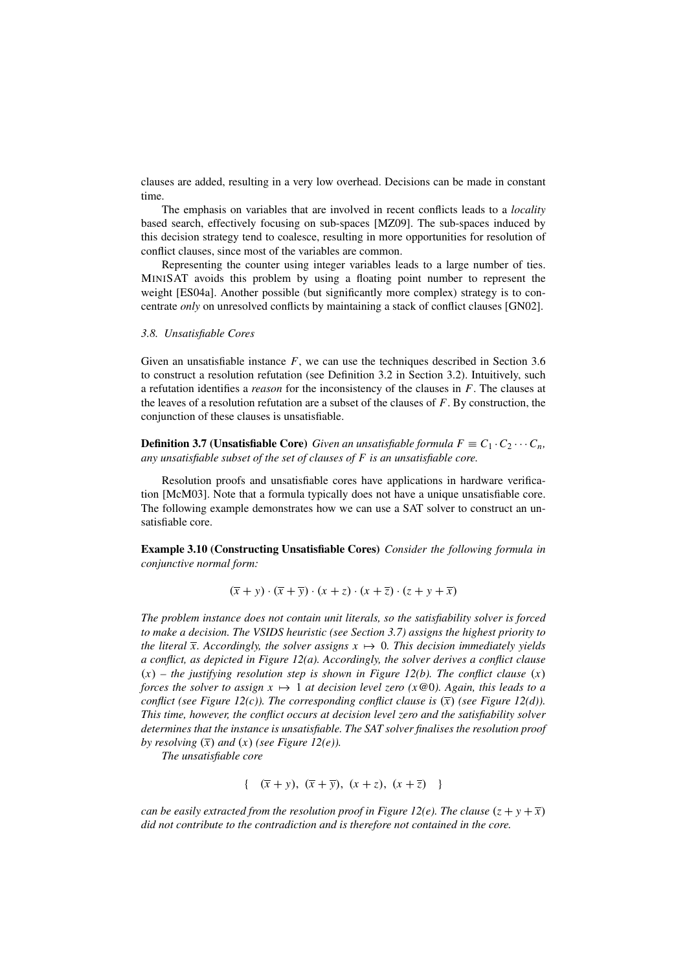clauses are added, resulting in a very low overhead. Decisions can be made in constant time.

The emphasis on variables that are involved in recent conflicts leads to a *locality* based search, effectively focusing on sub-spaces [MZ09]. The sub-spaces induced by this decision strategy tend to coalesce, resulting in more opportunities for resolution of conflict clauses, since most of the variables are common.

Representing the counter using integer variables leads to a large number of ties. MINISAT avoids this problem by using a floating point number to represent the weight [ES04a]. Another possible (but significantly more complex) strategy is to concentrate *only* on unresolved conflicts by maintaining a stack of conflict clauses [GN02].

#### *3.8. Unsatisfiable Cores*

Given an unsatisfiable instance *F*, we can use the techniques described in Section 3.6 to construct a resolution refutation (see Definition 3.2 in Section 3.2). Intuitively, such a refutation identifies a *reason* for the inconsistency of the clauses in *F*. The clauses at the leaves of a resolution refutation are a subset of the clauses of *F*. By construction, the conjunction of these clauses is unsatisfiable.

**Definition 3.7 (Unsatisfiable Core)** *Given an unsatisfiable formula F*  $\equiv C_1 \cdot C_2 \cdots C_n$ , *any unsatisfiable subset of the set of clauses of F is an unsatisfiable core.*

Resolution proofs and unsatisfiable cores have applications in hardware verification [McM03]. Note that a formula typically does not have a unique unsatisfiable core. The following example demonstrates how we can use a SAT solver to construct an unsatisfiable core.

Example 3.10 (Constructing Unsatisfiable Cores) *Consider the following formula in conjunctive normal form:*

$$
(\overline{x} + y) \cdot (\overline{x} + \overline{y}) \cdot (x + z) \cdot (x + \overline{z}) \cdot (z + y + \overline{x})
$$

*The problem instance does not contain unit literals, so the satisfiability solver is forced to make a decision. The VSIDS heuristic (see Section 3.7) assigns the highest priority to the literal*  $\bar{x}$ *. Accordingly, the solver assigns*  $x \mapsto 0$ *. This decision immediately yields a conflict, as depicted in Figure 12(a). Accordingly, the solver derives a conflict clause*  $(x)$  – the justifying resolution step is shown in Figure 12(b). The conflict clause  $(x)$ *forces the solver to assign*  $x \mapsto 1$  *at decision level zero (x* $@0$ ). Again, this leads to a *conflict (see Figure 12(c)). The corresponding conflict clause is*  $(\bar{x})$  *(see Figure 12(d)). This time, however, the conflict occurs at decision level zero and the satisfiability solver determines that the instance is unsatisfiable. The SAT solver finalises the resolution proof by resolving*  $(\bar{x})$  *and*  $(x)$  *(see Figure 12(e)).* 

*The unsatisfiable core*

$$
\{\quad (\overline{x} + y), \ (\overline{x} + \overline{y}), \ (x + z), \ (x + \overline{z})\quad \}
$$

*can be easily extracted from the resolution proof in Figure 12(e). The clause*  $(z + y + \overline{x})$ *did not contribute to the contradiction and is therefore not contained in the core.*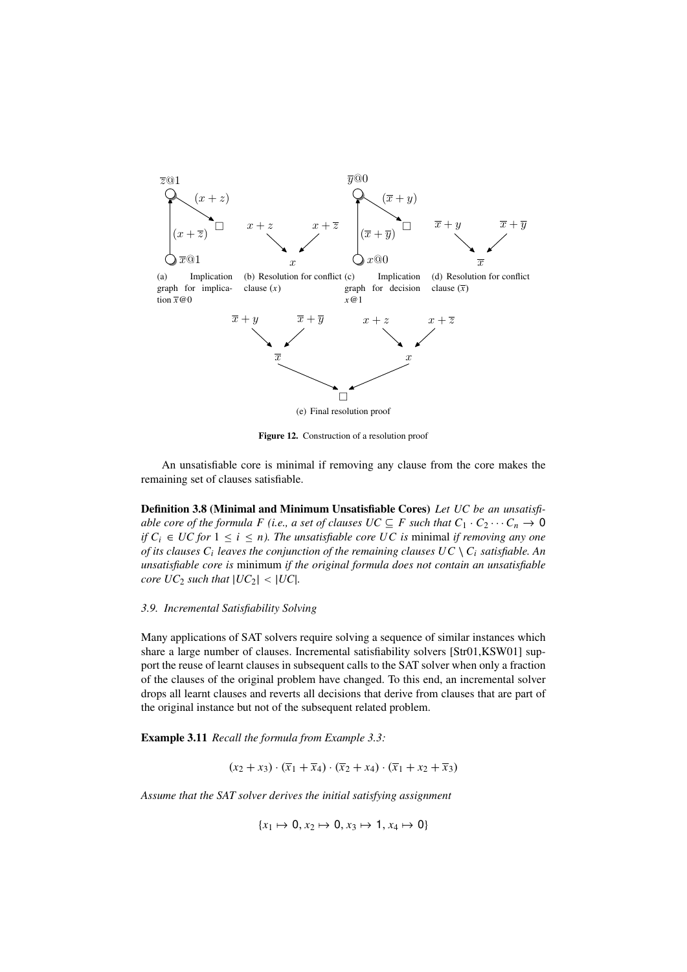

Figure 12. Construction of a resolution proof

An unsatisfiable core is minimal if removing any clause from the core makes the remaining set of clauses satisfiable.

Definition 3.8 (Minimal and Minimum Unsatisfiable Cores) *Let UC be an unsatisfiable core of the formula F (i.e., a set of clauses*  $UC \subseteq F$  *such that*  $C_1 \cdot C_2 \cdots C_n \rightarrow 0$ *if*  $C_i$  ∈ *UC* for  $1 \le i \le n$ ). The unsatisfiable core UC is minimal *if removing any one of its clauses*  $C_i$  *leaves the conjunction of the remaining clauses*  $UC \setminus C_i$  *satisfiable. An unsatisfiable core is* minimum *if the original formula does not contain an unsatisfiable core*  $UC_2$  *such that*  $|UC_2| < |UC|$ *.* 

#### *3.9. Incremental Satisfiability Solving*

Many applications of SAT solvers require solving a sequence of similar instances which share a large number of clauses. Incremental satisfiability solvers [Str01,KSW01] support the reuse of learnt clauses in subsequent calls to the SAT solver when only a fraction of the clauses of the original problem have changed. To this end, an incremental solver drops all learnt clauses and reverts all decisions that derive from clauses that are part of the original instance but not of the subsequent related problem.

Example 3.11 *Recall the formula from Example 3.3:*

 $(x_2 + x_3) \cdot (\overline{x}_1 + \overline{x}_4) \cdot (\overline{x}_2 + x_4) \cdot (\overline{x}_1 + x_2 + \overline{x}_3)$ 

*Assume that the SAT solver derives the initial satisfying assignment*

$$
\{x_1 \mapsto 0, x_2 \mapsto 0, x_3 \mapsto 1, x_4 \mapsto 0\}
$$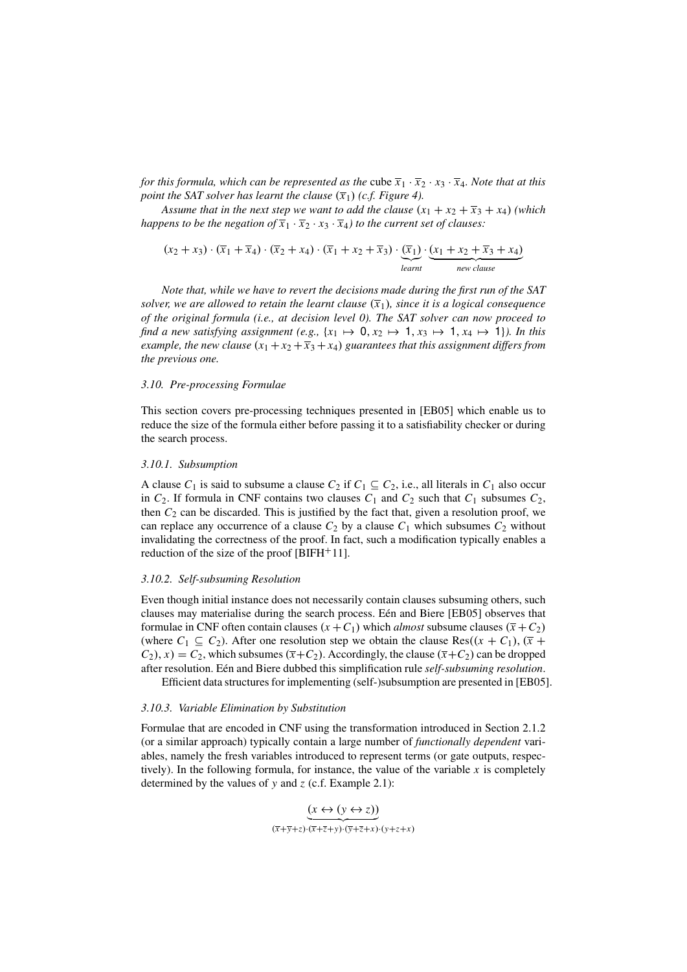*for this formula, which can be represented as the cube*  $\overline{x}_1 \cdot \overline{x}_2 \cdot x_3 \cdot \overline{x}_4$ *. Note that at this point the SAT solver has learnt the clause*  $(\overline{x}_1)$  *(c.f. Figure 4).* 

*Assume that in the next step we want to add the clause*  $(x_1 + x_2 + \overline{x}_3 + x_4)$  *(which happens to be the negation of*  $\overline{x}_1 \cdot \overline{x}_2 \cdot x_3 \cdot \overline{x}_4$ *) to the current set of clauses:* 

$$
(x_2 + x_3) \cdot (\overline{x}_1 + \overline{x}_4) \cdot (\overline{x}_2 + x_4) \cdot (\overline{x}_1 + x_2 + \overline{x}_3) \cdot \underbrace{(\overline{x}_1)}_{\text{learn}} \cdot \underbrace{(x_1 + x_2 + \overline{x}_3 + x_4)}_{\text{new clause}}
$$

*Note that, while we have to revert the decisions made during the first run of the SAT solver, we are allowed to retain the learnt clause*  $(\bar{x}_1)$ *, since it is a logical consequence of the original formula (i.e., at decision level 0). The SAT solver can now proceed to find a new satisfying assignment (e.g.,*  $\{x_1 \mapsto 0, x_2 \mapsto 1, x_3 \mapsto 1, x_4 \mapsto 1\}$ *). In this example, the new clause*  $(x_1 + x_2 + \overline{x}_3 + x_4)$  *guarantees that this assignment differs from the previous one.*

## *3.10. Pre-processing Formulae*

This section covers pre-processing techniques presented in [EB05] which enable us to reduce the size of the formula either before passing it to a satisfiability checker or during the search process.

#### *3.10.1. Subsumption*

A clause  $C_1$  is said to subsume a clause  $C_2$  if  $C_1 \subseteq C_2$ , i.e., all literals in  $C_1$  also occur in  $C_2$ . If formula in CNF contains two clauses  $C_1$  and  $C_2$  such that  $C_1$  subsumes  $C_2$ , then  $C_2$  can be discarded. This is justified by the fact that, given a resolution proof, we can replace any occurrence of a clause  $C_2$  by a clause  $C_1$  which subsumes  $C_2$  without invalidating the correctness of the proof. In fact, such a modification typically enables a reduction of the size of the proof [BIFH<sup>+</sup>11].

## *3.10.2. Self-subsuming Resolution*

Even though initial instance does not necessarily contain clauses subsuming others, such clauses may materialise during the search process. Een and Biere [EB05] observes that ´ formulae in CNF often contain clauses  $(x + C_1)$  which *almost* subsume clauses  $(\overline{x} + C_2)$ (where  $C_1 \subseteq C_2$ ). After one resolution step we obtain the clause Res( $(x + C_1)$ ,  $(\overline{x} + C_1)$  $C_2$ , *x*) =  $C_2$ , which subsumes ( $\overline{x}$ + $C_2$ ). Accordingly, the clause ( $\overline{x}$ + $C_2$ ) can be dropped after resolution. Eén and Biere dubbed this simplification rule self-subsuming resolution.

Efficient data structures for implementing (self-)subsumption are presented in [EB05].

#### *3.10.3. Variable Elimination by Substitution*

Formulae that are encoded in CNF using the transformation introduced in Section 2.1.2 (or a similar approach) typically contain a large number of *functionally dependent* variables, namely the fresh variables introduced to represent terms (or gate outputs, respectively). In the following formula, for instance, the value of the variable  $x$  is completely determined by the values of *y* and *z* (c.f. Example 2.1):

$$
\underbrace{(x \leftrightarrow (y \leftrightarrow z))}_{(\overline{x} + \overline{y} + z) \cdot (\overline{x} + \overline{z} + y) \cdot (\overline{y} + \overline{z} + x) \cdot (y + z + x)}
$$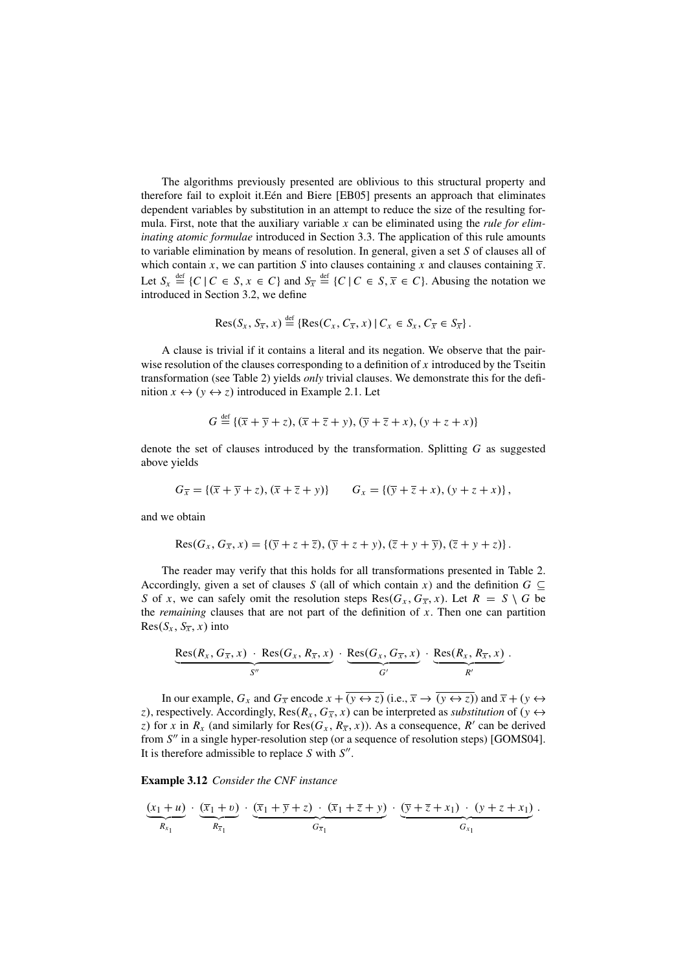The algorithms previously presented are oblivious to this structural property and therefore fail to exploit it.Een and Biere [EB05] presents an approach that eliminates ´ dependent variables by substitution in an attempt to reduce the size of the resulting formula. First, note that the auxiliary variable *x* can be eliminated using the *rule for eliminating atomic formulae* introduced in Section 3.3. The application of this rule amounts to variable elimination by means of resolution. In general, given a set *S* of clauses all of which contain *x*, we can partition *S* into clauses containing *x* and clauses containing  $\overline{x}$ . Let  $S_x \stackrel{\text{def}}{=} \{C \mid C \in S, x \in C\}$  and  $S_x \stackrel{\text{def}}{=} \{C \mid C \in S, \overline{x} \in C\}$ . Abusing the notation we introduced in Section 3.2, we define

$$
\mathrm{Res}(S_x, S_{\overline{x}}, x) \stackrel{\text{def}}{=} \{ \mathrm{Res}(C_x, C_{\overline{x}}, x) \mid C_x \in S_x, C_{\overline{x}} \in S_{\overline{x}} \}.
$$

A clause is trivial if it contains a literal and its negation. We observe that the pairwise resolution of the clauses corresponding to a definition of *x* introduced by the Tseitin transformation (see Table 2) yields *only* trivial clauses. We demonstrate this for the definition  $x \leftrightarrow (y \leftrightarrow z)$  introduced in Example 2.1. Let

$$
G \stackrel{\text{def}}{=} \{ (\overline{x} + \overline{y} + z), (\overline{x} + \overline{z} + y), (\overline{y} + \overline{z} + x), (y + z + x) \}
$$

denote the set of clauses introduced by the transformation. Splitting *G* as suggested above yields

$$
G_{\overline{x}} = \{(\overline{x} + \overline{y} + z), (\overline{x} + \overline{z} + y)\} \qquad G_x = \{(\overline{y} + \overline{z} + x), (y + z + x)\},\
$$

and we obtain

$$
Res(G_x, G_{\overline{x}}, x) = \{(\overline{y} + z + \overline{z}), (\overline{y} + z + y), (\overline{z} + y + \overline{y}), (\overline{z} + y + z)\}.
$$

The reader may verify that this holds for all transformations presented in Table 2. Accordingly, given a set of clauses *S* (all of which contain *x*) and the definition  $G \subseteq$ *S* of *x*, we can safely omit the resolution steps  $\text{Res}(G_x, G_{\overline{x}}, x)$ . Let  $R = S \setminus G$  be the *remaining* clauses that are not part of the definition of  $x$ . Then one can partition  $Res(S_x, S_{\overline{x}}, x)$  into

$$
\underbrace{\text{Res}(R_x, G_{\overline{x}}, x) \cdot \text{Res}(G_x, R_{\overline{x}}, x)}_{S''} \cdot \underbrace{\text{Res}(G_x, G_{\overline{x}}, x)}_{G'} \cdot \underbrace{\text{Res}(R_x, R_{\overline{x}}, x)}_{R'}.
$$

In our example,  $G_x$  and  $G_{\overline{x}}$  encode  $x + \overline{(y \leftrightarrow z)}$  (i.e.,  $\overline{x} \to \overline{(y \leftrightarrow z)}$ ) and  $\overline{x} + (y \leftrightarrow z)$ *z*), respectively. Accordingly, Res( $R_x$ ,  $G_{\overline{x}}$ , *x*) can be interpreted as *substitution* of (*y*  $\leftrightarrow$ *z*) for *x* in  $R_x$  (and similarly for  $\text{Res}(G_x, R_{\overline{x}}, x)$ ). As a consequence, *R'* can be derived from *S''* in a single hyper-resolution step (or a sequence of resolution steps) [GOMS04]. It is therefore admissible to replace  $S$  with  $S''$ .

Example 3.12 *Consider the CNF instance*

$$
\underbrace{(x_1+u)}_{R_{x_1}} \cdot \underbrace{(\overline{x}_1+v)}_{R_{\overline{x}_1}} \cdot \underbrace{(\overline{x}_1+\overline{y}+z)\cdot(\overline{x}_1+\overline{z}+y)}_{G_{\overline{x}_1}} \cdot \underbrace{(\overline{y}+\overline{z}+x_1)\cdot(y+z+x_1)}_{G_{x_1}}.
$$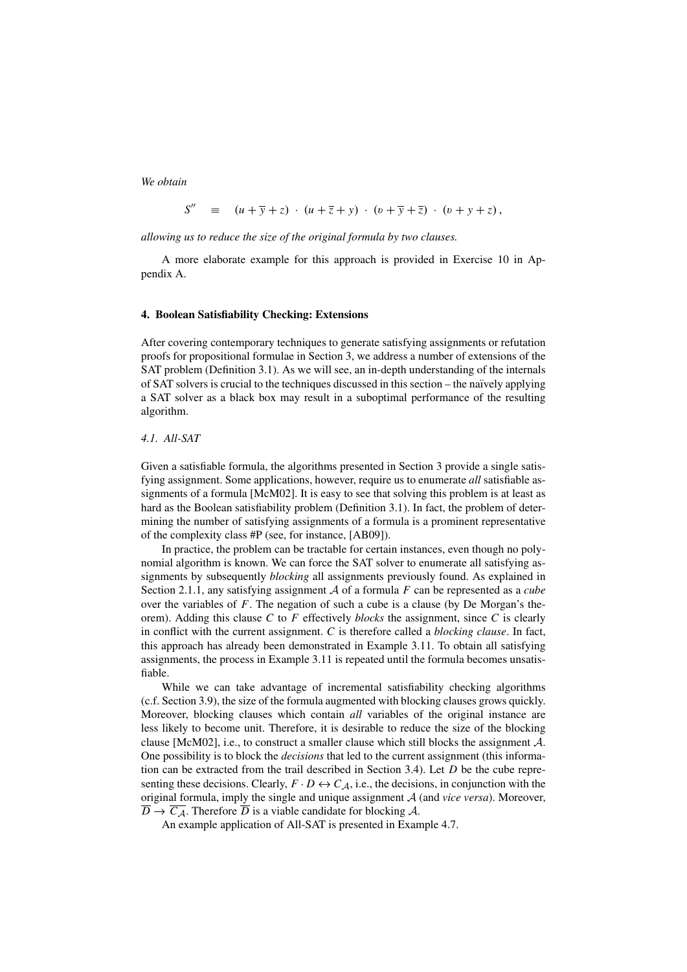*We obtain*

$$
S'' \equiv (u + \overline{y} + z) \cdot (u + \overline{z} + y) \cdot (v + \overline{y} + \overline{z}) \cdot (v + y + z),
$$

*allowing us to reduce the size of the original formula by two clauses.*

A more elaborate example for this approach is provided in Exercise 10 in Appendix A.

#### 4. Boolean Satisfiability Checking: Extensions

After covering contemporary techniques to generate satisfying assignments or refutation proofs for propositional formulae in Section 3, we address a number of extensions of the SAT problem (Definition 3.1). As we will see, an in-depth understanding of the internals of SAT solvers is crucial to the techniques discussed in this section – the naïvely applying a SAT solver as a black box may result in a suboptimal performance of the resulting algorithm.

# *4.1. All-SAT*

Given a satisfiable formula, the algorithms presented in Section 3 provide a single satisfying assignment. Some applications, however, require us to enumerate *all* satisfiable assignments of a formula [McM02]. It is easy to see that solving this problem is at least as hard as the Boolean satisfiability problem (Definition 3.1). In fact, the problem of determining the number of satisfying assignments of a formula is a prominent representative of the complexity class #P (see, for instance, [AB09]).

In practice, the problem can be tractable for certain instances, even though no polynomial algorithm is known. We can force the SAT solver to enumerate all satisfying assignments by subsequently *blocking* all assignments previously found. As explained in Section 2.1.1, any satisfying assignment A of a formula *F* can be represented as a *cube* over the variables of *F*. The negation of such a cube is a clause (by De Morgan's theorem). Adding this clause *C* to *F* effectively *blocks* the assignment, since *C* is clearly in conflict with the current assignment. *C* is therefore called a *blocking clause*. In fact, this approach has already been demonstrated in Example 3.11. To obtain all satisfying assignments, the process in Example 3.11 is repeated until the formula becomes unsatisfiable.

While we can take advantage of incremental satisfiability checking algorithms (c.f. Section 3.9), the size of the formula augmented with blocking clauses grows quickly. Moreover, blocking clauses which contain *all* variables of the original instance are less likely to become unit. Therefore, it is desirable to reduce the size of the blocking clause [McM02], i.e., to construct a smaller clause which still blocks the assignment A. One possibility is to block the *decisions* that led to the current assignment (this information can be extracted from the trail described in Section 3.4). Let *D* be the cube representing these decisions. Clearly,  $F \cdot D \leftrightarrow C_A$ , i.e., the decisions, in conjunction with the original formula, imply the single and unique assignment A (and *vice versa*). Moreover,  $\overline{D}$   $\rightarrow$   $\overline{C_A}$ . Therefore  $\overline{D}$  is a viable candidate for blocking A.

An example application of All-SAT is presented in Example 4.7.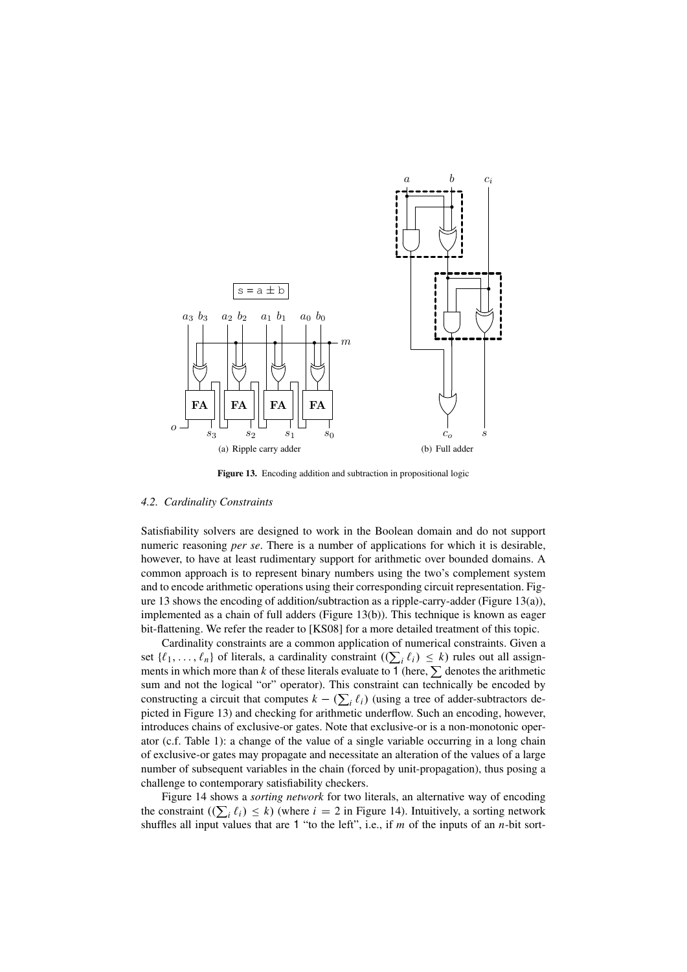

Figure 13. Encoding addition and subtraction in propositional logic

#### *4.2. Cardinality Constraints*

Satisfiability solvers are designed to work in the Boolean domain and do not support numeric reasoning *per se*. There is a number of applications for which it is desirable, however, to have at least rudimentary support for arithmetic over bounded domains. A common approach is to represent binary numbers using the two's complement system and to encode arithmetic operations using their corresponding circuit representation. Figure 13 shows the encoding of addition/subtraction as a ripple-carry-adder (Figure 13(a)), implemented as a chain of full adders (Figure 13(b)). This technique is known as eager bit-flattening. We refer the reader to [KS08] for a more detailed treatment of this topic.

Cardinality constraints are a common application of numerical constraints. Given a set  $\{\ell_1, \ldots, \ell_n\}$  of literals, a cardinality constraint  $((\sum_i \ell_i) \le k)$  rules out all assignments in which more than *k* of these literals evaluate to 1 (here,  $\sum$  denotes the arithmetic sum and not the logical "or" operator). This constraint can technically be encoded by constructing a circuit that computes  $k - (\sum_i \ell_i)$  (using a tree of adder-subtractors depicted in Figure 13) and checking for arithmetic underflow. Such an encoding, however, introduces chains of exclusive-or gates. Note that exclusive-or is a non-monotonic operator (c.f. Table 1): a change of the value of a single variable occurring in a long chain of exclusive-or gates may propagate and necessitate an alteration of the values of a large number of subsequent variables in the chain (forced by unit-propagation), thus posing a challenge to contemporary satisfiability checkers.

Figure 14 shows a *sorting network* for two literals, an alternative way of encoding the constraint  $((\sum_i \ell_i) \le k)$  (where  $i = 2$  in Figure 14). Intuitively, a sorting network shuffles all input values that are 1 "to the left", i.e., if *m* of the inputs of an *n*-bit sort-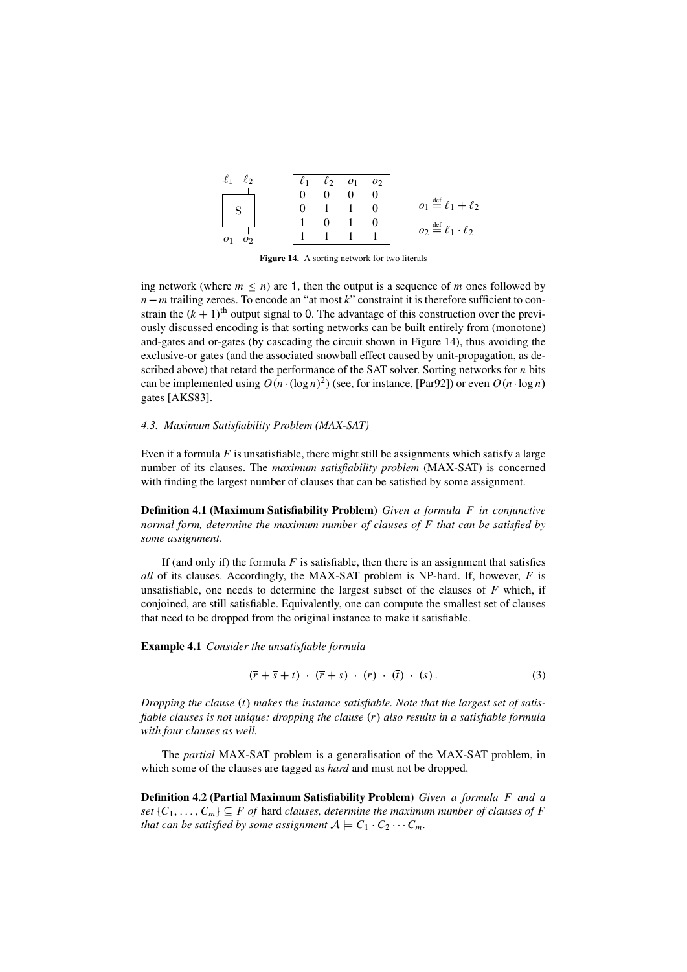| $\Omega$ | $\ell_{2}$ | 02 |                                                    |
|----------|------------|----|----------------------------------------------------|
|          |            |    |                                                    |
|          |            |    | $o_1 \stackrel{\text{def}}{=} \ell_1 + \ell_2$     |
|          |            |    | $o_2 \stackrel{\text{def}}{=} \ell_1 \cdot \ell_2$ |
|          |            |    |                                                    |

Figure 14. A sorting network for two literals

ing network (where  $m \leq n$ ) are 1, then the output is a sequence of *m* ones followed by *n*−*m* trailing zeroes. To encode an "at most *k*" constraint it is therefore sufficient to constrain the  $(k + 1)$ <sup>th</sup> output signal to 0. The advantage of this construction over the previously discussed encoding is that sorting networks can be built entirely from (monotone) and-gates and or-gates (by cascading the circuit shown in Figure 14), thus avoiding the exclusive-or gates (and the associated snowball effect caused by unit-propagation, as described above) that retard the performance of the SAT solver. Sorting networks for *n* bits can be implemented using  $O(n \cdot (\log n)^2)$  (see, for instance, [Par92]) or even  $O(n \cdot \log n)$ gates [AKS83].

#### *4.3. Maximum Satisfiability Problem (MAX-SAT)*

Even if a formula  $F$  is unsatisfiable, there might still be assignments which satisfy a large number of its clauses. The *maximum satisfiability problem* (MAX-SAT) is concerned with finding the largest number of clauses that can be satisfied by some assignment.

Definition 4.1 (Maximum Satisfiability Problem) *Given a formula F in conjunctive normal form, determine the maximum number of clauses of F that can be satisfied by some assignment.*

If (and only if) the formula  $F$  is satisfiable, then there is an assignment that satisfies *all* of its clauses. Accordingly, the MAX-SAT problem is NP-hard. If, however, *F* is unsatisfiable, one needs to determine the largest subset of the clauses of *F* which, if conjoined, are still satisfiable. Equivalently, one can compute the smallest set of clauses that need to be dropped from the original instance to make it satisfiable.

Example 4.1 *Consider the unsatisfiable formula*

$$
(\overline{r} + \overline{s} + t) \cdot (\overline{r} + s) \cdot (r) \cdot (\overline{t}) \cdot (s).
$$
 (3)

*Dropping the clause* (*t*) *makes the instance satisfiable. Note that the largest set of satisfiable clauses is not unique: dropping the clause* (*r*) *also results in a satisfiable formula with four clauses as well.*

The *partial* MAX-SAT problem is a generalisation of the MAX-SAT problem, in which some of the clauses are tagged as *hard* and must not be dropped.

Definition 4.2 (Partial Maximum Satisfiability Problem) *Given a formula F and a set*  $\{C_1, \ldots, C_m\} \subseteq F$  *of* hard *clauses, determine the maximum number of clauses of* F *that can be satisfied by some assignment*  $A \models C_1 \cdot C_2 \cdots C_m$ *.*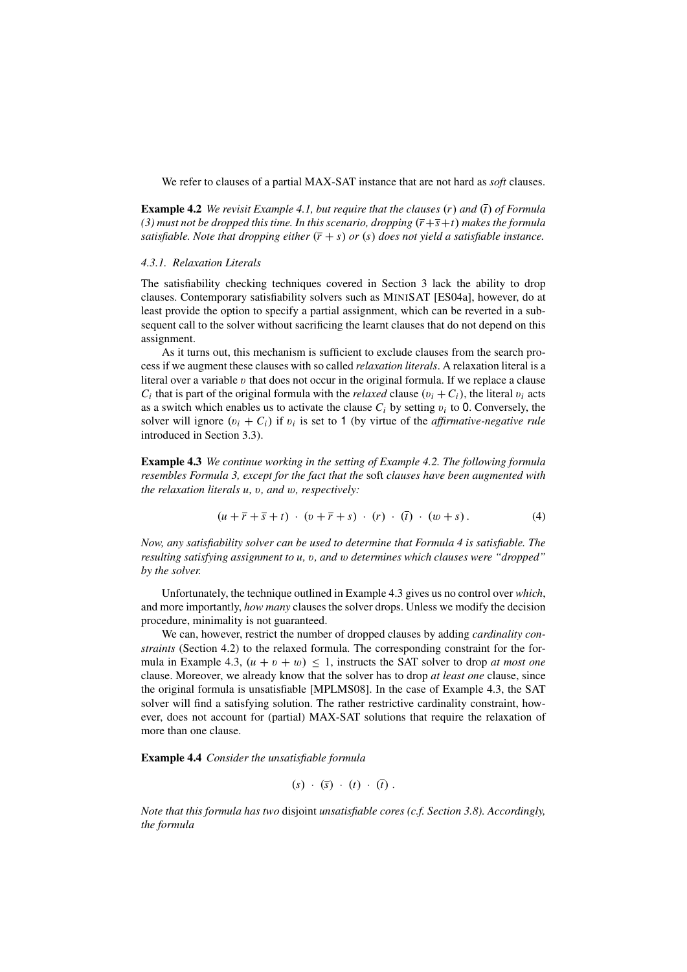We refer to clauses of a partial MAX-SAT instance that are not hard as *soft* clauses.

Example 4.2 *We revisit Example 4.1, but require that the clauses* (*r*) *and* (*t*) *of Formula*  $(3)$  must not be dropped this time. In this scenario, dropping  $(\overline{r} + \overline{s} + t)$  makes the formula *satisfiable. Note that dropping either*  $(\overline{r} + s)$  *or*  $(s)$  *does not yield a satisfiable instance.* 

#### *4.3.1. Relaxation Literals*

The satisfiability checking techniques covered in Section 3 lack the ability to drop clauses. Contemporary satisfiability solvers such as MINISAT [ES04a], however, do at least provide the option to specify a partial assignment, which can be reverted in a subsequent call to the solver without sacrificing the learnt clauses that do not depend on this assignment.

As it turns out, this mechanism is sufficient to exclude clauses from the search process if we augment these clauses with so called *relaxation literals*. A relaxation literal is a literal over a variable  $v$  that does not occur in the original formula. If we replace a clause  $C_i$  that is part of the original formula with the *relaxed* clause  $(v_i + C_i)$ , the literal  $v_i$  acts as a switch which enables us to activate the clause  $C_i$  by setting  $v_i$  to 0. Conversely, the solver will ignore  $(v_i + C_i)$  if  $v_i$  is set to 1 (by virtue of the *affirmative-negative rule* introduced in Section 3.3).

Example 4.3 *We continue working in the setting of Example 4.2. The following formula resembles Formula 3, except for the fact that the* soft *clauses have been augmented with the relaxation literals u,* v*, and* w*, respectively:*

$$
(u + \overline{r} + \overline{s} + t) \cdot (v + \overline{r} + s) \cdot (r) \cdot (\overline{t}) \cdot (w + s). \tag{4}
$$

*Now, any satisfiability solver can be used to determine that Formula 4 is satisfiable. The resulting satisfying assignment to u,* v*, and* w *determines which clauses were "dropped" by the solver.*

Unfortunately, the technique outlined in Example 4.3 gives us no control over *which*, and more importantly, *how many* clauses the solver drops. Unless we modify the decision procedure, minimality is not guaranteed.

We can, however, restrict the number of dropped clauses by adding *cardinality constraints* (Section 4.2) to the relaxed formula. The corresponding constraint for the formula in Example 4.3,  $(u + v + w) \le 1$ , instructs the SAT solver to drop *at most one* clause. Moreover, we already know that the solver has to drop *at least one* clause, since the original formula is unsatisfiable [MPLMS08]. In the case of Example 4.3, the SAT solver will find a satisfying solution. The rather restrictive cardinality constraint, however, does not account for (partial) MAX-SAT solutions that require the relaxation of more than one clause.

Example 4.4 *Consider the unsatisfiable formula*

$$
(s) \cdot (\overline{s}) \cdot (t) \cdot (\overline{t}).
$$

*Note that this formula has two* disjoint *unsatisfiable cores (c.f. Section 3.8). Accordingly, the formula*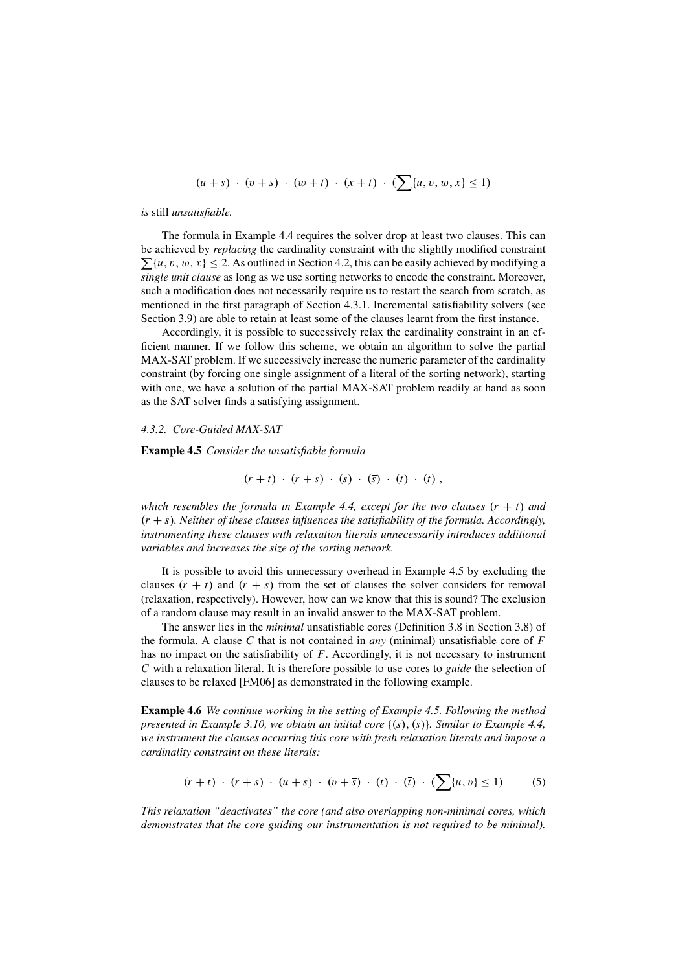$$
(u+s) \cdot (v+\overline{s}) \cdot (w+t) \cdot (x+\overline{t}) \cdot (\sum \{u, v, w, x\} \le 1)
$$

*is* still *unsatisfiable.*

The formula in Example 4.4 requires the solver drop at least two clauses. This can be achieved by *replacing* the cardinality constraint with the slightly modified constraint  $\sum$ {*u*, *v*, *w*, *x*}  $\le$  2. As outlined in Section 4.2, this can be easily achieved by modifying a *single unit clause* as long as we use sorting networks to encode the constraint. Moreover, such a modification does not necessarily require us to restart the search from scratch, as mentioned in the first paragraph of Section 4.3.1. Incremental satisfiability solvers (see Section 3.9) are able to retain at least some of the clauses learnt from the first instance.

Accordingly, it is possible to successively relax the cardinality constraint in an efficient manner. If we follow this scheme, we obtain an algorithm to solve the partial MAX-SAT problem. If we successively increase the numeric parameter of the cardinality constraint (by forcing one single assignment of a literal of the sorting network), starting with one, we have a solution of the partial MAX-SAT problem readily at hand as soon as the SAT solver finds a satisfying assignment.

#### *4.3.2. Core-Guided MAX-SAT*

Example 4.5 *Consider the unsatisfiable formula*

$$
(r+t)\cdot (r+s)\cdot (s)\cdot (\overline{s})\cdot (t)\cdot (\overline{t}),
$$

*which resembles the formula in Example 4.4, except for the two clauses*  $(r + t)$  *and* (*r* + *s*)*. Neither of these clauses influences the satisfiability of the formula. Accordingly, instrumenting these clauses with relaxation literals unnecessarily introduces additional variables and increases the size of the sorting network.*

It is possible to avoid this unnecessary overhead in Example 4.5 by excluding the clauses  $(r + t)$  and  $(r + s)$  from the set of clauses the solver considers for removal (relaxation, respectively). However, how can we know that this is sound? The exclusion of a random clause may result in an invalid answer to the MAX-SAT problem.

The answer lies in the *minimal* unsatisfiable cores (Definition 3.8 in Section 3.8) of the formula. A clause *C* that is not contained in *any* (minimal) unsatisfiable core of *F* has no impact on the satisfiability of *F*. Accordingly, it is not necessary to instrument *C* with a relaxation literal. It is therefore possible to use cores to *guide* the selection of clauses to be relaxed [FM06] as demonstrated in the following example.

Example 4.6 *We continue working in the setting of Example 4.5. Following the method presented in Example 3.10, we obtain an initial core* {(*s*), (*s*)}*. Similar to Example 4.4, we instrument the clauses occurring this core with fresh relaxation literals and impose a cardinality constraint on these literals:*

$$
(r+t) \cdot (r+s) \cdot (u+s) \cdot (v+\bar{s}) \cdot (t) \cdot (\bar{t}) \cdot (\sum \{u, v\} \le 1) \tag{5}
$$

*This relaxation "deactivates" the core (and also overlapping non-minimal cores, which demonstrates that the core guiding our instrumentation is not required to be minimal).*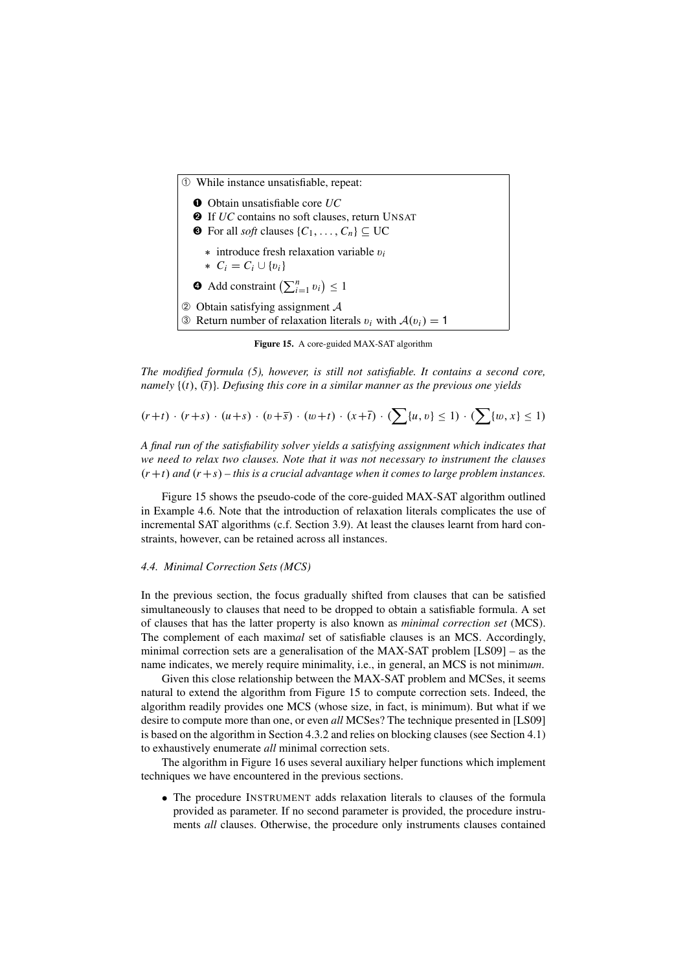➀ While instance unsatisfiable, repeat: ➊ Obtain unsatisfiable core *UC* ➋ If *UC* contains no soft clauses, return UNSAT **☉** For all *soft* clauses  $\{C_1, \ldots, C_n\}$  ⊆ UC ∗ introduce fresh relaxation variable v*<sup>i</sup>* ∗ *C<sup>i</sup>* = *C<sup>i</sup>* ∪ {v*i*}  $\bullet$  Add constraint  $\left(\sum_{i=1}^{n} v_i\right) \leq 1$  $\oslash$  Obtain satisfying assignment  $\mathcal A$  $\circled{}$  Return number of relaxation literals  $v_i$  with  $A(v_i) = 1$ 

Figure 15. A core-guided MAX-SAT algorithm

*The modified formula (5), however, is still not satisfiable. It contains a second core, namely* {(*t*), (*t*)}*. Defusing this core in a similar manner as the previous one yields*

$$
(r+t) \cdot (r+s) \cdot (u+s) \cdot (v+\overline{s}) \cdot (w+t) \cdot (x+\overline{t}) \cdot (\sum \{u, v\} \le 1) \cdot (\sum \{w, x\} \le 1)
$$

*A final run of the satisfiability solver yields a satisfying assignment which indicates that we need to relax two clauses. Note that it was not necessary to instrument the clauses*  $(r+t)$  and  $(r+s)$  – this is a crucial advantage when it comes to large problem instances.

Figure 15 shows the pseudo-code of the core-guided MAX-SAT algorithm outlined in Example 4.6. Note that the introduction of relaxation literals complicates the use of incremental SAT algorithms (c.f. Section 3.9). At least the clauses learnt from hard constraints, however, can be retained across all instances.

#### *4.4. Minimal Correction Sets (MCS)*

In the previous section, the focus gradually shifted from clauses that can be satisfied simultaneously to clauses that need to be dropped to obtain a satisfiable formula. A set of clauses that has the latter property is also known as *minimal correction set* (MCS). The complement of each maxim*al* set of satisfiable clauses is an MCS. Accordingly, minimal correction sets are a generalisation of the MAX-SAT problem [LS09] – as the name indicates, we merely require minimality, i.e., in general, an MCS is not minim*um*.

Given this close relationship between the MAX-SAT problem and MCSes, it seems natural to extend the algorithm from Figure 15 to compute correction sets. Indeed, the algorithm readily provides one MCS (whose size, in fact, is minimum). But what if we desire to compute more than one, or even *all* MCSes? The technique presented in [LS09] is based on the algorithm in Section 4.3.2 and relies on blocking clauses (see Section 4.1) to exhaustively enumerate *all* minimal correction sets.

The algorithm in Figure 16 uses several auxiliary helper functions which implement techniques we have encountered in the previous sections.

• The procedure INSTRUMENT adds relaxation literals to clauses of the formula provided as parameter. If no second parameter is provided, the procedure instruments *all* clauses. Otherwise, the procedure only instruments clauses contained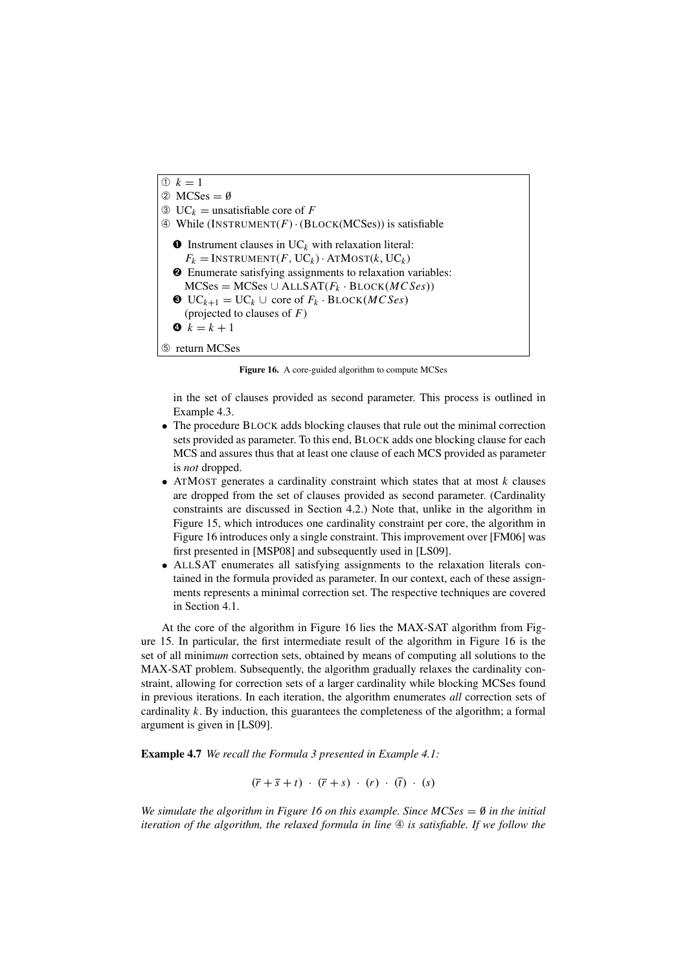

Figure 16. A core-guided algorithm to compute MCSes

in the set of clauses provided as second parameter. This process is outlined in Example 4.3.

- The procedure BLOCK adds blocking clauses that rule out the minimal correction sets provided as parameter. To this end, BLOCK adds one blocking clause for each MCS and assures thus that at least one clause of each MCS provided as parameter is *not* dropped.
- ATMOST generates a cardinality constraint which states that at most *k* clauses are dropped from the set of clauses provided as second parameter. (Cardinality constraints are discussed in Section 4.2.) Note that, unlike in the algorithm in Figure 15, which introduces one cardinality constraint per core, the algorithm in Figure 16 introduces only a single constraint. This improvement over [FM06] was first presented in [MSP08] and subsequently used in [LS09].
- ALLSAT enumerates all satisfying assignments to the relaxation literals contained in the formula provided as parameter. In our context, each of these assignments represents a minimal correction set. The respective techniques are covered in Section 4.1.

At the core of the algorithm in Figure 16 lies the MAX-SAT algorithm from Figure 15. In particular, the first intermediate result of the algorithm in Figure 16 is the set of all minim*um* correction sets, obtained by means of computing all solutions to the MAX-SAT problem. Subsequently, the algorithm gradually relaxes the cardinality constraint, allowing for correction sets of a larger cardinality while blocking MCSes found in previous iterations. In each iteration, the algorithm enumerates *all* correction sets of cardinality *k*. By induction, this guarantees the completeness of the algorithm; a formal argument is given in [LS09].

Example 4.7 *We recall the Formula 3 presented in Example 4.1:*

$$
(\overline{r}+\overline{s}+t)\cdot(\overline{r}+s)\cdot(r)\cdot(\overline{t})\cdot(s)
$$

*We simulate the algorithm in Figure 16 on this example. Since MCSes*  $= \emptyset$  *in the initial iteration of the algorithm, the relaxed formula in line* ➃ *is satisfiable. If we follow the*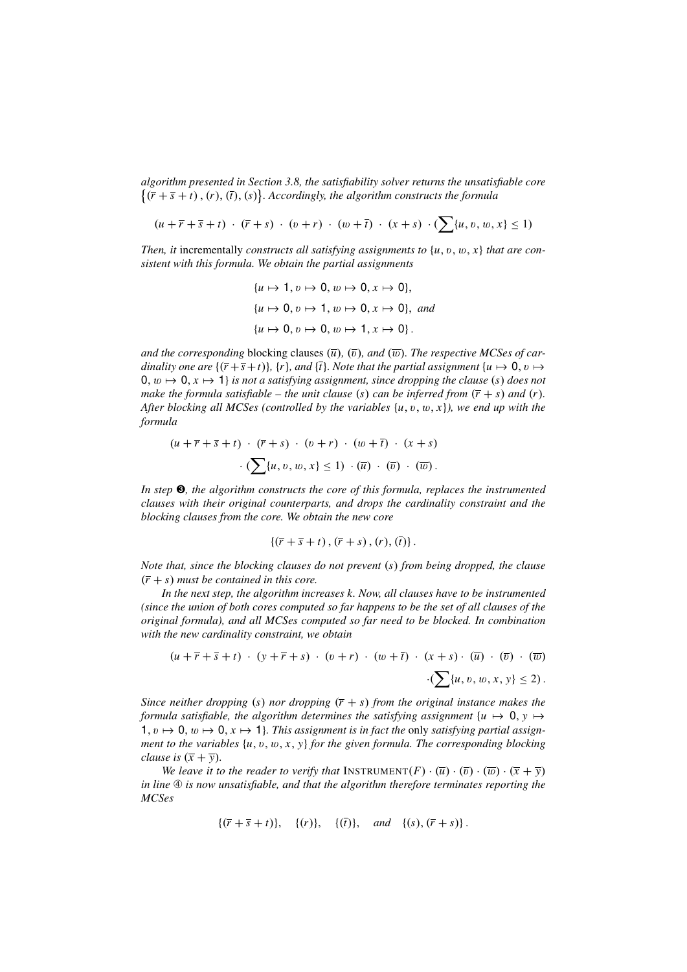*algorithm presented in Section 3.8, the satisfiability solver returns the unsatisfiable core*  $\{(\bar{r}+\bar{s}+t), (r), (\bar{t}), (s)\}\)$ . Accordingly, the algorithm constructs the formula

$$
(u+\overline{r}+\overline{s}+t) \cdot (\overline{r}+s) \cdot (v+r) \cdot (w+\overline{t}) \cdot (x+s) \cdot (\sum \{u,v,w,x\} \le 1)
$$

*Then, it* incrementally *constructs all satisfying assignments to*  $\{u, v, w, x\}$  *that are consistent with this formula. We obtain the partial assignments*

$$
\{u \mapsto 1, v \mapsto 0, w \mapsto 0, x \mapsto 0\},\
$$

$$
\{u \mapsto 0, v \mapsto 1, w \mapsto 0, x \mapsto 0\}, and
$$

$$
\{u \mapsto 0, v \mapsto 0, w \mapsto 1, x \mapsto 0\}.
$$

*and the corresponding* blocking clauses  $(\overline{u})$ ,  $(\overline{v})$ *, and*  $(\overline{w})$ *. The respective MCSes of cardinality one are*  $\{(\overline{r} + \overline{s} + t)\}\$ ,  $\{r\}$ *, and*  $\{\overline{t}\}\$ *. Note that the partial assignment*  $\{u \mapsto 0, v \mapsto 0\}$  $0, w \mapsto 0, x \mapsto 1$  *is not a satisfying assignment, since dropping the clause* (*s*) *does not make the formula satisfiable – the unit clause* (*s*) *can be inferred from*  $(\overline{r} + s)$  *and*  $(r)$ *. After blocking all MCSes (controlled by the variables*  $\{u, v, w, x\}$ ), we end up with the *formula*

$$
(u + \overline{r} + \overline{s} + t) \cdot (\overline{r} + s) \cdot (v + r) \cdot (w + \overline{t}) \cdot (x + s)
$$

$$
\cdot (\sum \{u, v, w, x\} \le 1) \cdot (\overline{u}) \cdot (\overline{v}) \cdot (\overline{w}).
$$

*In step*  $\odot$ *, the algorithm constructs the core of this formula, replaces the instrumented clauses with their original counterparts, and drops the cardinality constraint and the blocking clauses from the core. We obtain the new core*

$$
\{(\overline{r}+\overline{s}+t),(\overline{r}+s), (r),(\overline{t})\}.
$$

*Note that, since the blocking clauses do not prevent* (*s*) *from being dropped, the clause*  $(\bar{r} + s)$  *must be contained in this core.* 

*In the next step, the algorithm increases k. Now, all clauses have to be instrumented (since the union of both cores computed so far happens to be the set of all clauses of the original formula), and all MCSes computed so far need to be blocked. In combination with the new cardinality constraint, we obtain*

$$
(u + \overline{r} + \overline{s} + t) \cdot (y + \overline{r} + s) \cdot (v + r) \cdot (w + \overline{t}) \cdot (x + s) \cdot (\overline{u}) \cdot (\overline{v}) \cdot (\overline{w})
$$

$$
\cdot (\sum \{u, v, w, x, y\} \le 2).
$$

*Since neither dropping* (*s*) *nor dropping* (*r* + *s*) *from the original instance makes the formula satisfiable, the algorithm determines the satisfying assignment*  $\{u \mapsto 0, v \mapsto$  $1, v \mapsto 0, w \mapsto 0, x \mapsto 1$ *}. This assignment is in fact the* only *satisfying partial assignment to the variables* {*u*, v, w, *x*, *y*} *for the given formula. The corresponding blocking clause is*  $(\overline{x} + \overline{y})$ *.* 

*We leave it to the reader to verify that* INSTRUMENT $(F) \cdot (\overline{u}) \cdot (\overline{v}) \cdot (\overline{w}) \cdot (\overline{x} + \overline{y})$ *in line* ➃ *is now unsatisfiable, and that the algorithm therefore terminates reporting the MCSes*

$$
\{(\bar{r}+\bar{s}+t)\}, \{(r)\}, \{(f)\}, \text{ and } \{(s), (\bar{r}+s)\}.
$$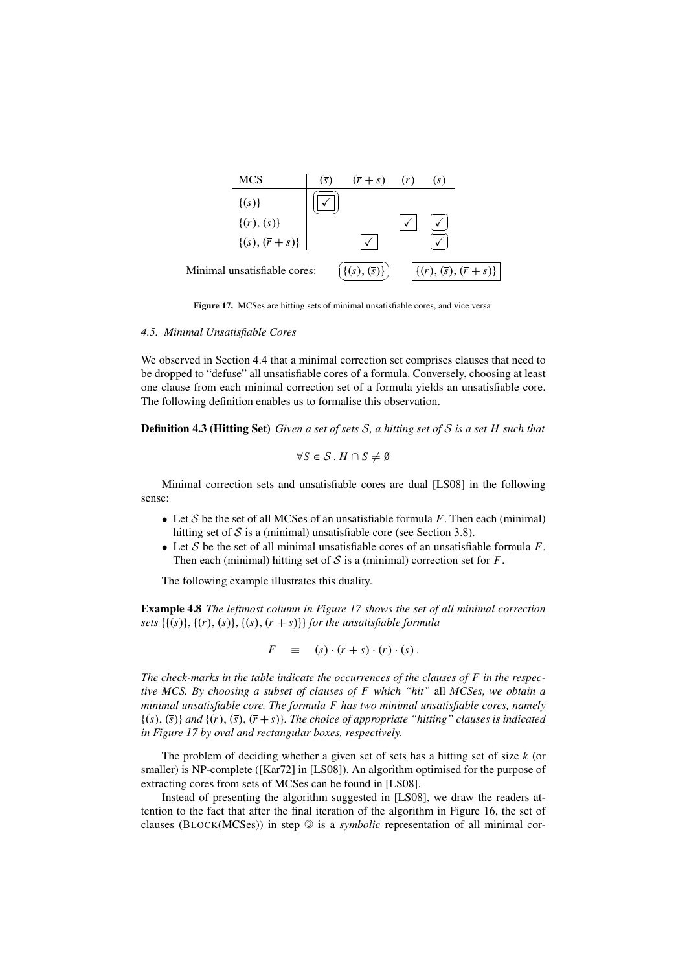

Figure 17. MCSes are hitting sets of minimal unsatisfiable cores, and vice versa

#### *4.5. Minimal Unsatisfiable Cores*

We observed in Section 4.4 that a minimal correction set comprises clauses that need to be dropped to "defuse" all unsatisfiable cores of a formula. Conversely, choosing at least one clause from each minimal correction set of a formula yields an unsatisfiable core. The following definition enables us to formalise this observation.

Definition 4.3 (Hitting Set) *Given a set of sets* S*, a hitting set of* S *is a set H such that*

$$
\forall S \in \mathcal{S} \, . \, H \cap S \neq \emptyset
$$

Minimal correction sets and unsatisfiable cores are dual [LS08] in the following sense:

- Let S be the set of all MCSes of an unsatisfiable formula *F*. Then each (minimal) hitting set of  $S$  is a (minimal) unsatisfiable core (see Section 3.8).
- Let S be the set of all minimal unsatisfiable cores of an unsatisfiable formula *F*. Then each (minimal) hitting set of  $S$  is a (minimal) correction set for  $F$ .

The following example illustrates this duality.

Example 4.8 *The leftmost column in Figure 17 shows the set of all minimal correction sets*  $\{\{(\bar{s})\}, \{(r), (s)\}, \{(s), (\bar{r} + s)\}\}$  *for the unsatisfiable formula* 

$$
F = (\overline{s}) \cdot (\overline{r} + s) \cdot (r) \cdot (s) .
$$

*The check-marks in the table indicate the occurrences of the clauses of F in the respective MCS. By choosing a subset of clauses of F which "hit"* all *MCSes, we obtain a minimal unsatisfiable core. The formula F has two minimal unsatisfiable cores, namely*  $\{(s), (\bar{s})\}$  *and*  $\{(r), (\bar{s}), (\bar{r} + s)\}$ *. The choice of appropriate "hitting" clauses is indicated in Figure 17 by oval and rectangular boxes, respectively.*

The problem of deciding whether a given set of sets has a hitting set of size *k* (or smaller) is NP-complete ([Kar72] in [LS08]). An algorithm optimised for the purpose of extracting cores from sets of MCSes can be found in [LS08].

Instead of presenting the algorithm suggested in [LS08], we draw the readers attention to the fact that after the final iteration of the algorithm in Figure 16, the set of clauses (BLOCK(MCSes)) in step ➂ is a *symbolic* representation of all minimal cor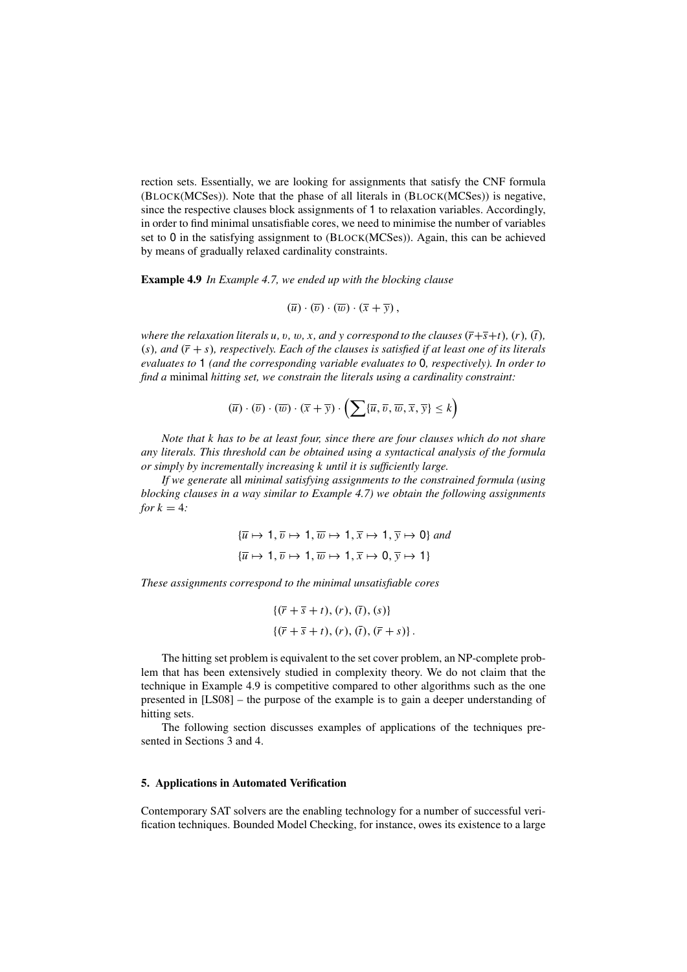rection sets. Essentially, we are looking for assignments that satisfy the CNF formula (BLOCK(MCSes)). Note that the phase of all literals in (BLOCK(MCSes)) is negative, since the respective clauses block assignments of 1 to relaxation variables. Accordingly, in order to find minimal unsatisfiable cores, we need to minimise the number of variables set to 0 in the satisfying assignment to (BLOCK(MCSes)). Again, this can be achieved by means of gradually relaxed cardinality constraints.

Example 4.9 *In Example 4.7, we ended up with the blocking clause*

$$
(\overline{u})\cdot(\overline{v})\cdot(\overline{w})\cdot(\overline{x}+\overline{y}),
$$

*where the relaxation literals u, v, w, x, and y correspond to the clauses*  $(\overline{r}+\overline{s}+t)$ *,*  $(r)$ *,*  $(\overline{t})$ *,*  $(s)$ *, and*  $(\overline{r} + s)$ *, respectively. Each of the clauses is satisfied if at least one of its literals evaluates to* 1 *(and the corresponding variable evaluates to* 0*, respectively). In order to find a* minimal *hitting set, we constrain the literals using a cardinality constraint:*

$$
(\overline{u}) \cdot (\overline{v}) \cdot (\overline{w}) \cdot (\overline{x} + \overline{y}) \cdot (\sum \{\overline{u}, \overline{v}, \overline{w}, \overline{x}, \overline{y}\} \le k)
$$

*Note that k has to be at least four, since there are four clauses which do not share any literals. This threshold can be obtained using a syntactical analysis of the formula or simply by incrementally increasing k until it is sufficiently large.*

*If we generate* all *minimal satisfying assignments to the constrained formula (using blocking clauses in a way similar to Example 4.7) we obtain the following assignments for*  $k = 4$ *:* 

$$
\{\overline{u} \mapsto 1, \overline{v} \mapsto 1, \overline{w} \mapsto 1, \overline{x} \mapsto 1, \overline{y} \mapsto 0\} \text{ and}
$$
  

$$
\{\overline{u} \mapsto 1, \overline{v} \mapsto 1, \overline{w} \mapsto 1, \overline{x} \mapsto 0, \overline{y} \mapsto 1\}
$$

*These assignments correspond to the minimal unsatisfiable cores*

$$
\{(\overline{r} + \overline{s} + t), (r), (\overline{t}), (s)\}\
$$

$$
\{(\overline{r} + \overline{s} + t), (r), (\overline{t}), (\overline{r} + s)\}.
$$

The hitting set problem is equivalent to the set cover problem, an NP-complete problem that has been extensively studied in complexity theory. We do not claim that the technique in Example 4.9 is competitive compared to other algorithms such as the one presented in [LS08] – the purpose of the example is to gain a deeper understanding of hitting sets.

The following section discusses examples of applications of the techniques presented in Sections 3 and 4.

#### 5. Applications in Automated Verification

Contemporary SAT solvers are the enabling technology for a number of successful verification techniques. Bounded Model Checking, for instance, owes its existence to a large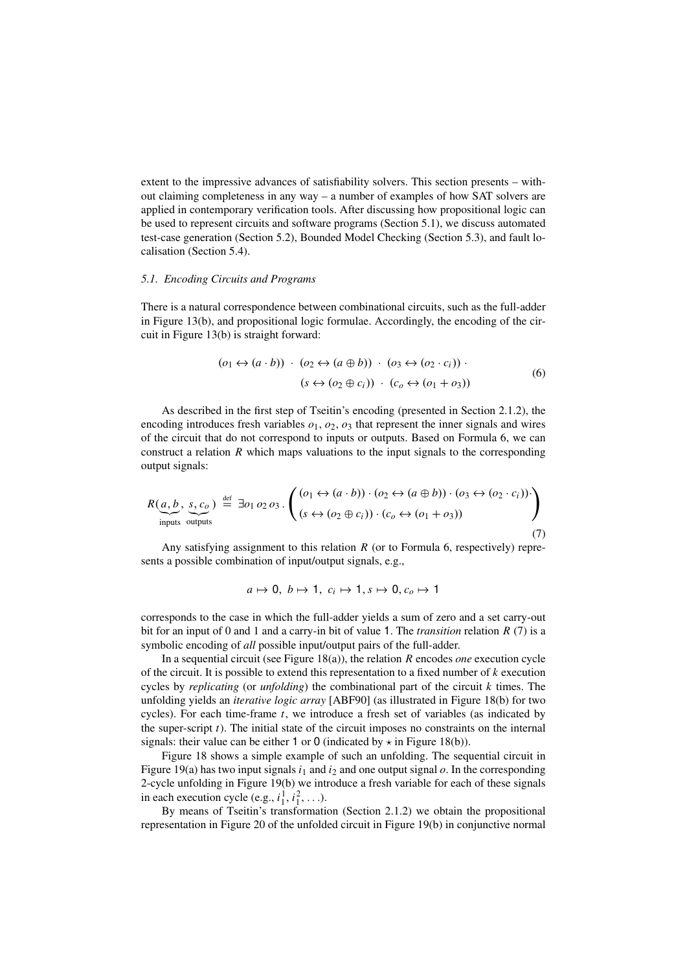extent to the impressive advances of satisfiability solvers. This section presents – without claiming completeness in any way – a number of examples of how SAT solvers are applied in contemporary verification tools. After discussing how propositional logic can be used to represent circuits and software programs (Section 5.1), we discuss automated test-case generation (Section 5.2), Bounded Model Checking (Section 5.3), and fault localisation (Section 5.4).

#### *5.1. Encoding Circuits and Programs*

There is a natural correspondence between combinational circuits, such as the full-adder in Figure 13(b), and propositional logic formulae. Accordingly, the encoding of the circuit in Figure 13(b) is straight forward:

$$
(o_1 \leftrightarrow (a \cdot b)) \cdot (o_2 \leftrightarrow (a \oplus b)) \cdot (o_3 \leftrightarrow (o_2 \cdot c_i)) \cdot (o_3 \leftrightarrow (o_3 \cdot c_i)) \cdot (o_4 \leftrightarrow (o_1 + o_3))
$$
\n
$$
(6)
$$

As described in the first step of Tseitin's encoding (presented in Section 2.1.2), the encoding introduces fresh variables  $q_1$ ,  $q_2$ ,  $q_3$  that represent the inner signals and wires of the circuit that do not correspond to inputs or outputs. Based on Formula 6, we can construct a relation *R* which maps valuations to the input signals to the corresponding output signals:

$$
R(a, b, s, c_0) \stackrel{\text{def}}{=} \exists o_1 o_2 o_3. \left( \begin{array}{c} (o_1 \leftrightarrow (a \cdot b)) \cdot (o_2 \leftrightarrow (a \oplus b)) \cdot (o_3 \leftrightarrow (o_2 \cdot c_i)) \\ (s \leftrightarrow (o_2 \oplus c_i)) \cdot (c_0 \leftrightarrow (o_1 + o_3)) \end{array} \right) \tag{7}
$$

Any satisfying assignment to this relation *R* (or to Formula 6, respectively) represents a possible combination of input/output signals, e.g.,

$$
a \mapsto 0, b \mapsto 1, c_i \mapsto 1, s \mapsto 0, c_o \mapsto 1
$$

corresponds to the case in which the full-adder yields a sum of zero and a set carry-out bit for an input of 0 and 1 and a carry-in bit of value 1. The *transition* relation *R* (7) is a symbolic encoding of *all* possible input/output pairs of the full-adder.

In a sequential circuit (see Figure 18(a)), the relation *R* encodes *one* execution cycle of the circuit. It is possible to extend this representation to a fixed number of *k* execution cycles by *replicating* (or *unfolding*) the combinational part of the circuit *k* times. The unfolding yields an *iterative logic array* [ABF90] (as illustrated in Figure 18(b) for two cycles). For each time-frame *t*, we introduce a fresh set of variables (as indicated by the super-script *t*). The initial state of the circuit imposes no constraints on the internal signals: their value can be either 1 or 0 (indicated by  $\star$  in Figure 18(b)).

Figure 18 shows a simple example of such an unfolding. The sequential circuit in Figure 19(a) has two input signals  $i_1$  and  $i_2$  and one output signal  $o$ . In the corresponding 2-cycle unfolding in Figure 19(b) we introduce a fresh variable for each of these signals in each execution cycle (e.g.,  $i_1^1$ ,  $i_1^2$ , ...).

By means of Tseitin's transformation (Section 2.1.2) we obtain the propositional representation in Figure 20 of the unfolded circuit in Figure 19(b) in conjunctive normal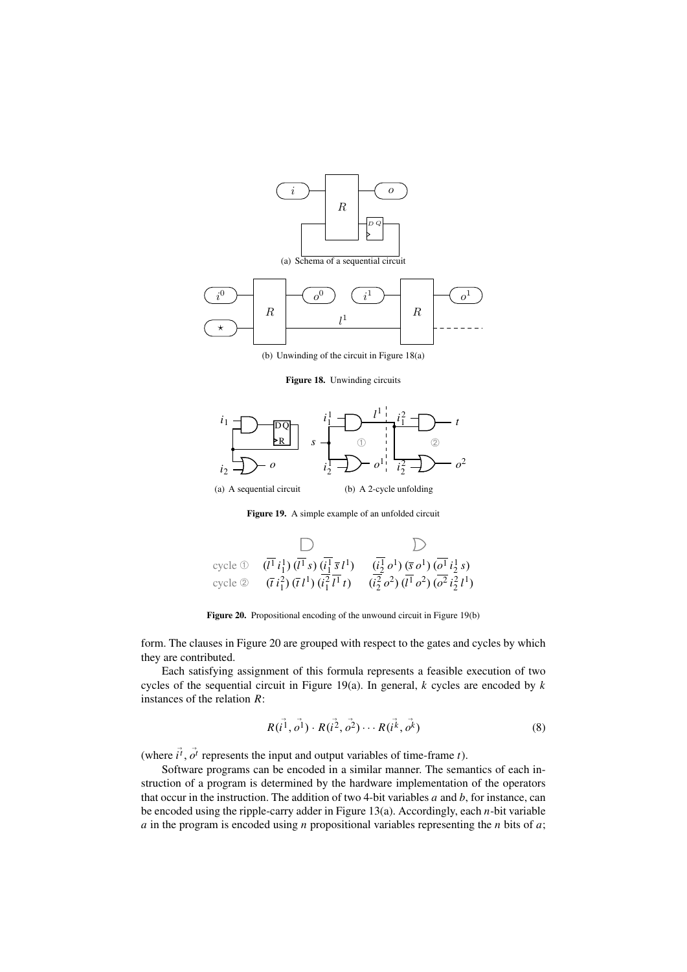

(b) Unwinding of the circuit in Figure 18(a)

Figure 18. Unwinding circuits



Figure 19. A simple example of an unfolded circuit

| $\vert \ \ \rangle$ | $\rightarrow$                                                                                                                                                                           |
|---------------------|-----------------------------------------------------------------------------------------------------------------------------------------------------------------------------------------|
|                     | cycle ① $(\overline{l^1} \, i^1) \, (\overline{l^1} \, s) \, (i^1_1 \, \overline{s} \, l^1) \quad (\overline{i^1_2} \, o^1) \, (\overline{s} \, o^1) \, (\overline{o^1} \, i^1_2 \, s)$ |
|                     | cycle 2 $(\bar{t} i_1^2) (\bar{t} l^1) (i_1^2 \bar{l}^1 t)$ $(i_2^2 \bar{\sigma}^2) (\bar{l}^1 \sigma^2) (\bar{\sigma}^2 i_2^2 l^1)$                                                    |

Figure 20. Propositional encoding of the unwound circuit in Figure 19(b)

form. The clauses in Figure 20 are grouped with respect to the gates and cycles by which they are contributed.

Each satisfying assignment of this formula represents a feasible execution of two cycles of the sequential circuit in Figure 19(a). In general, *k* cycles are encoded by *k* instances of the relation *R*:

$$
R(\vec{i^1}, \vec{o^1}) \cdot R(\vec{i^2}, \vec{o^2}) \cdots R(\vec{i^k}, \vec{o^k})
$$
 (8)

(where  $\vec{i}^t$ ,  $\vec{o}^t$  represents the input and output variables of time-frame *t*).

Software programs can be encoded in a similar manner. The semantics of each instruction of a program is determined by the hardware implementation of the operators that occur in the instruction. The addition of two 4-bit variables *a* and *b*, for instance, can be encoded using the ripple-carry adder in Figure 13(a). Accordingly, each *n*-bit variable *a* in the program is encoded using *n* propositional variables representing the *n* bits of *a*;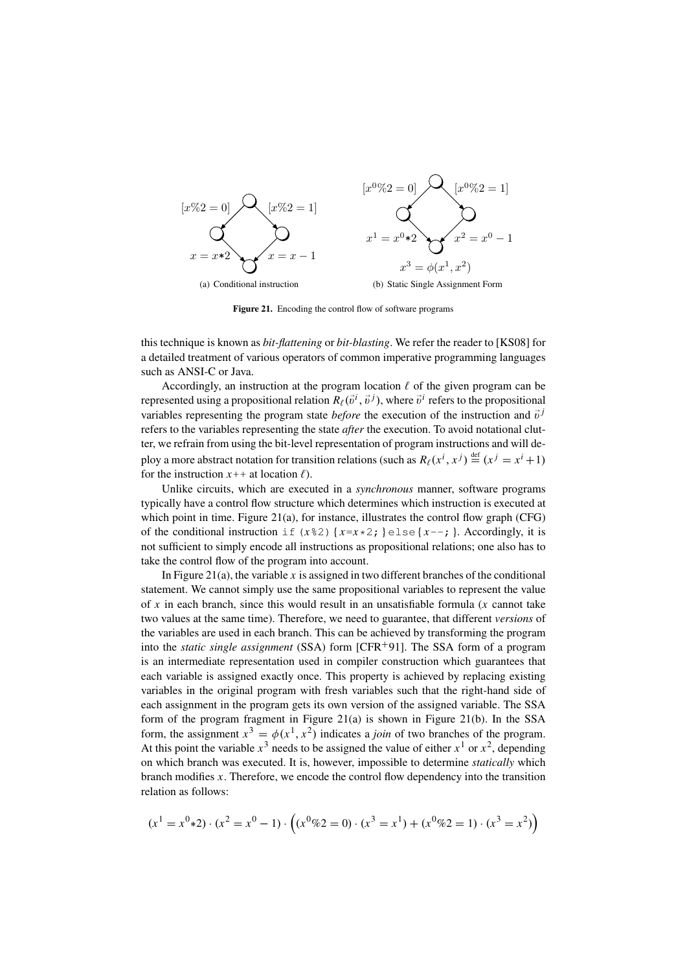

Figure 21. Encoding the control flow of software programs

this technique is known as *bit-flattening* or *bit-blasting*. We refer the reader to [KS08] for a detailed treatment of various operators of common imperative programming languages such as ANSI-C or Java.

Accordingly, an instruction at the program location  $\ell$  of the given program can be represented using a propositional relation  $R_\ell(\vec{v}^i, \vec{v}^j)$ , where  $\vec{v}^i$  refers to the propositional variables representing the program state *before* the execution of the instruction and  $\vec{v}$ <sup>*j*</sup> refers to the variables representing the state *after* the execution. To avoid notational clutter, we refrain from using the bit-level representation of program instructions and will deploy a more abstract notation for transition relations (such as  $R_\ell(x^i, x^j) \stackrel{\text{def}}{=} (x^j = x^i + 1)$ for the instruction  $x++$  at location  $\ell$ ).

Unlike circuits, which are executed in a *synchronous* manner, software programs typically have a control flow structure which determines which instruction is executed at which point in time. Figure 21(a), for instance, illustrates the control flow graph (CFG) of the conditional instruction if  $(x\&2)$   $\{x=x\times2; \}$  else  $\{x--; \}$ . Accordingly, it is not sufficient to simply encode all instructions as propositional relations; one also has to take the control flow of the program into account.

In Figure 21(a), the variable  $x$  is assigned in two different branches of the conditional statement. We cannot simply use the same propositional variables to represent the value of *x* in each branch, since this would result in an unsatisfiable formula (*x* cannot take two values at the same time). Therefore, we need to guarantee, that different *versions* of the variables are used in each branch. This can be achieved by transforming the program into the *static single assignment* (SSA) form [CFR<sup>+91</sup>]. The SSA form of a program is an intermediate representation used in compiler construction which guarantees that each variable is assigned exactly once. This property is achieved by replacing existing variables in the original program with fresh variables such that the right-hand side of each assignment in the program gets its own version of the assigned variable. The SSA form of the program fragment in Figure 21(a) is shown in Figure 21(b). In the SSA form, the assignment  $x^3 = \phi(x^1, x^2)$  indicates a *join* of two branches of the program. At this point the variable  $x^3$  needs to be assigned the value of either  $x^1$  or  $x^2$ , depending on which branch was executed. It is, however, impossible to determine *statically* which branch modifies *x*. Therefore, we encode the control flow dependency into the transition relation as follows:

$$
(x1 = x0*2) \cdot (x2 = x0 - 1) \cdot ((x0%2 = 0) \cdot (x3 = x1) + (x0%2 = 1) \cdot (x3 = x2))
$$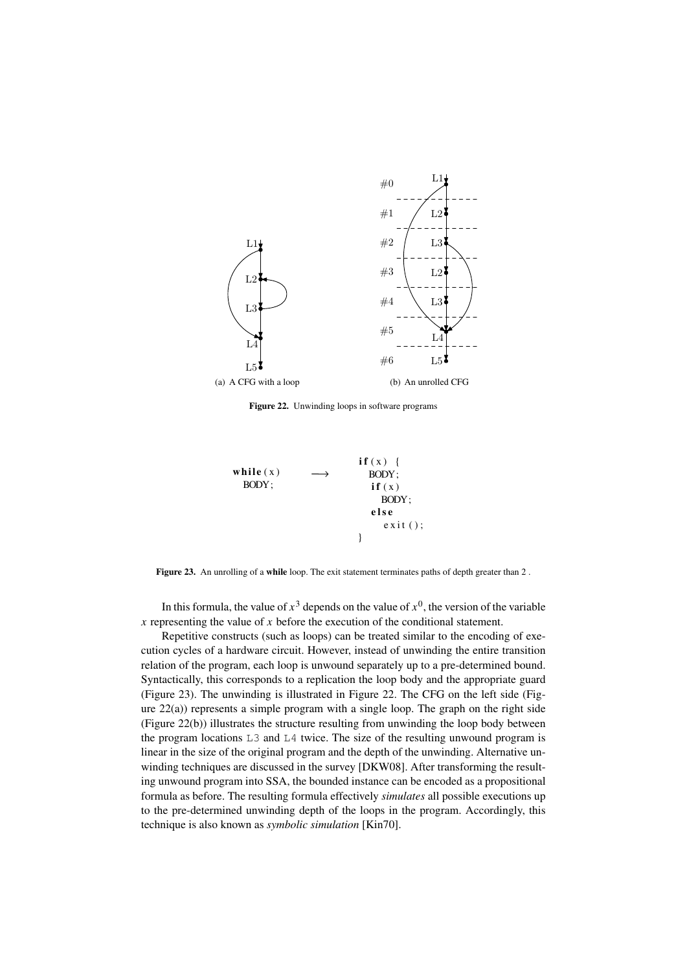

Figure 22. Unwinding loops in software programs



Figure 23. An unrolling of a while loop. The exit statement terminates paths of depth greater than 2.

In this formula, the value of  $x^3$  depends on the value of  $x^0$ , the version of the variable *x* representing the value of *x* before the execution of the conditional statement.

Repetitive constructs (such as loops) can be treated similar to the encoding of execution cycles of a hardware circuit. However, instead of unwinding the entire transition relation of the program, each loop is unwound separately up to a pre-determined bound. Syntactically, this corresponds to a replication the loop body and the appropriate guard (Figure 23). The unwinding is illustrated in Figure 22. The CFG on the left side (Figure  $22(a)$ ) represents a simple program with a single loop. The graph on the right side (Figure 22(b)) illustrates the structure resulting from unwinding the loop body between the program locations L3 and L4 twice. The size of the resulting unwound program is linear in the size of the original program and the depth of the unwinding. Alternative unwinding techniques are discussed in the survey [DKW08]. After transforming the resulting unwound program into SSA, the bounded instance can be encoded as a propositional formula as before. The resulting formula effectively *simulates* all possible executions up to the pre-determined unwinding depth of the loops in the program. Accordingly, this technique is also known as *symbolic simulation* [Kin70].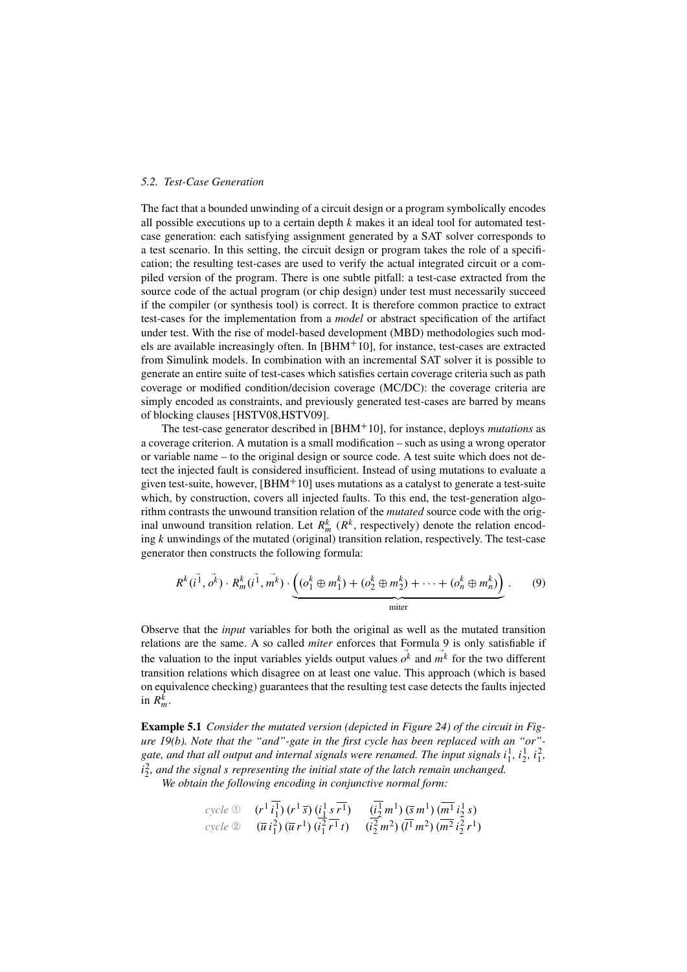# *5.2. Test-Case Generation*

The fact that a bounded unwinding of a circuit design or a program symbolically encodes all possible executions up to a certain depth *k* makes it an ideal tool for automated testcase generation: each satisfying assignment generated by a SAT solver corresponds to a test scenario. In this setting, the circuit design or program takes the role of a specification; the resulting test-cases are used to verify the actual integrated circuit or a compiled version of the program. There is one subtle pitfall: a test-case extracted from the source code of the actual program (or chip design) under test must necessarily succeed if the compiler (or synthesis tool) is correct. It is therefore common practice to extract test-cases for the implementation from a *model* or abstract specification of the artifact under test. With the rise of model-based development (MBD) methodologies such models are available increasingly often. In  $[BHM<sup>+</sup>10]$ , for instance, test-cases are extracted from Simulink models. In combination with an incremental SAT solver it is possible to generate an entire suite of test-cases which satisfies certain coverage criteria such as path coverage or modified condition/decision coverage (MC/DC): the coverage criteria are simply encoded as constraints, and previously generated test-cases are barred by means of blocking clauses [HSTV08,HSTV09].

The test-case generator described in [BHM+10], for instance, deploys *mutations* as a coverage criterion. A mutation is a small modification – such as using a wrong operator or variable name – to the original design or source code. A test suite which does not detect the injected fault is considered insufficient. Instead of using mutations to evaluate a given test-suite, however,  $[BHM<sup>+</sup>10]$  uses mutations as a catalyst to generate a test-suite which, by construction, covers all injected faults. To this end, the test-generation algorithm contrasts the unwound transition relation of the *mutated* source code with the original unwound transition relation. Let  $R_m^k$  ( $R^k$ , respectively) denote the relation encoding *k* unwindings of the mutated (original) transition relation, respectively. The test-case generator then constructs the following formula:

$$
R^k(\vec{i}^1, \vec{o^k}) \cdot R_m^k(\vec{i}^1, \vec{m^k}) \cdot \underbrace{\left( (o_1^k \oplus m_1^k) + (o_2^k \oplus m_2^k) + \cdots + (o_n^k \oplus m_n^k) \right)}_{\text{miter}}.
$$
 (9)

Observe that the *input* variables for both the original as well as the mutated transition relations are the same. A so called *miter* enforces that Formula 9 is only satisfiable if the valuation to the input variables yields output values  $\vec{ok}$  and  $\vec{mk}$  for the two different transition relations which disagree on at least one value. This approach (which is based on equivalence checking) guarantees that the resulting test case detects the faults injected in  $R_m^k$ .

Example 5.1 *Consider the mutated version (depicted in Figure 24) of the circuit in Figure 19(b). Note that the "and"-gate in the first cycle has been replaced with an "or"* gate, and that all output and internal signals were renamed. The input signals  $i_1^1$ ,  $i_2^1$ ,  $i_1^2$ ,  $i_2^2$ , and the signal s representing the initial state of the latch remain unchanged. *We obtain the following encoding in conjunctive normal form:*

$$
\text{cycle}\ \mathbb{O}\qquad (r^1\ \overline{i_1^1})\ (r^1\ \overline{s})\ (\underline{i_1^1}\ s\ \overline{r^1})\qquad (\overline{i_2^1}\ m^1)\ (\overline{s}\ m^1)\ (\overline{m^1}\ i_2^1\ s)\newline \text{cycle}\ \mathbb{O}\qquad (\overline{u}\ i_1^2)\ (\overline{u}\ r^1)\ (\overline{i_1^2}\ \overline{r^1}\ t)\qquad (\overline{i_2^2}\ m^2)\ (\overline{l^1}\ m^2)\ (\overline{m^2}\ i_2^2\ r^1)
$$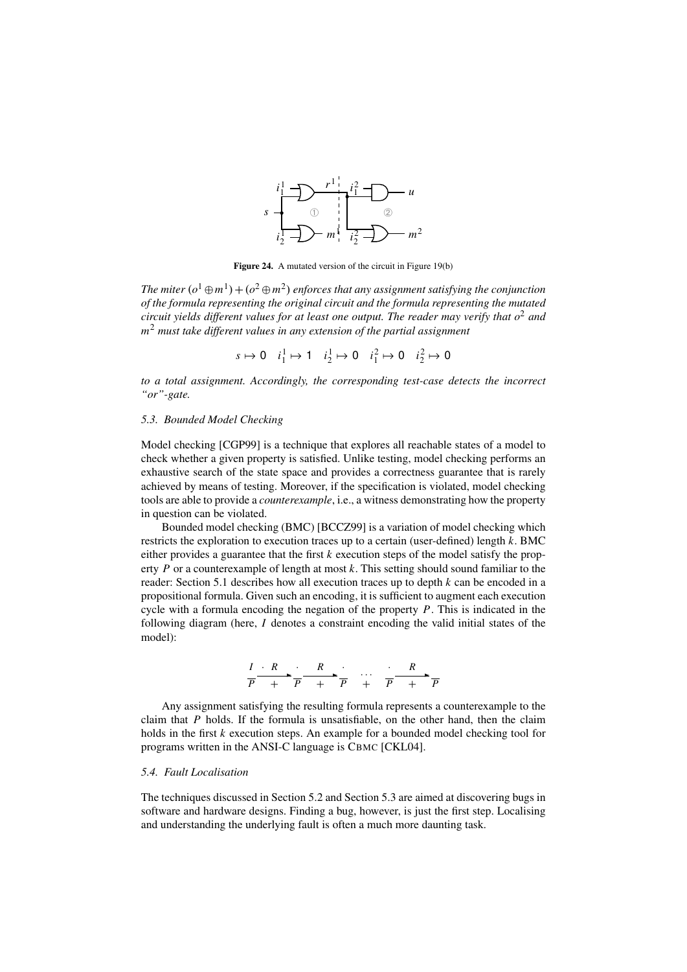

Figure 24. A mutated version of the circuit in Figure 19(b)

The miter  $(o^1 \oplus m^1) + (o^2 \oplus m^2)$  enforces that any assignment satisfying the conjunction *of the formula representing the original circuit and the formula representing the mutated circuit yields different values for at least one output. The reader may verify that o*<sup>2</sup> *and m* <sup>2</sup> *must take different values in any extension of the partial assignment*

 $s \mapsto 0 \quad i_1^1 \mapsto 1 \quad i_2^1 \mapsto 0 \quad i_1^2 \mapsto 0 \quad i_2^2 \mapsto 0$ 

*to a total assignment. Accordingly, the corresponding test-case detects the incorrect "or"-gate.*

#### *5.3. Bounded Model Checking*

Model checking [CGP99] is a technique that explores all reachable states of a model to check whether a given property is satisfied. Unlike testing, model checking performs an exhaustive search of the state space and provides a correctness guarantee that is rarely achieved by means of testing. Moreover, if the specification is violated, model checking tools are able to provide a *counterexample*, i.e., a witness demonstrating how the property in question can be violated.

Bounded model checking (BMC) [BCCZ99] is a variation of model checking which restricts the exploration to execution traces up to a certain (user-defined) length *k*. BMC either provides a guarantee that the first *k* execution steps of the model satisfy the property *P* or a counterexample of length at most *k*. This setting should sound familiar to the reader: Section 5.1 describes how all execution traces up to depth *k* can be encoded in a propositional formula. Given such an encoding, it is sufficient to augment each execution cycle with a formula encoding the negation of the property *P*. This is indicated in the following diagram (here, *I* denotes a constraint encoding the valid initial states of the model):

$$
\frac{I}{P} \xrightarrow{R} \frac{R}{P} \xrightarrow{R} \frac{R}{P} \cdots \frac{R}{P} \xrightarrow{R} \frac{R}{P}
$$

Any assignment satisfying the resulting formula represents a counterexample to the claim that *P* holds. If the formula is unsatisfiable, on the other hand, then the claim holds in the first *k* execution steps. An example for a bounded model checking tool for programs written in the ANSI-C language is CBMC [CKL04].

#### *5.4. Fault Localisation*

The techniques discussed in Section 5.2 and Section 5.3 are aimed at discovering bugs in software and hardware designs. Finding a bug, however, is just the first step. Localising and understanding the underlying fault is often a much more daunting task.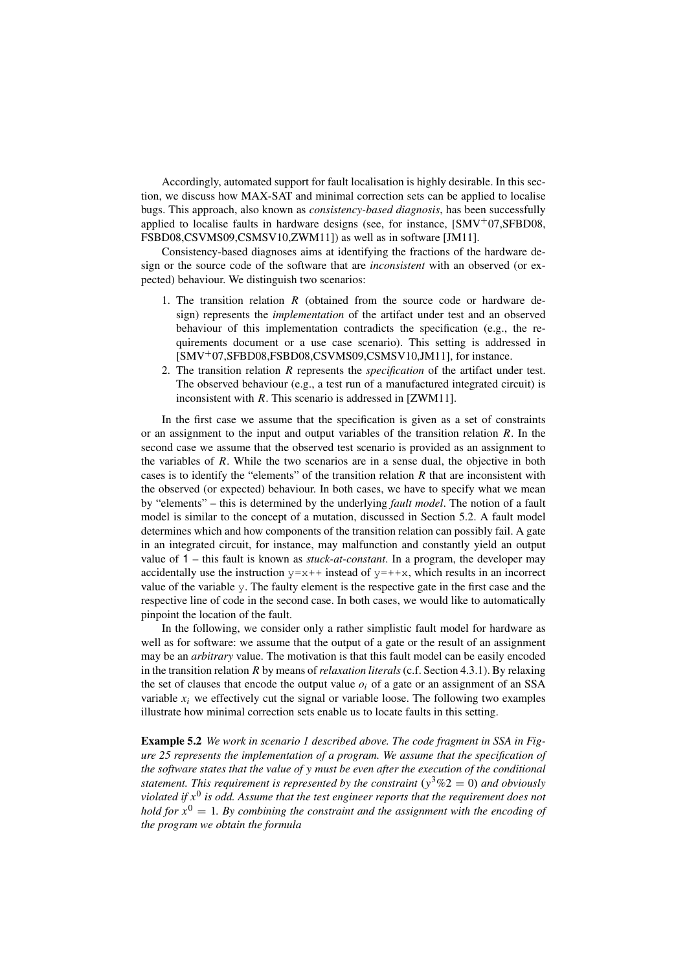Accordingly, automated support for fault localisation is highly desirable. In this section, we discuss how MAX-SAT and minimal correction sets can be applied to localise bugs. This approach, also known as *consistency-based diagnosis*, has been successfully applied to localise faults in hardware designs (see, for instance,  $[SMV^+07,SFBD08]$ , FSBD08,CSVMS09,CSMSV10,ZWM11]) as well as in software [JM11].

Consistency-based diagnoses aims at identifying the fractions of the hardware design or the source code of the software that are *inconsistent* with an observed (or expected) behaviour. We distinguish two scenarios:

- 1. The transition relation *R* (obtained from the source code or hardware design) represents the *implementation* of the artifact under test and an observed behaviour of this implementation contradicts the specification (e.g., the requirements document or a use case scenario). This setting is addressed in [SMV+07,SFBD08,FSBD08,CSVMS09,CSMSV10,JM11], for instance.
- 2. The transition relation *R* represents the *specification* of the artifact under test. The observed behaviour (e.g., a test run of a manufactured integrated circuit) is inconsistent with *R*. This scenario is addressed in [ZWM11].

In the first case we assume that the specification is given as a set of constraints or an assignment to the input and output variables of the transition relation *R*. In the second case we assume that the observed test scenario is provided as an assignment to the variables of *R*. While the two scenarios are in a sense dual, the objective in both cases is to identify the "elements" of the transition relation *R* that are inconsistent with the observed (or expected) behaviour. In both cases, we have to specify what we mean by "elements" – this is determined by the underlying *fault model*. The notion of a fault model is similar to the concept of a mutation, discussed in Section 5.2. A fault model determines which and how components of the transition relation can possibly fail. A gate in an integrated circuit, for instance, may malfunction and constantly yield an output value of 1 – this fault is known as *stuck-at-constant*. In a program, the developer may accidentally use the instruction  $y=x++$  instead of  $y=++x$ , which results in an incorrect value of the variable y. The faulty element is the respective gate in the first case and the respective line of code in the second case. In both cases, we would like to automatically pinpoint the location of the fault.

In the following, we consider only a rather simplistic fault model for hardware as well as for software: we assume that the output of a gate or the result of an assignment may be an *arbitrary* value. The motivation is that this fault model can be easily encoded in the transition relation *R* by means of*relaxation literals*(c.f. Section 4.3.1). By relaxing the set of clauses that encode the output value  $o_i$  of a gate or an assignment of an SSA variable  $x_i$  we effectively cut the signal or variable loose. The following two examples illustrate how minimal correction sets enable us to locate faults in this setting.

Example 5.2 *We work in scenario 1 described above. The code fragment in SSA in Figure 25 represents the implementation of a program. We assume that the specification of the software states that the value of y must be even after the execution of the conditional statement. This requirement is represented by the constraint*  $(y^3\%2 = 0)$  *and obviously violated if x*<sup>0</sup> *is odd. Assume that the test engineer reports that the requirement does not hold for*  $x^0 = 1$ *. By combining the constraint and the assignment with the encoding of the program we obtain the formula*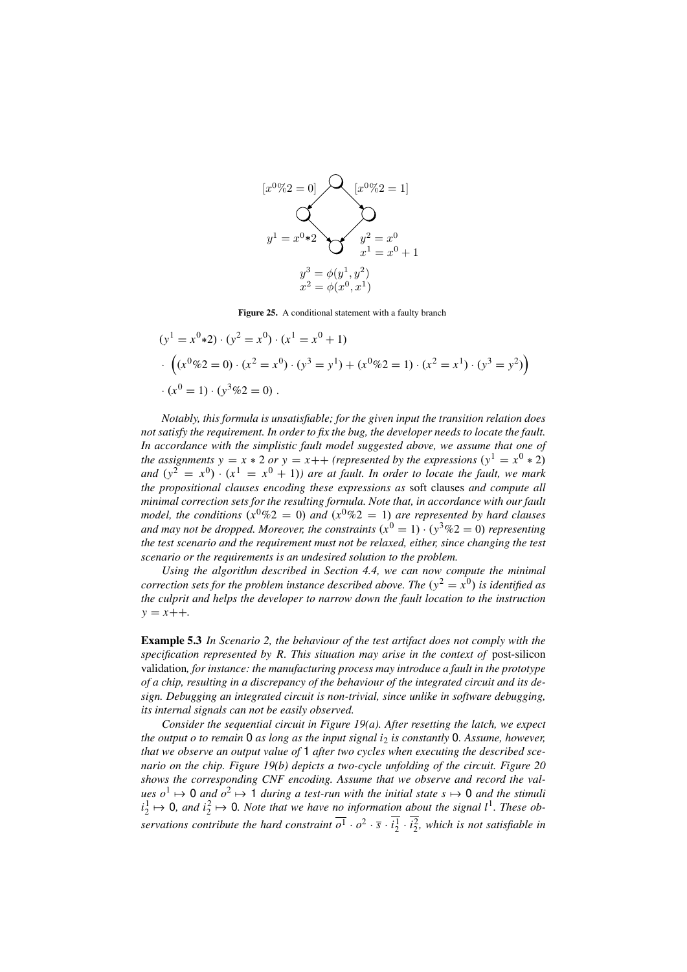

Figure 25. A conditional statement with a faulty branch

$$
(y1 = x0*2) \cdot (y2 = x0) \cdot (x1 = x0 + 1)
$$
  
 
$$
\cdot \left( (x0%2 = 0) \cdot (x2 = x0) \cdot (y3 = y1) + (x0%2 = 1) \cdot (x2 = x1) \cdot (y3 = y2) \right)
$$
  
 
$$
\cdot (x0 = 1) \cdot (y3%2 = 0).
$$

*Notably, this formula is unsatisfiable; for the given input the transition relation does not satisfy the requirement. In order to fix the bug, the developer needs to locate the fault. In accordance with the simplistic fault model suggested above, we assume that one of the assignments*  $y = x * 2$  *or*  $y = x++$  *(represented by the expressions*  $(y^1 = x^0 * 2)$ *and*  $(y^2 = x^0) \cdot (x^1 = x^0 + 1)$  *are at fault. In order to locate the fault, we mark the propositional clauses encoding these expressions as* soft clauses *and compute all minimal correction sets for the resulting formula. Note that, in accordance with our fault model, the conditions*  $(x^{0}\%2 = 0)$  *and*  $(x^{0}\%2 = 1)$  *are represented by hard clauses and may not be dropped. Moreover, the constraints*  $(x^0 = 1) \cdot (y^3\%2 = 0)$  *representing the test scenario and the requirement must not be relaxed, either, since changing the test scenario or the requirements is an undesired solution to the problem.*

*Using the algorithm described in Section 4.4, we can now compute the minimal correction sets for the problem instance described above. The*  $(y^2 = x^0)$  *is identified as the culprit and helps the developer to narrow down the fault location to the instruction*  $y = x + +$ .

Example 5.3 *In Scenario 2, the behaviour of the test artifact does not comply with the specification represented by R. This situation may arise in the context of* post-silicon validation*, for instance: the manufacturing process may introduce a fault in the prototype of a chip, resulting in a discrepancy of the behaviour of the integrated circuit and its design. Debugging an integrated circuit is non-trivial, since unlike in software debugging, its internal signals can not be easily observed.*

*Consider the sequential circuit in Figure 19(a). After resetting the latch, we expect the output o to remain* 0 *as long as the input signal i*<sup>2</sup> *is constantly* 0*. Assume, however, that we observe an output value of* 1 *after two cycles when executing the described scenario on the chip. Figure 19(b) depicts a two-cycle unfolding of the circuit. Figure 20 shows the corresponding CNF encoding. Assume that we observe and record the values*  $o<sup>1</sup>$  → 0 *and*  $o<sup>2</sup>$  → 1 *during a test-run with the initial state s*  $\mapsto$  0 *and the stimuli*  $i_2^1 \mapsto 0$ , and  $i_2^2 \mapsto 0$ . Note that we have no information about the signal  $l^1$ . These ob*servations contribute the hard constraint*  $\overline{o^1} \cdot o^2 \cdot \overline{s} \cdot i_2^1 \cdot i_2^2$ , which is not satisfiable in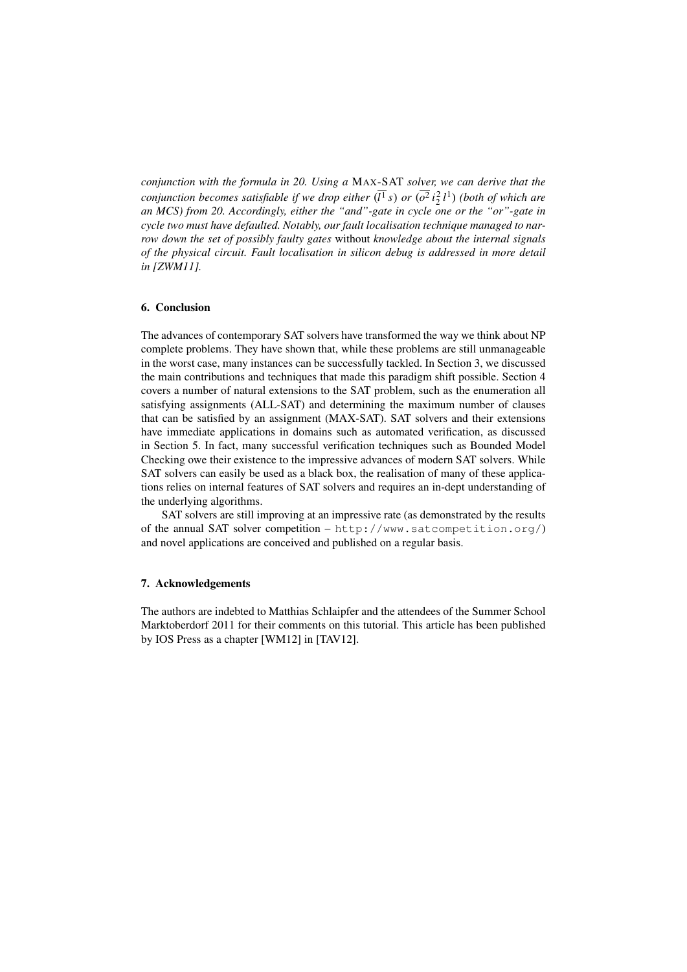*conjunction with the formula in 20. Using a* MAX-SAT *solver, we can derive that the conjunction becomes satisfiable if we drop either*  $(l^1 s)$  *or*  $(o^2 i^2 l^1)$  *(both of which are an MCS) from 20. Accordingly, either the "and"-gate in cycle one or the "or"-gate in cycle two must have defaulted. Notably, our fault localisation technique managed to narrow down the set of possibly faulty gates* without *knowledge about the internal signals of the physical circuit. Fault localisation in silicon debug is addressed in more detail in [ZWM11].*

## 6. Conclusion

The advances of contemporary SAT solvers have transformed the way we think about NP complete problems. They have shown that, while these problems are still unmanageable in the worst case, many instances can be successfully tackled. In Section 3, we discussed the main contributions and techniques that made this paradigm shift possible. Section 4 covers a number of natural extensions to the SAT problem, such as the enumeration all satisfying assignments (ALL-SAT) and determining the maximum number of clauses that can be satisfied by an assignment (MAX-SAT). SAT solvers and their extensions have immediate applications in domains such as automated verification, as discussed in Section 5. In fact, many successful verification techniques such as Bounded Model Checking owe their existence to the impressive advances of modern SAT solvers. While SAT solvers can easily be used as a black box, the realisation of many of these applications relies on internal features of SAT solvers and requires an in-dept understanding of the underlying algorithms.

SAT solvers are still improving at an impressive rate (as demonstrated by the results of the annual SAT solver competition – http://www.satcompetition.org/) and novel applications are conceived and published on a regular basis.

## 7. Acknowledgements

The authors are indebted to Matthias Schlaipfer and the attendees of the Summer School Marktoberdorf 2011 for their comments on this tutorial. This article has been published by IOS Press as a chapter [WM12] in [TAV12].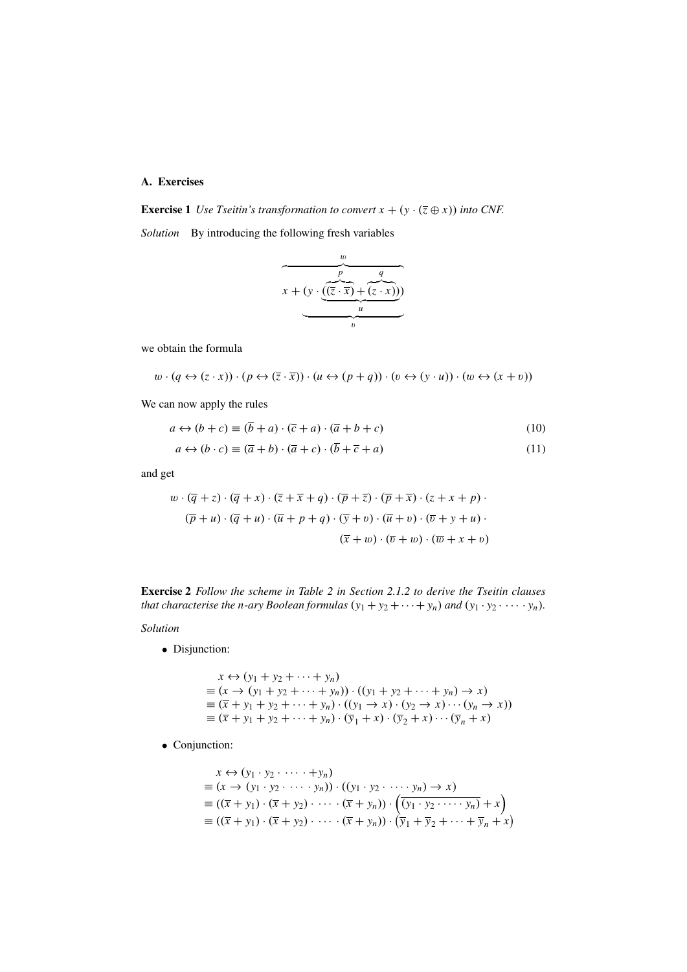# A. Exercises

**Exercise 1** *Use Tseitin's transformation to convert x* + ( $y \cdot (\overline{z} \oplus x)$ ) *into CNF. Solution* By introducing the following fresh variables

w z }| { *x* + (*y* · ( *p* z }| { (*z* · *x*) + *q* z }| { (*z* · *x*)) | {z } *u* ) | {z } v

we obtain the formula

$$
w \cdot (q \leftrightarrow (z \cdot x)) \cdot (p \leftrightarrow (\overline{z} \cdot \overline{x})) \cdot (u \leftrightarrow (p+q)) \cdot (v \leftrightarrow (y \cdot u)) \cdot (w \leftrightarrow (x+v))
$$

We can now apply the rules

$$
a \leftrightarrow (b+c) \equiv (\overline{b}+a) \cdot (\overline{c}+a) \cdot (\overline{a}+b+c)
$$
 (10)

$$
a \leftrightarrow (b \cdot c) \equiv (\overline{a} + b) \cdot (\overline{a} + c) \cdot (\overline{b} + \overline{c} + a)
$$
\n(11)

and get

$$
w \cdot (\overline{q} + z) \cdot (\overline{q} + x) \cdot (\overline{z} + \overline{x} + q) \cdot (\overline{p} + \overline{z}) \cdot (\overline{p} + \overline{x}) \cdot (z + x + p) \cdot (z + \overline{w} + z) \cdot (\overline{q} + w) \cdot (\overline{w} + \overline{p} + q) \cdot (\overline{y} + \overline{w}) \cdot (\overline{w} + \overline{w}) \cdot (\overline{w} + \overline{w}) \cdot (\overline{w} + \overline{w}) \cdot (\overline{w} + \overline{w}) \cdot (\overline{w} + \overline{w} + \overline{w})
$$

Exercise 2 *Follow the scheme in Table 2 in Section 2.1.2 to derive the Tseitin clauses that characterise the n-ary Boolean formulas*  $(y_1 + y_2 + \cdots + y_n)$  *and*  $(y_1 \cdot y_2 \cdot \cdots \cdot y_n)$ *.* 

*Solution*

• Disjunction:

$$
x \leftrightarrow (y_1 + y_2 + \cdots + y_n)
$$
  
\n
$$
\equiv (x \rightarrow (y_1 + y_2 + \cdots + y_n)) \cdot ((y_1 + y_2 + \cdots + y_n) \rightarrow x)
$$
  
\n
$$
\equiv (\overline{x} + y_1 + y_2 + \cdots + y_n) \cdot ((y_1 \rightarrow x) \cdot (y_2 \rightarrow x) \cdots (y_n \rightarrow x))
$$
  
\n
$$
\equiv (\overline{x} + y_1 + y_2 + \cdots + y_n) \cdot (\overline{y}_1 + x) \cdot (\overline{y}_2 + x) \cdots (\overline{y}_n + x)
$$

• Conjunction:

$$
x \leftrightarrow (y_1 \cdot y_2 \cdot \dots \cdot + y_n)
$$
  
\n
$$
\equiv (x \rightarrow (y_1 \cdot y_2 \cdot \dots \cdot y_n)) \cdot ((y_1 \cdot y_2 \cdot \dots \cdot y_n) \rightarrow x)
$$
  
\n
$$
\equiv ((\overline{x} + y_1) \cdot (\overline{x} + y_2) \cdot \dots \cdot (\overline{x} + y_n)) \cdot (\overline{(y_1 \cdot y_2 \cdot \dots \cdot y_n)} + x)
$$
  
\n
$$
\equiv ((\overline{x} + y_1) \cdot (\overline{x} + y_2) \cdot \dots \cdot (\overline{x} + y_n)) \cdot (\overline{y}_1 + \overline{y}_2 + \dots + \overline{y}_n + x)
$$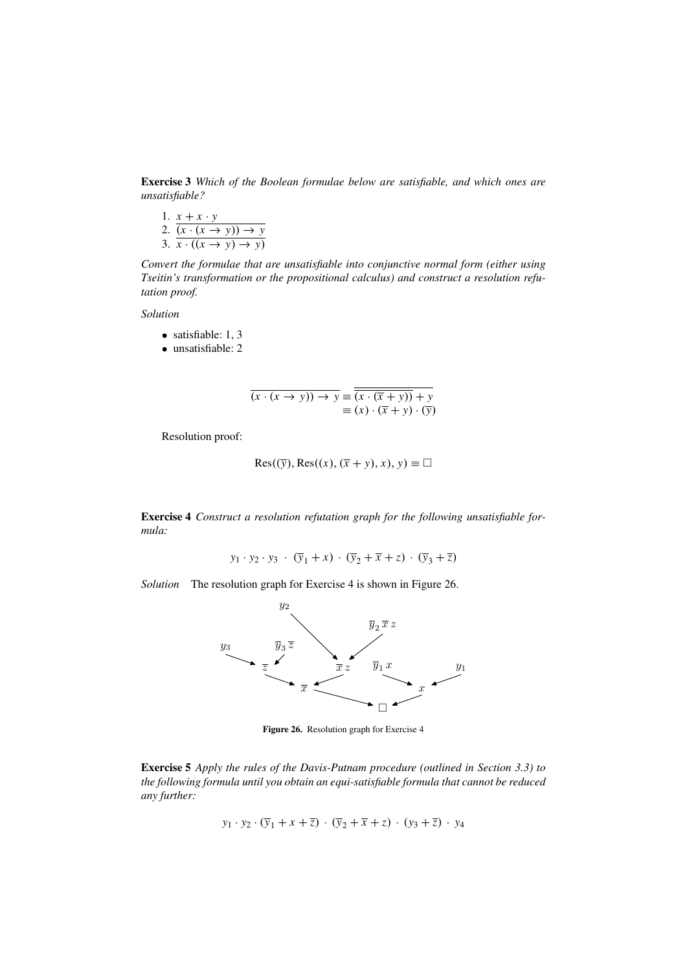Exercise 3 *Which of the Boolean formulae below are satisfiable, and which ones are unsatisfiable?*

1.  $x + x \cdot y$ 2.  $\overline{(x \cdot (x \rightarrow y)) \rightarrow y}$ 3.  $\overline{x \cdot ((x \rightarrow y) \rightarrow y)}$ 

*Convert the formulae that are unsatisfiable into conjunctive normal form (either using Tseitin's transformation or the propositional calculus) and construct a resolution refutation proof.*

*Solution*

- satisfiable: 1, 3
- unsatisfiable: 2

$$
\overline{(x \cdot (x \to y)) \to y} \equiv \overline{(x \cdot (\overline{x} + y)) + y}
$$
  

$$
\equiv (x) \cdot (\overline{x} + y) \cdot (\overline{y})
$$

Resolution proof:

$$
Res((\overline{y}), Res((x), (\overline{x} + y), x), y) \equiv \Box
$$

Exercise 4 *Construct a resolution refutation graph for the following unsatisfiable formula:*

$$
y_1 \cdot y_2 \cdot y_3 \cdot (\overline{y}_1 + x) \cdot (\overline{y}_2 + \overline{x} + z) \cdot (\overline{y}_3 + \overline{z})
$$

*Solution* The resolution graph for Exercise 4 is shown in Figure 26.



Figure 26. Resolution graph for Exercise 4

Exercise 5 *Apply the rules of the Davis-Putnam procedure (outlined in Section 3.3) to the following formula until you obtain an equi-satisfiable formula that cannot be reduced any further:*

$$
y_1 \cdot y_2 \cdot (\overline{y}_1 + x + \overline{z}) \cdot (\overline{y}_2 + \overline{x} + z) \cdot (y_3 + \overline{z}) \cdot y_4
$$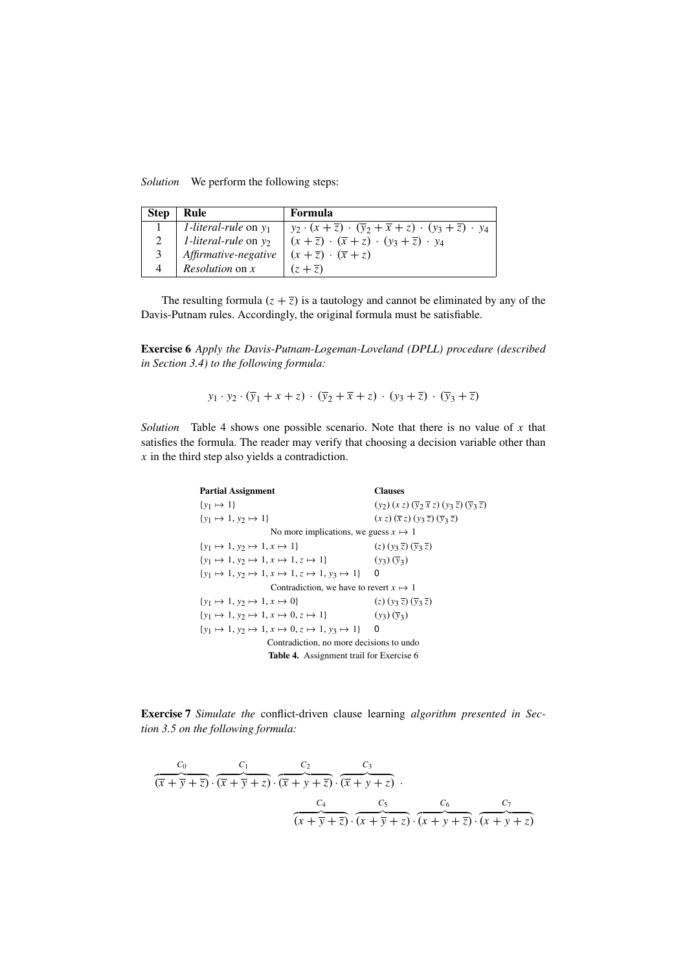*Solution* We perform the following steps:

| <b>Step</b> | Rule                    | Formula                                                                                                       |
|-------------|-------------------------|---------------------------------------------------------------------------------------------------------------|
|             | 1-literal-rule on $y_1$ | $y_2 \cdot (x + \overline{z}) \cdot (\overline{y}_2 + \overline{x} + z) \cdot (y_3 + \overline{z}) \cdot y_4$ |
|             | 1-literal-rule on $y_2$ | $(x+\overline{z}) \cdot (\overline{x}+z) \cdot (y_3+\overline{z}) \cdot y_4$                                  |
|             | $A$ ffirmative-negative | $(x+\overline{z}) \cdot (\overline{x}+z)$                                                                     |
|             | <i>Resolution</i> on x  | $(z+\overline{z})$                                                                                            |

The resulting formula  $(z + \overline{z})$  is a tautology and cannot be eliminated by any of the Davis-Putnam rules. Accordingly, the original formula must be satisfiable.

Exercise 6 *Apply the Davis-Putnam-Logeman-Loveland (DPLL) procedure (described in Section 3.4) to the following formula:*

*y*<sub>1</sub> · *y*<sub>2</sub> ·  $(\overline{y}_1 + x + z)$  ·  $(\overline{y}_2 + \overline{x} + z)$  ·  $(y_3 + \overline{z})$  ·  $(\overline{y}_3 + \overline{z})$ 

*Solution* Table 4 shows one possible scenario. Note that there is no value of *x* that satisfies the formula. The reader may verify that choosing a decision variable other than *x* in the third step also yields a contradiction.

| <b>Partial Assignment</b>                                                   | <b>Clauses</b>                                                                                              |  |  |  |
|-----------------------------------------------------------------------------|-------------------------------------------------------------------------------------------------------------|--|--|--|
| $\{y_1 \mapsto 1\}$                                                         | $(y_2)(x\overline{z})(\overline{y}_2\overline{x}\overline{z})(y_3\overline{z})(\overline{y}_3\overline{z})$ |  |  |  |
| $\{y_1 \mapsto 1, y_2 \mapsto 1\}$                                          | $(x z) (\overline{x} z) (y_3 \overline{z}) (\overline{y_3} \overline{z})$                                   |  |  |  |
| No more implications, we guess $x \mapsto 1$                                |                                                                                                             |  |  |  |
| $\{y_1 \mapsto 1, y_2 \mapsto 1, x \mapsto 1\}$                             | $(z)(y_3\overline{z})(\overline{y}_3\overline{z})$                                                          |  |  |  |
| $\{y_1 \mapsto 1, y_2 \mapsto 1, x \mapsto 1, z \mapsto 1\}$                | $(y_3)(\overline{y}_3)$                                                                                     |  |  |  |
| $\{y_1 \mapsto 1, y_2 \mapsto 1, x \mapsto 1, z \mapsto 1, y_3 \mapsto 1\}$ | 0                                                                                                           |  |  |  |
| Contradiction, we have to revert $x \mapsto 1$                              |                                                                                                             |  |  |  |
| $\{y_1 \mapsto 1, y_2 \mapsto 1, x \mapsto 0\}$                             | $(z)(y_3\overline{z})(\overline{y}_3\overline{z})$                                                          |  |  |  |
| $\{y_1 \mapsto 1, y_2 \mapsto 1, x \mapsto 0, z \mapsto 1\}$                | $(y_3)(\overline{y}_3)$                                                                                     |  |  |  |
| $\{y_1 \mapsto 1, y_2 \mapsto 1, x \mapsto 0, z \mapsto 1, y_3 \mapsto 1\}$ | 0                                                                                                           |  |  |  |
| Contradiction, no more decisions to undo                                    |                                                                                                             |  |  |  |
| <b>Table 4.</b> Assignment trail for Exercise 6                             |                                                                                                             |  |  |  |

Exercise 7 *Simulate the* conflict-driven clause learning *algorithm presented in Section 3.5 on the following formula:*

$$
\frac{C_0}{(\overline{x} + \overline{y} + \overline{z}) \cdot (\overline{x} + \overline{y} + z) \cdot (\overline{x} + y + \overline{z}) \cdot (\overline{x} + y + z)} \cdot \frac{C_3}{(\overline{x} + \overline{y} + \overline{z}) \cdot (\overline{x} + \overline{y} + z)} \cdot \frac{C_4}{(\overline{x} + \overline{y} + \overline{z}) \cdot (\overline{x} + \overline{y} + z) \cdot (\overline{x} + \overline{y} + \overline{z}) \cdot (\overline{x} + \overline{y} + z)}
$$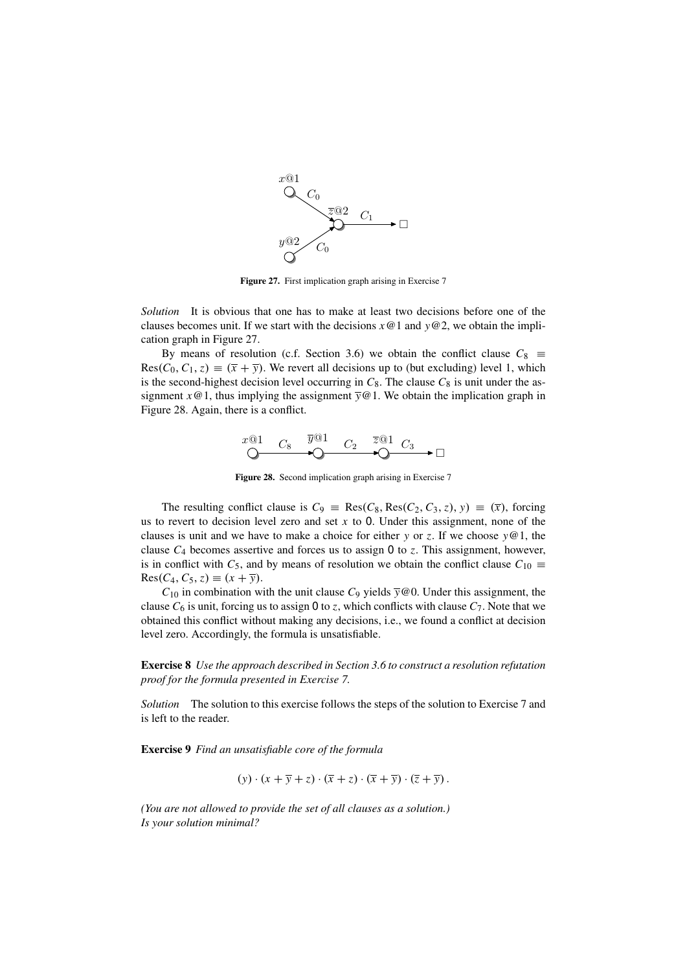

Figure 27. First implication graph arising in Exercise 7

*Solution* It is obvious that one has to make at least two decisions before one of the clauses becomes unit. If we start with the decisions  $x \otimes 1$  and  $y \otimes 2$ , we obtain the implication graph in Figure 27.

By means of resolution (c.f. Section 3.6) we obtain the conflict clause  $C_8$  ≡  $Res(C_0, C_1, z) \equiv (\overline{x} + \overline{y})$ . We revert all decisions up to (but excluding) level 1, which is the second-highest decision level occurring in  $C_8$ . The clause  $C_8$  is unit under the assignment  $x@1$ , thus implying the assignment  $\overline{y}@1$ . We obtain the implication graph in Figure 28. Again, there is a conflict.



Figure 28. Second implication graph arising in Exercise 7

The resulting conflict clause is  $C_9 \equiv \text{Res}(C_8, \text{Res}(C_2, C_3, z), y) \equiv (\bar{x})$ , forcing us to revert to decision level zero and set *x* to 0. Under this assignment, none of the clauses is unit and we have to make a choice for either *y* or *z*. If we choose *y*@1, the clause *C*<sup>4</sup> becomes assertive and forces us to assign 0 to *z*. This assignment, however, is in conflict with  $C_5$ , and by means of resolution we obtain the conflict clause  $C_{10} \equiv$  $Res(C_4, C_5, z) \equiv (x + \overline{y}).$ 

 $C_{10}$  in combination with the unit clause  $C_9$  yields  $\overline{y}$  @0. Under this assignment, the clause  $C_6$  is unit, forcing us to assign 0 to *z*, which conflicts with clause  $C_7$ . Note that we obtained this conflict without making any decisions, i.e., we found a conflict at decision level zero. Accordingly, the formula is unsatisfiable.

Exercise 8 *Use the approach described in Section 3.6 to construct a resolution refutation proof for the formula presented in Exercise 7.*

*Solution* The solution to this exercise follows the steps of the solution to Exercise 7 and is left to the reader.

Exercise 9 *Find an unsatisfiable core of the formula*

$$
(y) \cdot (x + \overline{y} + z) \cdot (\overline{x} + z) \cdot (\overline{x} + \overline{y}) \cdot (\overline{z} + \overline{y}).
$$

*(You are not allowed to provide the set of all clauses as a solution.) Is your solution minimal?*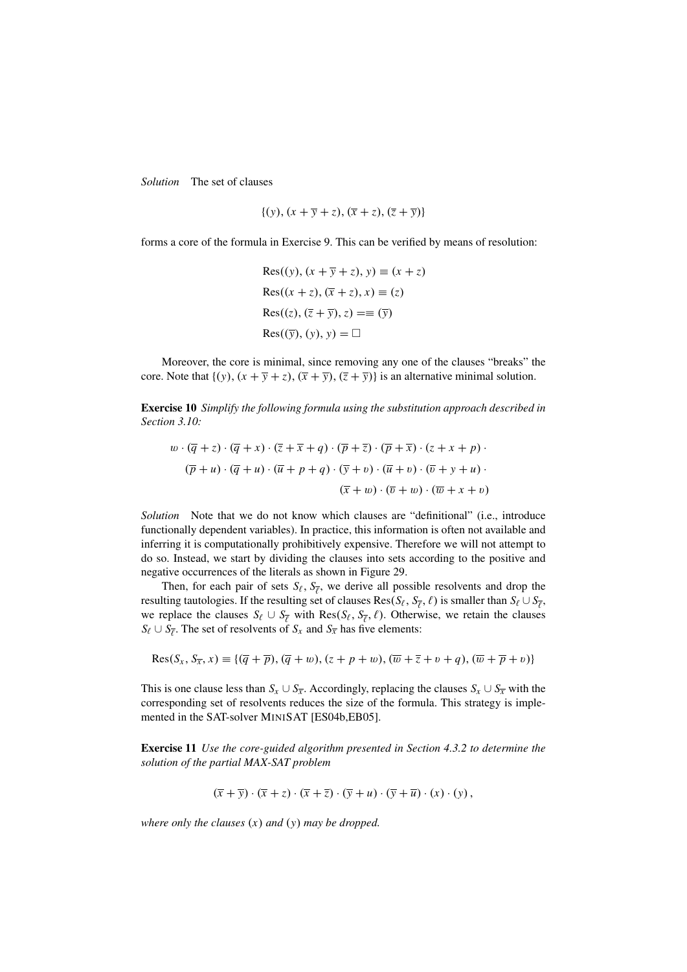*Solution* The set of clauses

$$
\{(y), (x+\overline{y}+z), (\overline{x}+z), (\overline{z}+\overline{y})\}
$$

forms a core of the formula in Exercise 9. This can be verified by means of resolution:

Res(
$$
(y)
$$
),  $(x + \overline{y} + z)$ ,  $y) \equiv (x + z)$   
\nRes( $(x + z)$ ,  $(\overline{x} + z)$ ,  $x) \equiv (z)$   
\nRes( $(z)$ ,  $(\overline{z} + \overline{y})$ ,  $z) = \equiv (\overline{y})$   
\nRes( $(\overline{y})$ ,  $(y)$ ,  $y) = \square$ 

Moreover, the core is minimal, since removing any one of the clauses "breaks" the core. Note that  $\{(y), (x + \overline{y} + z), (\overline{x} + \overline{y}), (\overline{z} + \overline{y})\}$  is an alternative minimal solution.

Exercise 10 *Simplify the following formula using the substitution approach described in Section 3.10:*

$$
w \cdot (\overline{q} + z) \cdot (\overline{q} + x) \cdot (\overline{z} + \overline{x} + q) \cdot (\overline{p} + \overline{z}) \cdot (\overline{p} + \overline{x}) \cdot (z + x + p) \cdot
$$
  

$$
(\overline{p} + u) \cdot (\overline{q} + u) \cdot (\overline{u} + p + q) \cdot (\overline{y} + v) \cdot (\overline{u} + v) \cdot (\overline{v} + y + u) \cdot
$$
  

$$
(\overline{x} + w) \cdot (\overline{v} + w) \cdot (\overline{w} + x + v)
$$

*Solution* Note that we do not know which clauses are "definitional" (i.e., introduce functionally dependent variables). In practice, this information is often not available and inferring it is computationally prohibitively expensive. Therefore we will not attempt to do so. Instead, we start by dividing the clauses into sets according to the positive and negative occurrences of the literals as shown in Figure 29.

Then, for each pair of sets  $S_\ell$ ,  $S_{\overline{\ell}}$ , we derive all possible resolvents and drop the resulting tautologies. If the resulting set of clauses Res( $S_\ell$ ,  $S_{\overline{\ell}}$ ,  $\ell$ ) is smaller than  $S_\ell \cup S_{\overline{\ell}}$ , we replace the clauses  $S_\ell \cup S_{\overline{\ell}}$  with  $\text{Res}(S_\ell, S_{\overline{\ell}}, \ell)$ . Otherwise, we retain the clauses  $S_{\ell} \cup S_{\overline{\ell}}$ . The set of resolvents of  $S_{\ell}$  and  $S_{\overline{\ell}}$  has five elements:

$$
Res(S_x, S_{\overline{x}}, x) \equiv \{ (\overline{q} + \overline{p}), (\overline{q} + w), (z + p + w), (\overline{w} + \overline{z} + v + q), (\overline{w} + \overline{p} + v) \}
$$

This is one clause less than  $S_x \cup S_{\overline{x}}$ . Accordingly, replacing the clauses  $S_x \cup S_{\overline{x}}$  with the corresponding set of resolvents reduces the size of the formula. This strategy is implemented in the SAT-solver MINISAT [ES04b,EB05].

Exercise 11 *Use the core-guided algorithm presented in Section 4.3.2 to determine the solution of the partial MAX-SAT problem*

$$
(\overline{x} + \overline{y}) \cdot (\overline{x} + z) \cdot (\overline{x} + \overline{z}) \cdot (\overline{y} + u) \cdot (\overline{y} + \overline{u}) \cdot (x) \cdot (y),
$$

*where only the clauses* (*x*) *and* (*y*) *may be dropped.*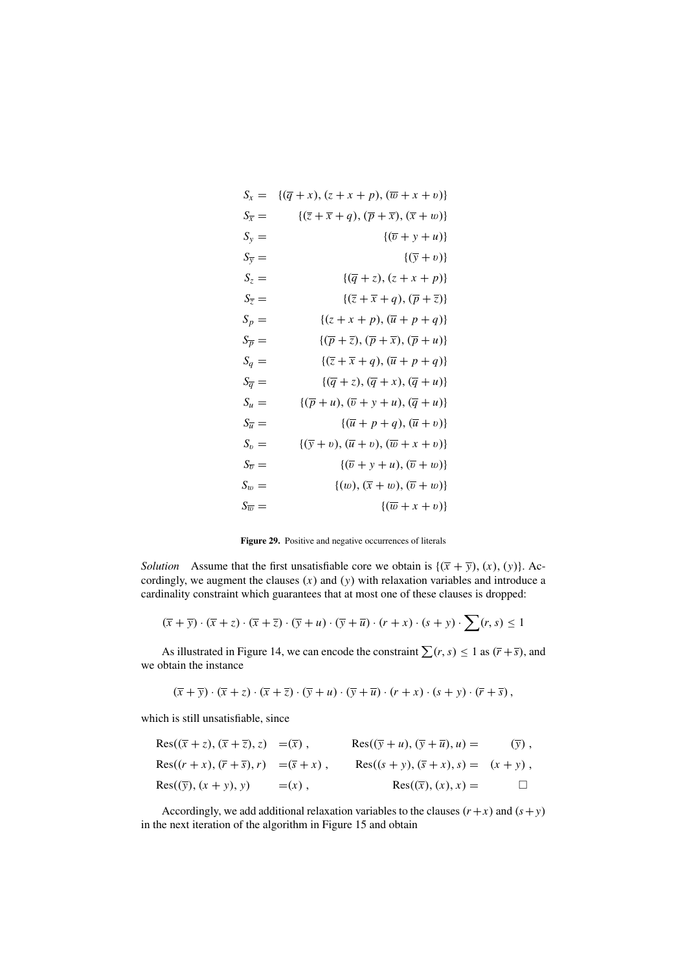$$
S_{x} = \{(\overline{q} + x), (z + x + p), (\overline{w} + x + v)\}\
$$
  
\n
$$
S_{\overline{x}} = \{(\overline{z} + \overline{x} + q), (\overline{p} + \overline{x}), (\overline{x} + w)\}\
$$
  
\n
$$
S_{y} = \{(\overline{v} + y + u)\}\
$$
  
\n
$$
S_{\overline{y}} = \{(\overline{q} + z), (z + x + p)\}\
$$
  
\n
$$
S_{\overline{z}} = \{(\overline{q} + z), (z + x + p)\}\
$$
  
\n
$$
S_{\overline{p}} = \{(\overline{z} + \overline{x} + q), (\overline{p} + \overline{z})\}\
$$
  
\n
$$
S_{\overline{p}} = \{(\overline{p} + \overline{z}), (\overline{p} + \overline{x}), (\overline{p} + u)\}\
$$
  
\n
$$
S_{\overline{q}} = \{(\overline{q} + z), (\overline{q} + x), (\overline{q} + u)\}\
$$
  
\n
$$
S_{u} = \{(\overline{p} + u), (\overline{v} + y + u), (\overline{q} + u)\}\
$$
  
\n
$$
S_{u} = \{(\overline{v} + u), (\overline{v} + y + u), (\overline{q} + v)\}\
$$
  
\n
$$
S_{v} = \{(\overline{v} + v), (\overline{u} + v), (\overline{w} + x + v)\}\
$$
  
\n
$$
S_{w} = \{(\overline{v} + y + u), (\overline{v} + w)\}\
$$
  
\n
$$
S_{w} = \{(\overline{w} + y + u), (\overline{v} + w)\}\
$$
  
\n
$$
S_{w} = \{(\overline{w} + x + v)\}\
$$

|  | Figure 29. Positive and negative occurrences of literals |  |  |  |
|--|----------------------------------------------------------|--|--|--|
|--|----------------------------------------------------------|--|--|--|

*Solution* Assume that the first unsatisfiable core we obtain is  $\{(\bar{x} + \bar{y}), (x), (y)\}\)$ . Accordingly, we augment the clauses (*x*) and (*y*) with relaxation variables and introduce a cardinality constraint which guarantees that at most one of these clauses is dropped:

$$
(\overline{x} + \overline{y}) \cdot (\overline{x} + z) \cdot (\overline{x} + \overline{z}) \cdot (\overline{y} + u) \cdot (\overline{y} + \overline{u}) \cdot (r + x) \cdot (s + y) \cdot \sum (r, s) \le 1
$$

As illustrated in Figure 14, we can encode the constraint  $\sum (r, s) \le 1$  as  $(\overline{r} + \overline{s})$ , and we obtain the instance

$$
(\overline{x}+\overline{y})\cdot(\overline{x}+z)\cdot(\overline{x}+\overline{z})\cdot(\overline{y}+u)\cdot(\overline{y}+\overline{u})\cdot(r+x)\cdot(s+y)\cdot(\overline{r}+\overline{s}),
$$

which is still unsatisfiable, since

| Res $((\overline{x} + z), (\overline{x} + \overline{z}), z) = (\overline{x}),$ |          | $Res((\overline{y}+u), (\overline{y}+\overline{u}), u) =$ | $(\overline{y})$ , |
|--------------------------------------------------------------------------------|----------|-----------------------------------------------------------|--------------------|
| $Res((r + x), (\overline{r} + \overline{s}), r) = (\overline{s} + x)$ ,        |          | $Res((s + y), (\bar{s} + x), s) = (x + y),$               |                    |
| $Res((\overline{y}), (x + y), y)$                                              | $=(x)$ , | $Res((\overline{x}), (x), x) =$                           | $\Box$             |

Accordingly, we add additional relaxation variables to the clauses  $(r + x)$  and  $(s + y)$ in the next iteration of the algorithm in Figure 15 and obtain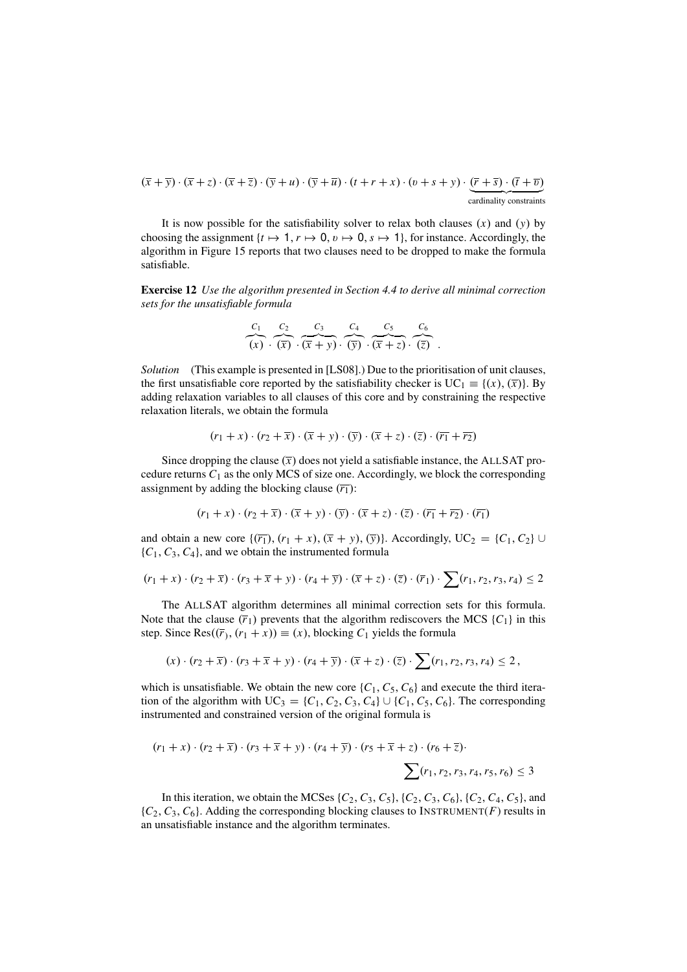$$
(\overline{x} + \overline{y}) \cdot (\overline{x} + z) \cdot (\overline{x} + \overline{z}) \cdot (\overline{y} + u) \cdot (\overline{y} + \overline{u}) \cdot (t + r + x) \cdot (v + s + y) \cdot \underbrace{(\overline{r} + \overline{s}) \cdot (\overline{t} + \overline{v})}_{\text{cardinality constraints}}
$$

It is now possible for the satisfiability solver to relax both clauses  $(x)$  and  $(y)$  by choosing the assignment  $\{t \mapsto 1, r \mapsto 0, v \mapsto 0, s \mapsto 1\}$ , for instance. Accordingly, the algorithm in Figure 15 reports that two clauses need to be dropped to make the formula satisfiable.

Exercise 12 *Use the algorithm presented in Section 4.4 to derive all minimal correction sets for the unsatisfiable formula*

$$
\overbrace{(x)}^{C_1} \cdot \overbrace{(x)}^{C_2} \cdot \overbrace{(x+y)}^{C_3} \cdot \overbrace{(y)}^{C_4} \cdot \overbrace{(x+z)}^{C_5} \cdot \overbrace{(z)}^{C_6}
$$

*Solution* (This example is presented in [LS08].) Due to the prioritisation of unit clauses, the first unsatisfiable core reported by the satisfiability checker is  $UC_1 \equiv \{(x), (\overline{x})\}$ . By adding relaxation variables to all clauses of this core and by constraining the respective relaxation literals, we obtain the formula

$$
(r_1 + x) \cdot (r_2 + \overline{x}) \cdot (\overline{x} + y) \cdot (\overline{y}) \cdot (\overline{x} + z) \cdot (\overline{z}) \cdot (r_1 + \overline{r_2})
$$

Since dropping the clause  $(\bar{x})$  does not yield a satisfiable instance, the ALLSAT procedure returns *C*<sup>1</sup> as the only MCS of size one. Accordingly, we block the corresponding assignment by adding the blocking clause  $(\overline{r_1})$ :

$$
(r_1 + x) \cdot (r_2 + \overline{x}) \cdot (\overline{x} + y) \cdot (\overline{y}) \cdot (\overline{x} + z) \cdot (\overline{z}) \cdot (\overline{r_1} + \overline{r_2}) \cdot (\overline{r_1})
$$

and obtain a new core  $\{(\overline{r_1}), (\overline{r_1} + \overline{x}), (\overline{x} + \overline{y}), (\overline{y})\}$ . Accordingly, UC<sub>2</sub> =  $\{C_1, C_2\}$  ${C_1, C_3, C_4}$ , and we obtain the instrumented formula

$$
(r_1+x)\cdot (r_2+\overline{x})\cdot (r_3+\overline{x}+y)\cdot (r_4+\overline{y})\cdot (\overline{x}+z)\cdot (\overline{z})\cdot (\overline{r}_1)\cdot \sum(r_1,r_2,r_3,r_4)\leq 2
$$

The ALLSAT algorithm determines all minimal correction sets for this formula. Note that the clause  $(\bar{r}_1)$  prevents that the algorithm rediscovers the MCS  $\{C_1\}$  in this step. Since Res $((\overline{r}_1, (r_1 + x)) \equiv (x)$ , blocking  $C_1$  yields the formula

$$
(x)\cdot (r_2+\overline{x})\cdot (r_3+\overline{x}+y)\cdot (r_4+\overline{y})\cdot (\overline{x}+z)\cdot (\overline{z})\cdot \sum(r_1,r_2,r_3,r_4)\leq 2\,,
$$

which is unsatisfiable. We obtain the new core  $\{C_1, C_5, C_6\}$  and execute the third iteration of the algorithm with  $UC_3 = \{C_1, C_2, C_3, C_4\} \cup \{C_1, C_5, C_6\}$ . The corresponding instrumented and constrained version of the original formula is

$$
(r_1 + x) \cdot (r_2 + \overline{x}) \cdot (r_3 + \overline{x} + y) \cdot (r_4 + \overline{y}) \cdot (r_5 + \overline{x} + z) \cdot (r_6 + \overline{z}) \cdot \sum (r_1, r_2, r_3, r_4, r_5, r_6) \le 3
$$

In this iteration, we obtain the MCSes  $\{C_2, C_3, C_5\}$ ,  $\{C_2, C_3, C_6\}$ ,  $\{C_2, C_4, C_5\}$ , and  ${C_2, C_3, C_6}$ . Adding the corresponding blocking clauses to INSTRUMENT(*F*) results in an unsatisfiable instance and the algorithm terminates.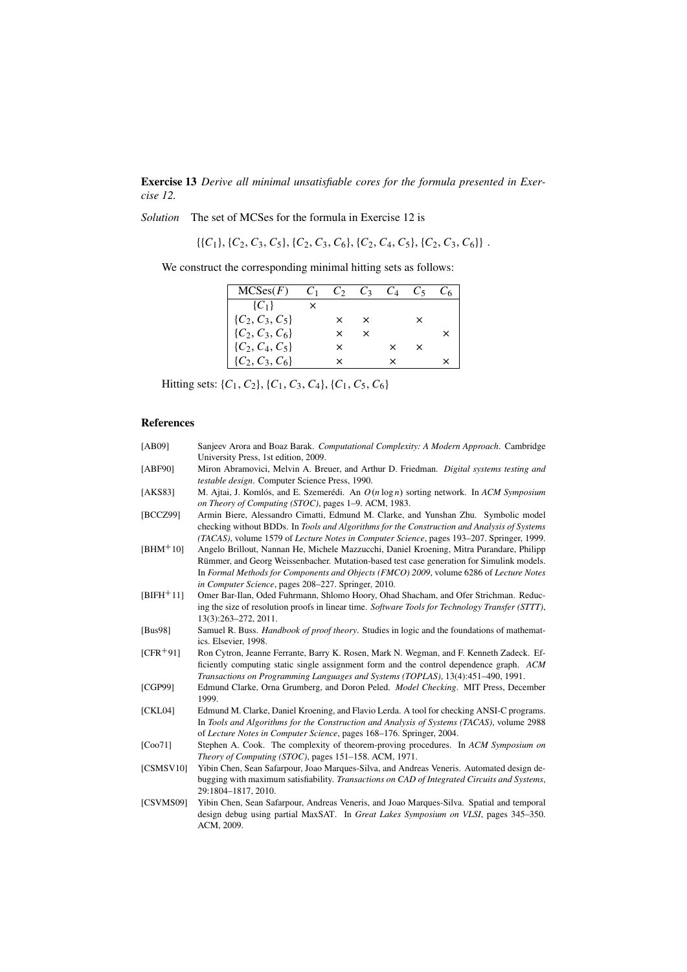Exercise 13 *Derive all minimal unsatisfiable cores for the formula presented in Exercise 12.*

*Solution* The set of MCSes for the formula in Exercise 12 is

 ${C_1}, {C_2, C_3, C_5}, {C_2, C_3, C_6}, {C_2, C_4, C_5}, {C_2, C_3, C_6}$ 

We construct the corresponding minimal hitting sets as follows:

| MCSes(F)            |          | $C_1$ $C_2$ $C_3$ $C_4$ $C_5$ $C_6$ |              |          |              |          |
|---------------------|----------|-------------------------------------|--------------|----------|--------------|----------|
| $\{C_1\}$           | $\times$ |                                     |              |          |              |          |
| $\{C_2, C_3, C_5\}$ |          | $\times$                            | $\mathsf{x}$ |          | $\times$     |          |
| $\{C_2, C_3, C_6\}$ |          | $\times$                            | $\times$     |          |              | $\times$ |
| $\{C_2, C_4, C_5\}$ |          | $\times$                            |              | $\times$ | $\mathsf{x}$ |          |
| $\{C_2, C_3, C_6\}$ |          | ×.                                  |              | ×        |              |          |

Hitting sets: {*C*1,*C*2},{*C*1,*C*3,*C*4},{*C*1,*C*5,*C*6}

# References

ACM, 2009.

| [AB09]      | Sanjeev Arora and Boaz Barak. Computational Complexity: A Modern Approach. Cambridge                                                                                   |
|-------------|------------------------------------------------------------------------------------------------------------------------------------------------------------------------|
|             | University Press, 1st edition, 2009.                                                                                                                                   |
| [ABF90]     | Miron Abramovici, Melvin A. Breuer, and Arthur D. Friedman. Digital systems testing and                                                                                |
|             | testable design. Computer Science Press, 1990.                                                                                                                         |
| [AKS83]     | M. Ajtai, J. Komlós, and E. Szemerédi. An $O(n \log n)$ sorting network. In ACM Symposium                                                                              |
|             | on Theory of Computing (STOC), pages 1–9. ACM, 1983.                                                                                                                   |
| [BCCZ99]    | Armin Biere, Alessandro Cimatti, Edmund M. Clarke, and Yunshan Zhu. Symbolic model                                                                                     |
|             | checking without BDDs. In Tools and Algorithms for the Construction and Analysis of Systems                                                                            |
|             | (TACAS), volume 1579 of Lecture Notes in Computer Science, pages 193-207. Springer, 1999.                                                                              |
| $[BHM+10]$  | Angelo Brillout, Nannan He, Michele Mazzucchi, Daniel Kroening, Mitra Purandare, Philipp                                                                               |
|             | Rümmer, and Georg Weissenbacher. Mutation-based test case generation for Simulink models.                                                                              |
|             | In Formal Methods for Components and Objects (FMCO) 2009, volume 6286 of Lecture Notes                                                                                 |
|             | in Computer Science, pages 208–227. Springer, 2010.                                                                                                                    |
| $[BIFH+11]$ | Omer Bar-Ilan, Oded Fuhrmann, Shlomo Hoory, Ohad Shacham, and Ofer Strichman. Reduc-                                                                                   |
|             | ing the size of resolution proofs in linear time. Software Tools for Technology Transfer (STTT),                                                                       |
|             | 13(3):263-272, 2011.                                                                                                                                                   |
| [Bus98]     | Samuel R. Buss. <i>Handbook of proof theory</i> . Studies in logic and the foundations of mathemat-                                                                    |
|             | ics. Elsevier, 1998.                                                                                                                                                   |
| $[CFR+91]$  | Ron Cytron, Jeanne Ferrante, Barry K. Rosen, Mark N. Wegman, and F. Kenneth Zadeck. Ef-                                                                                |
|             | ficiently computing static single assignment form and the control dependence graph. ACM                                                                                |
| [CGP99]     | Transactions on Programming Languages and Systems (TOPLAS), 13(4):451-490, 1991.<br>Edmund Clarke, Orna Grumberg, and Doron Peled. Model Checking. MIT Press, December |
|             | 1999.                                                                                                                                                                  |
| [CKL04]     | Edmund M. Clarke, Daniel Kroening, and Flavio Lerda. A tool for checking ANSI-C programs.                                                                              |
|             | In Tools and Algorithms for the Construction and Analysis of Systems (TACAS), volume 2988                                                                              |
|             | of Lecture Notes in Computer Science, pages 168-176. Springer, 2004.                                                                                                   |
| [Coo71]     | Stephen A. Cook. The complexity of theorem-proving procedures. In ACM Symposium on                                                                                     |
|             | Theory of Computing (STOC), pages 151–158. ACM, 1971.                                                                                                                  |
| [CSMSV10]   | Yibin Chen, Sean Safarpour, Joao Marques-Silva, and Andreas Veneris. Automated design de-                                                                              |
|             | bugging with maximum satisfiability. Transactions on CAD of Integrated Circuits and Systems,                                                                           |
|             | 29:1804-1817, 2010.                                                                                                                                                    |
| [CSVMS09]   | Yibin Chen, Sean Safarpour, Andreas Veneris, and Joao Marques-Silva. Spatial and temporal                                                                              |
|             | design debug using partial MaxSAT. In Great Lakes Symposium on VLSI, pages 345-350.                                                                                    |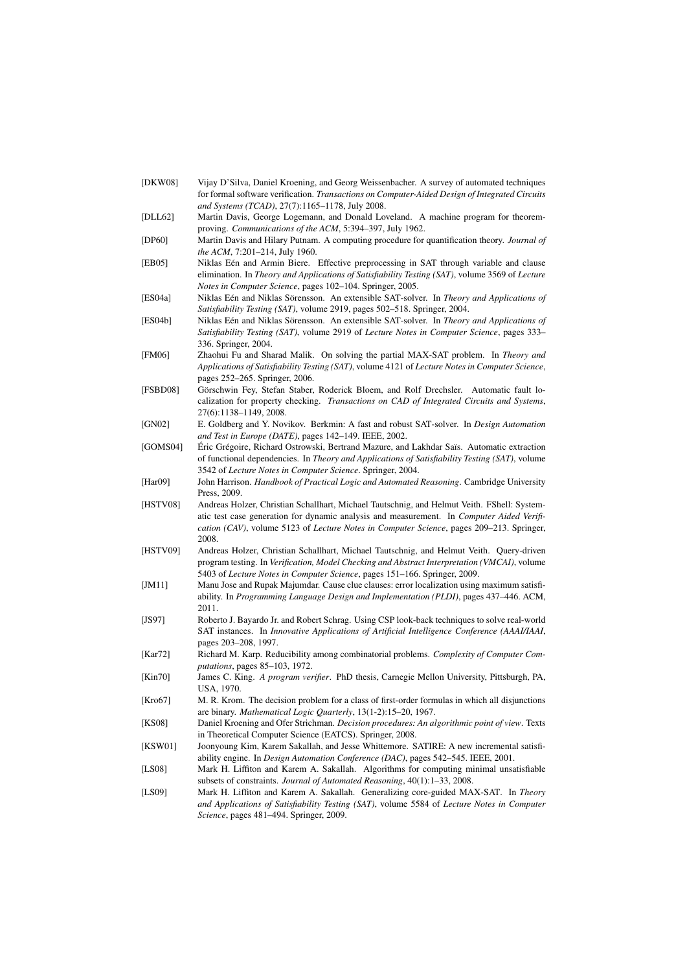| [DKW08]            | Vijay D'Silva, Daniel Kroening, and Georg Weissenbacher. A survey of automated techniques<br>for formal software verification. Transactions on Computer-Aided Design of Integrated Circuits                                                                                                   |
|--------------------|-----------------------------------------------------------------------------------------------------------------------------------------------------------------------------------------------------------------------------------------------------------------------------------------------|
|                    | and Systems (TCAD), 27(7):1165-1178, July 2008.                                                                                                                                                                                                                                               |
| [DLL62]            | Martin Davis, George Logemann, and Donald Loveland. A machine program for theorem-<br>proving. Communications of the ACM, 5:394-397, July 1962.                                                                                                                                               |
| [DP60]             | Martin Davis and Hilary Putnam. A computing procedure for quantification theory. Journal of<br><i>the ACM</i> , 7:201–214, July 1960.                                                                                                                                                         |
| [EB05]             | Niklas Eén and Armin Biere. Effective preprocessing in SAT through variable and clause<br>elimination. In Theory and Applications of Satisfiability Testing (SAT), volume 3569 of Lecture<br>Notes in Computer Science, pages 102-104. Springer, 2005.                                        |
| [ES04a]            | Niklas Eén and Niklas Sörensson. An extensible SAT-solver. In Theory and Applications of<br>Satisfiability Testing (SAT), volume 2919, pages 502–518. Springer, 2004.                                                                                                                         |
| [ES04b]            | Niklas Eén and Niklas Sörensson. An extensible SAT-solver. In Theory and Applications of<br>Satisfiability Testing (SAT), volume 2919 of Lecture Notes in Computer Science, pages 333–<br>336. Springer, 2004.                                                                                |
| [FM06]             | Zhaohui Fu and Sharad Malik. On solving the partial MAX-SAT problem. In Theory and<br>Applications of Satisfiability Testing (SAT), volume 4121 of Lecture Notes in Computer Science,<br>pages 252-265. Springer, 2006.                                                                       |
| [FSBD08]           | Görschwin Fey, Stefan Staber, Roderick Bloem, and Rolf Drechsler. Automatic fault lo-<br>calization for property checking. Transactions on CAD of Integrated Circuits and Systems,<br>27(6):1138-1149, 2008.                                                                                  |
| [GN02]             | E. Goldberg and Y. Novikov. Berkmin: A fast and robust SAT-solver. In Design Automation<br>and Test in Europe (DATE), pages 142-149. IEEE, 2002.                                                                                                                                              |
| [GOMS04]           | Éric Grégoire, Richard Ostrowski, Bertrand Mazure, and Lakhdar Saïs. Automatic extraction<br>of functional dependencies. In Theory and Applications of Satisfiability Testing (SAT), volume<br>3542 of Lecture Notes in Computer Science. Springer, 2004.                                     |
| [Har09]            | John Harrison. Handbook of Practical Logic and Automated Reasoning. Cambridge University<br>Press, 2009.                                                                                                                                                                                      |
| [HSTV08]           | Andreas Holzer, Christian Schallhart, Michael Tautschnig, and Helmut Veith. FShell: System-<br>atic test case generation for dynamic analysis and measurement. In Computer Aided Verifi-<br>cation (CAV), volume 5123 of Lecture Notes in Computer Science, pages 209–213. Springer,<br>2008. |
| [HSTV09]           | Andreas Holzer, Christian Schallhart, Michael Tautschnig, and Helmut Veith. Query-driven<br>program testing. In Verification, Model Checking and Abstract Interpretation (VMCAI), volume<br>5403 of Lecture Notes in Computer Science, pages 151–166. Springer, 2009.                         |
| [JM11]             | Manu Jose and Rupak Majumdar. Cause clue clauses: error localization using maximum satisfi-<br>ability. In Programming Language Design and Implementation (PLDI), pages 437-446. ACM,<br>2011.                                                                                                |
| [JS97]             | Roberto J. Bayardo Jr. and Robert Schrag. Using CSP look-back techniques to solve real-world<br>SAT instances. In Innovative Applications of Artificial Intelligence Conference (AAAI/IAAI,<br>pages 203-208, 1997.                                                                           |
| [ $Kar72$ ]        | Richard M. Karp. Reducibility among combinatorial problems. Complexity of Computer Com-<br><i>putations</i> , pages 85-103, 1972.                                                                                                                                                             |
| [ $\text{Kin}70$ ] | James C. King. A program verifier. PhD thesis, Carnegie Mellon University, Pittsburgh, PA,<br>USA, 1970.                                                                                                                                                                                      |
| [Kro67]            | M. R. Krom. The decision problem for a class of first-order formulas in which all disjunctions<br>are binary. Mathematical Logic Quarterly, 13(1-2):15-20, 1967.                                                                                                                              |
| [KS08]             | Daniel Kroening and Ofer Strichman. Decision procedures: An algorithmic point of view. Texts<br>in Theoretical Computer Science (EATCS). Springer, 2008.                                                                                                                                      |
| [KSW01]            | Joonyoung Kim, Karem Sakallah, and Jesse Whittemore. SATIRE: A new incremental satisfi-<br>ability engine. In <i>Design Automation Conference (DAC)</i> , pages 542–545. IEEE, 2001.                                                                                                          |
| [LS08]             | Mark H. Liffiton and Karem A. Sakallah. Algorithms for computing minimal unsatisfiable<br>subsets of constraints. Journal of Automated Reasoning, 40(1):1-33, 2008.                                                                                                                           |
| [LS09]             | Mark H. Liffiton and Karem A. Sakallah. Generalizing core-guided MAX-SAT. In Theory<br>and Applications of Satisfiability Testing (SAT), volume 5584 of Lecture Notes in Computer<br><i>Science</i> , pages 481–494. Springer, 2009.                                                          |